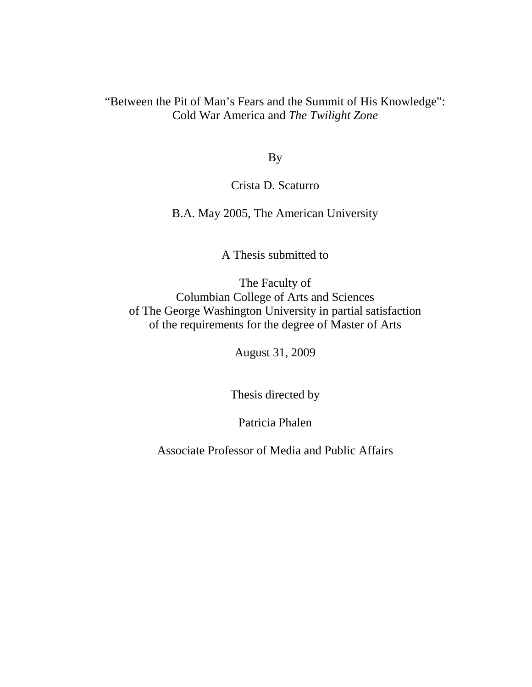# "Between the Pit of Man's Fears and the Summit of His Knowledge": Cold War America and *The Twilight Zone*

By

## Crista D. Scaturro

B.A. May 2005, The American University

A Thesis submitted to

The Faculty of Columbian College of Arts and Sciences of The George Washington University in partial satisfaction of the requirements for the degree of Master of Arts

August 31, 2009

Thesis directed by

Patricia Phalen

Associate Professor of Media and Public Affairs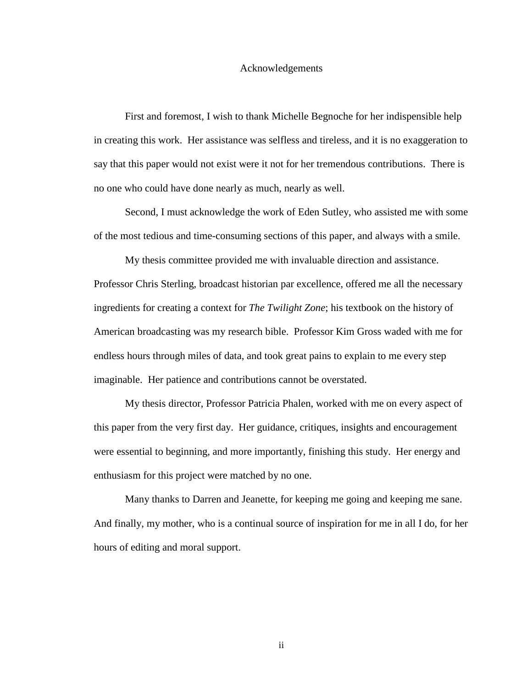#### Acknowledgements

 First and foremost, I wish to thank Michelle Begnoche for her indispensible help in creating this work. Her assistance was selfless and tireless, and it is no exaggeration to say that this paper would not exist were it not for her tremendous contributions. There is no one who could have done nearly as much, nearly as well.

 Second, I must acknowledge the work of Eden Sutley, who assisted me with some of the most tedious and time-consuming sections of this paper, and always with a smile.

 My thesis committee provided me with invaluable direction and assistance. Professor Chris Sterling, broadcast historian par excellence, offered me all the necessary ingredients for creating a context for *The Twilight Zone*; his textbook on the history of American broadcasting was my research bible. Professor Kim Gross waded with me for endless hours through miles of data, and took great pains to explain to me every step imaginable. Her patience and contributions cannot be overstated.

 My thesis director, Professor Patricia Phalen, worked with me on every aspect of this paper from the very first day. Her guidance, critiques, insights and encouragement were essential to beginning, and more importantly, finishing this study. Her energy and enthusiasm for this project were matched by no one.

 Many thanks to Darren and Jeanette, for keeping me going and keeping me sane. And finally, my mother, who is a continual source of inspiration for me in all I do, for her hours of editing and moral support.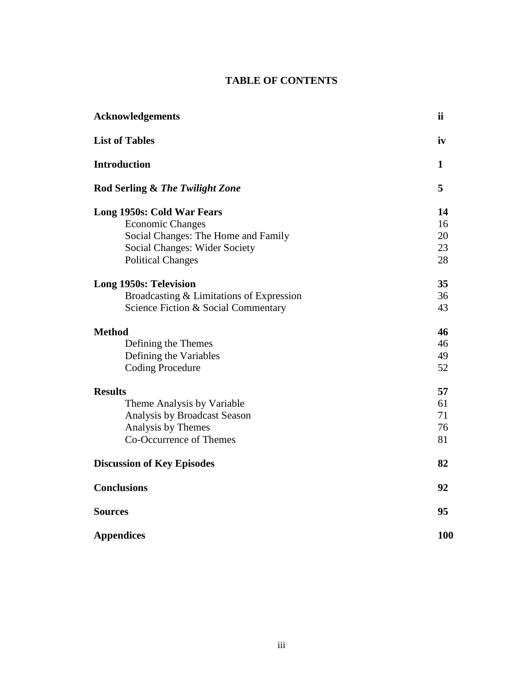### **TABLE OF CONTENTS**

| <b>Acknowledgements</b>                                                                                                                                          | ii                         |
|------------------------------------------------------------------------------------------------------------------------------------------------------------------|----------------------------|
| <b>List of Tables</b>                                                                                                                                            | iv                         |
| <b>Introduction</b>                                                                                                                                              | 1                          |
| Rod Serling & The Twilight Zone                                                                                                                                  | 5                          |
| Long 1950s: Cold War Fears<br><b>Economic Changes</b><br>Social Changes: The Home and Family<br><b>Social Changes: Wider Society</b><br><b>Political Changes</b> | 14<br>16<br>20<br>23<br>28 |
| <b>Long 1950s: Television</b><br>Broadcasting & Limitations of Expression<br>Science Fiction & Social Commentary                                                 | 35<br>36<br>43             |
| <b>Method</b><br>Defining the Themes<br>Defining the Variables<br><b>Coding Procedure</b>                                                                        | 46<br>46<br>49<br>52       |
| <b>Results</b><br>Theme Analysis by Variable<br>Analysis by Broadcast Season<br>Analysis by Themes<br>Co-Occurrence of Themes                                    | 57<br>61<br>71<br>76<br>81 |
| <b>Discussion of Key Episodes</b>                                                                                                                                | 82                         |
| <b>Conclusions</b>                                                                                                                                               | 92                         |
| <b>Sources</b>                                                                                                                                                   | 95                         |
| <b>Appendices</b>                                                                                                                                                | 100                        |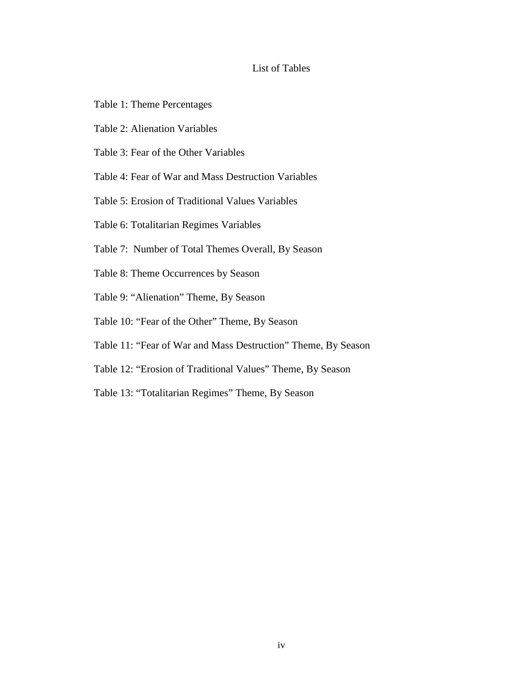### List of Tables

- Table 1: Theme Percentages
- Table 2: Alienation Variables
- Table 3: Fear of the Other Variables
- Table 4: Fear of War and Mass Destruction Variables
- Table 5: Erosion of Traditional Values Variables
- Table 6: Totalitarian Regimes Variables
- Table 7: Number of Total Themes Overall, By Season
- Table 8: Theme Occurrences by Season
- Table 9: "Alienation" Theme, By Season
- Table 10: "Fear of the Other" Theme, By Season
- Table 11: "Fear of War and Mass Destruction" Theme, By Season
- Table 12: "Erosion of Traditional Values" Theme, By Season
- Table 13: "Totalitarian Regimes" Theme, By Season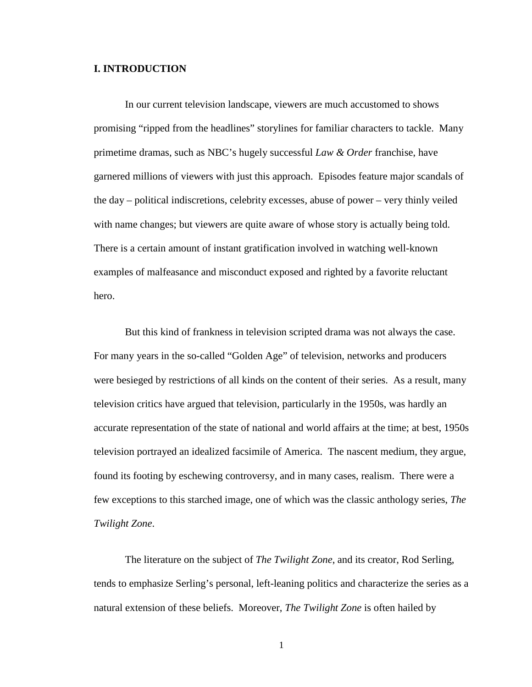#### **I. INTRODUCTION**

In our current television landscape, viewers are much accustomed to shows promising "ripped from the headlines" storylines for familiar characters to tackle. Many primetime dramas, such as NBC's hugely successful *Law & Order* franchise, have garnered millions of viewers with just this approach. Episodes feature major scandals of the day – political indiscretions, celebrity excesses, abuse of power – very thinly veiled with name changes; but viewers are quite aware of whose story is actually being told. There is a certain amount of instant gratification involved in watching well-known examples of malfeasance and misconduct exposed and righted by a favorite reluctant hero.

But this kind of frankness in television scripted drama was not always the case. For many years in the so-called "Golden Age" of television, networks and producers were besieged by restrictions of all kinds on the content of their series. As a result, many television critics have argued that television, particularly in the 1950s, was hardly an accurate representation of the state of national and world affairs at the time; at best, 1950s television portrayed an idealized facsimile of America. The nascent medium, they argue, found its footing by eschewing controversy, and in many cases, realism. There were a few exceptions to this starched image, one of which was the classic anthology series, *The Twilight Zone*.

 The literature on the subject of *The Twilight Zone*, and its creator, Rod Serling, tends to emphasize Serling's personal, left-leaning politics and characterize the series as a natural extension of these beliefs. Moreover, *The Twilight Zone* is often hailed by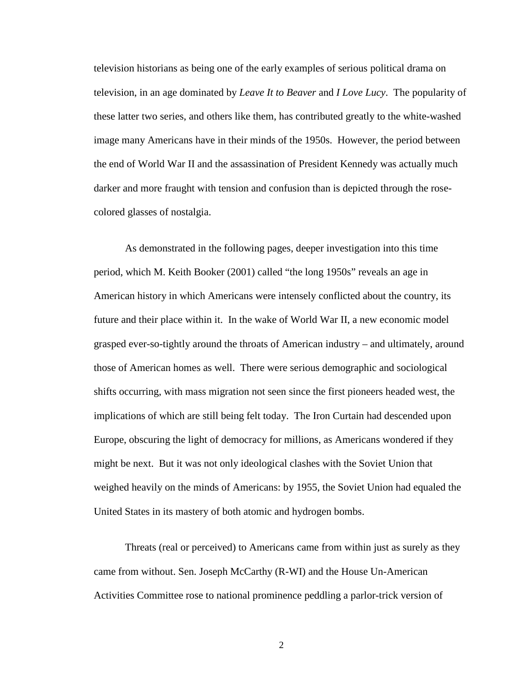television historians as being one of the early examples of serious political drama on television, in an age dominated by *Leave It to Beaver* and *I Love Lucy*. The popularity of these latter two series, and others like them, has contributed greatly to the white-washed image many Americans have in their minds of the 1950s. However, the period between the end of World War II and the assassination of President Kennedy was actually much darker and more fraught with tension and confusion than is depicted through the rosecolored glasses of nostalgia.

As demonstrated in the following pages, deeper investigation into this time period, which M. Keith Booker (2001) called "the long 1950s" reveals an age in American history in which Americans were intensely conflicted about the country, its future and their place within it. In the wake of World War II, a new economic model grasped ever-so-tightly around the throats of American industry – and ultimately, around those of American homes as well. There were serious demographic and sociological shifts occurring, with mass migration not seen since the first pioneers headed west, the implications of which are still being felt today. The Iron Curtain had descended upon Europe, obscuring the light of democracy for millions, as Americans wondered if they might be next. But it was not only ideological clashes with the Soviet Union that weighed heavily on the minds of Americans: by 1955, the Soviet Union had equaled the United States in its mastery of both atomic and hydrogen bombs.

 Threats (real or perceived) to Americans came from within just as surely as they came from without. Sen. Joseph McCarthy (R-WI) and the House Un-American Activities Committee rose to national prominence peddling a parlor-trick version of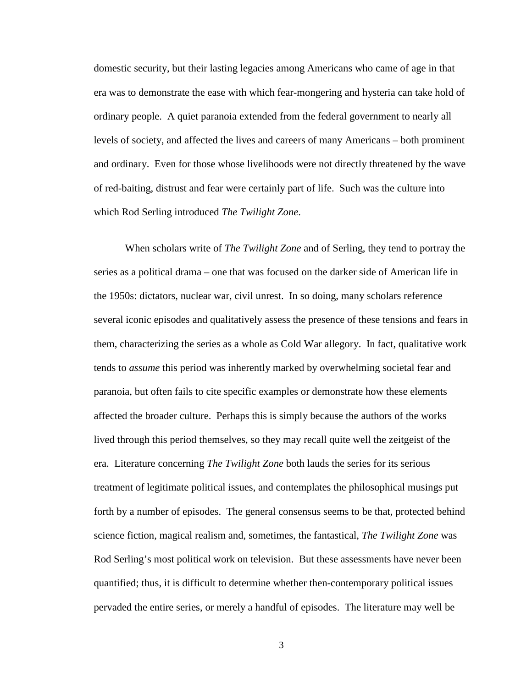domestic security, but their lasting legacies among Americans who came of age in that era was to demonstrate the ease with which fear-mongering and hysteria can take hold of ordinary people. A quiet paranoia extended from the federal government to nearly all levels of society, and affected the lives and careers of many Americans – both prominent and ordinary. Even for those whose livelihoods were not directly threatened by the wave of red-baiting, distrust and fear were certainly part of life. Such was the culture into which Rod Serling introduced *The Twilight Zone*.

When scholars write of *The Twilight Zone* and of Serling, they tend to portray the series as a political drama – one that was focused on the darker side of American life in the 1950s: dictators, nuclear war, civil unrest. In so doing, many scholars reference several iconic episodes and qualitatively assess the presence of these tensions and fears in them, characterizing the series as a whole as Cold War allegory. In fact, qualitative work tends to *assume* this period was inherently marked by overwhelming societal fear and paranoia, but often fails to cite specific examples or demonstrate how these elements affected the broader culture. Perhaps this is simply because the authors of the works lived through this period themselves, so they may recall quite well the zeitgeist of the era. Literature concerning *The Twilight Zone* both lauds the series for its serious treatment of legitimate political issues, and contemplates the philosophical musings put forth by a number of episodes. The general consensus seems to be that, protected behind science fiction, magical realism and, sometimes, the fantastical, *The Twilight Zone* was Rod Serling's most political work on television. But these assessments have never been quantified; thus, it is difficult to determine whether then-contemporary political issues pervaded the entire series, or merely a handful of episodes. The literature may well be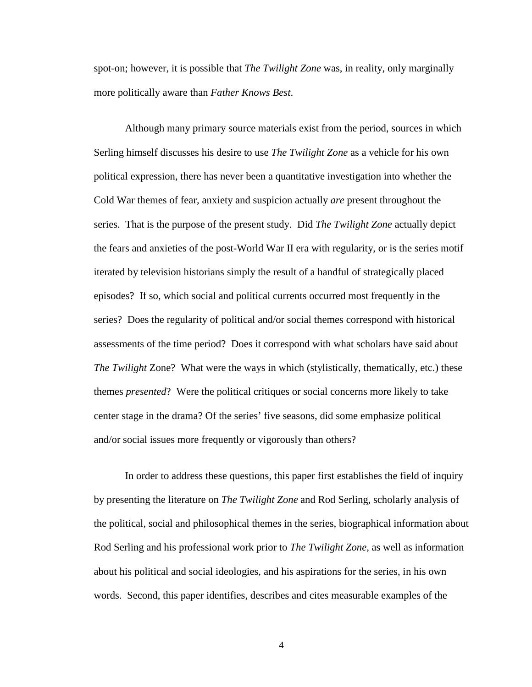spot-on; however, it is possible that *The Twilight Zone* was, in reality, only marginally more politically aware than *Father Knows Best*.

Although many primary source materials exist from the period, sources in which Serling himself discusses his desire to use *The Twilight Zone* as a vehicle for his own political expression, there has never been a quantitative investigation into whether the Cold War themes of fear, anxiety and suspicion actually *are* present throughout the series. That is the purpose of the present study. Did *The Twilight Zone* actually depict the fears and anxieties of the post-World War II era with regularity, or is the series motif iterated by television historians simply the result of a handful of strategically placed episodes? If so, which social and political currents occurred most frequently in the series? Does the regularity of political and/or social themes correspond with historical assessments of the time period? Does it correspond with what scholars have said about *The Twilight* Zone? What were the ways in which (stylistically, thematically, etc.) these themes *presented*? Were the political critiques or social concerns more likely to take center stage in the drama? Of the series' five seasons, did some emphasize political and/or social issues more frequently or vigorously than others?

 In order to address these questions, this paper first establishes the field of inquiry by presenting the literature on *The Twilight Zone* and Rod Serling, scholarly analysis of the political, social and philosophical themes in the series, biographical information about Rod Serling and his professional work prior to *The Twilight Zone*, as well as information about his political and social ideologies, and his aspirations for the series, in his own words. Second, this paper identifies, describes and cites measurable examples of the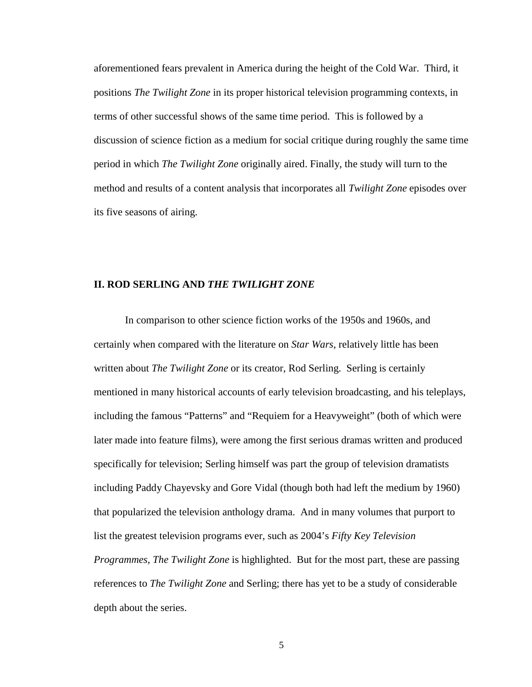aforementioned fears prevalent in America during the height of the Cold War. Third, it positions *The Twilight Zone* in its proper historical television programming contexts, in terms of other successful shows of the same time period. This is followed by a discussion of science fiction as a medium for social critique during roughly the same time period in which *The Twilight Zone* originally aired. Finally, the study will turn to the method and results of a content analysis that incorporates all *Twilight Zone* episodes over its five seasons of airing.

#### **II. ROD SERLING AND** *THE TWILIGHT ZONE*

In comparison to other science fiction works of the 1950s and 1960s, and certainly when compared with the literature on *Star Wars*, relatively little has been written about *The Twilight Zone* or its creator, Rod Serling. Serling is certainly mentioned in many historical accounts of early television broadcasting, and his teleplays, including the famous "Patterns" and "Requiem for a Heavyweight" (both of which were later made into feature films), were among the first serious dramas written and produced specifically for television; Serling himself was part the group of television dramatists including Paddy Chayevsky and Gore Vidal (though both had left the medium by 1960) that popularized the television anthology drama. And in many volumes that purport to list the greatest television programs ever, such as 2004's *Fifty Key Television Programmes, The Twilight Zone* is highlighted. But for the most part, these are passing references to *The Twilight Zone* and Serling; there has yet to be a study of considerable depth about the series.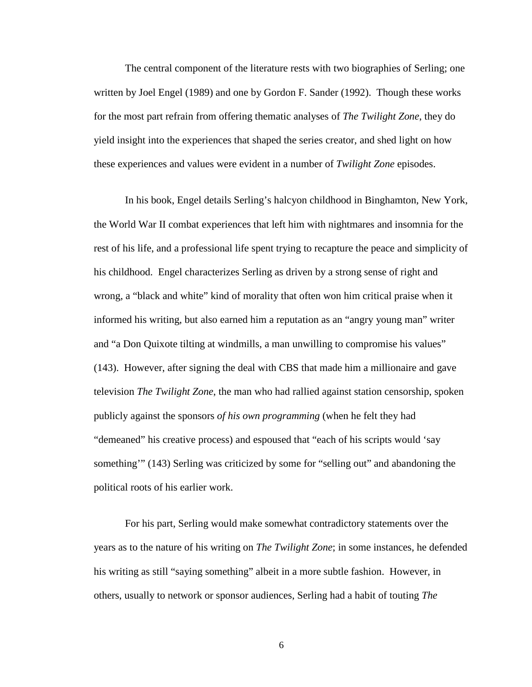The central component of the literature rests with two biographies of Serling; one written by Joel Engel (1989) and one by Gordon F. Sander (1992). Though these works for the most part refrain from offering thematic analyses of *The Twilight Zone*, they do yield insight into the experiences that shaped the series creator, and shed light on how these experiences and values were evident in a number of *Twilight Zone* episodes.

In his book, Engel details Serling's halcyon childhood in Binghamton, New York, the World War II combat experiences that left him with nightmares and insomnia for the rest of his life, and a professional life spent trying to recapture the peace and simplicity of his childhood. Engel characterizes Serling as driven by a strong sense of right and wrong, a "black and white" kind of morality that often won him critical praise when it informed his writing, but also earned him a reputation as an "angry young man" writer and "a Don Quixote tilting at windmills, a man unwilling to compromise his values" (143). However, after signing the deal with CBS that made him a millionaire and gave television *The Twilight Zone*, the man who had rallied against station censorship, spoken publicly against the sponsors *of his own programming* (when he felt they had "demeaned" his creative process) and espoused that "each of his scripts would 'say something'" (143) Serling was criticized by some for "selling out" and abandoning the political roots of his earlier work.

For his part, Serling would make somewhat contradictory statements over the years as to the nature of his writing on *The Twilight Zone*; in some instances, he defended his writing as still "saying something" albeit in a more subtle fashion. However, in others, usually to network or sponsor audiences, Serling had a habit of touting *The*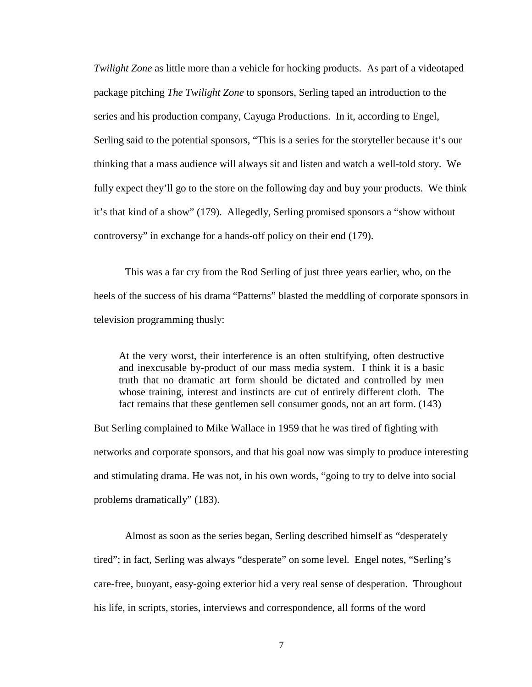*Twilight Zone* as little more than a vehicle for hocking products. As part of a videotaped package pitching *The Twilight Zone* to sponsors, Serling taped an introduction to the series and his production company, Cayuga Productions. In it, according to Engel, Serling said to the potential sponsors, "This is a series for the storyteller because it's our thinking that a mass audience will always sit and listen and watch a well-told story. We fully expect they'll go to the store on the following day and buy your products. We think it's that kind of a show" (179). Allegedly, Serling promised sponsors a "show without controversy" in exchange for a hands-off policy on their end (179).

This was a far cry from the Rod Serling of just three years earlier, who, on the heels of the success of his drama "Patterns" blasted the meddling of corporate sponsors in television programming thusly:

At the very worst, their interference is an often stultifying, often destructive and inexcusable by-product of our mass media system. I think it is a basic truth that no dramatic art form should be dictated and controlled by men whose training, interest and instincts are cut of entirely different cloth. The fact remains that these gentlemen sell consumer goods, not an art form. (143)

But Serling complained to Mike Wallace in 1959 that he was tired of fighting with networks and corporate sponsors, and that his goal now was simply to produce interesting and stimulating drama. He was not, in his own words, "going to try to delve into social problems dramatically" (183).

 Almost as soon as the series began, Serling described himself as "desperately tired"; in fact, Serling was always "desperate" on some level. Engel notes, "Serling's care-free, buoyant, easy-going exterior hid a very real sense of desperation. Throughout his life, in scripts, stories, interviews and correspondence, all forms of the word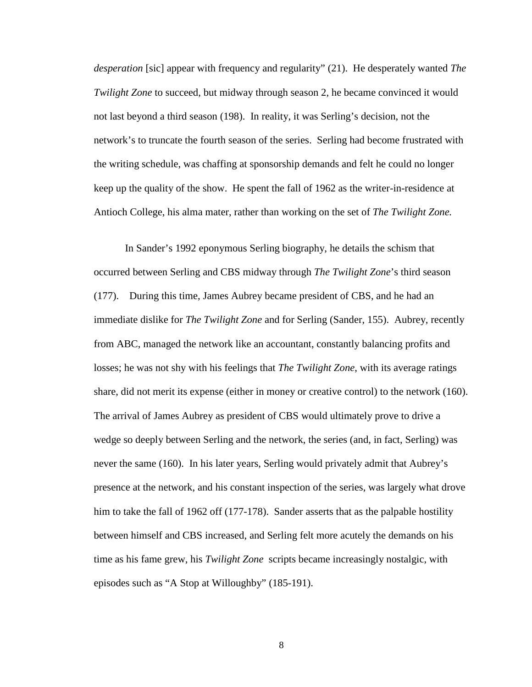*desperation* [sic] appear with frequency and regularity" (21). He desperately wanted *The Twilight Zone* to succeed, but midway through season 2, he became convinced it would not last beyond a third season (198). In reality, it was Serling's decision, not the network's to truncate the fourth season of the series. Serling had become frustrated with the writing schedule, was chaffing at sponsorship demands and felt he could no longer keep up the quality of the show. He spent the fall of 1962 as the writer-in-residence at Antioch College, his alma mater, rather than working on the set of *The Twilight Zone.*

 In Sander's 1992 eponymous Serling biography, he details the schism that occurred between Serling and CBS midway through *The Twilight Zone*'s third season (177). During this time, James Aubrey became president of CBS, and he had an immediate dislike for *The Twilight Zone* and for Serling (Sander, 155). Aubrey, recently from ABC, managed the network like an accountant, constantly balancing profits and losses; he was not shy with his feelings that *The Twilight Zone*, with its average ratings share, did not merit its expense (either in money or creative control) to the network (160). The arrival of James Aubrey as president of CBS would ultimately prove to drive a wedge so deeply between Serling and the network, the series (and, in fact, Serling) was never the same (160). In his later years, Serling would privately admit that Aubrey's presence at the network, and his constant inspection of the series, was largely what drove him to take the fall of 1962 off (177-178). Sander asserts that as the palpable hostility between himself and CBS increased, and Serling felt more acutely the demands on his time as his fame grew, his *Twilight Zone* scripts became increasingly nostalgic, with episodes such as "A Stop at Willoughby" (185-191).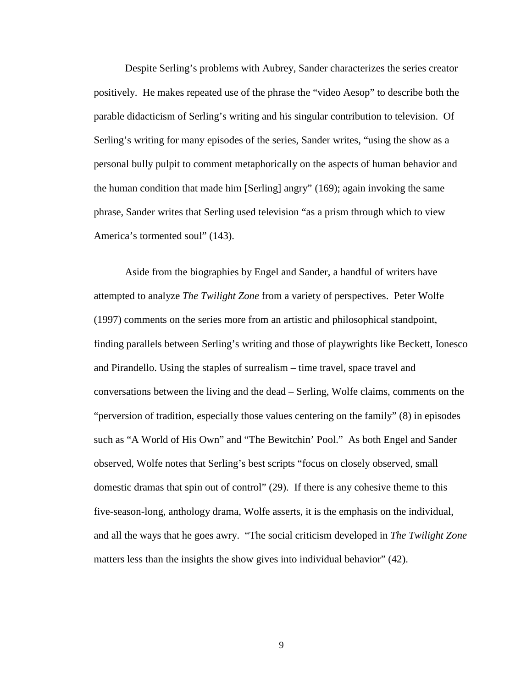Despite Serling's problems with Aubrey, Sander characterizes the series creator positively. He makes repeated use of the phrase the "video Aesop" to describe both the parable didacticism of Serling's writing and his singular contribution to television. Of Serling's writing for many episodes of the series, Sander writes, "using the show as a personal bully pulpit to comment metaphorically on the aspects of human behavior and the human condition that made him [Serling] angry" (169); again invoking the same phrase, Sander writes that Serling used television "as a prism through which to view America's tormented soul" (143).

 Aside from the biographies by Engel and Sander, a handful of writers have attempted to analyze *The Twilight Zone* from a variety of perspectives. Peter Wolfe (1997) comments on the series more from an artistic and philosophical standpoint, finding parallels between Serling's writing and those of playwrights like Beckett, Ionesco and Pirandello. Using the staples of surrealism – time travel, space travel and conversations between the living and the dead – Serling, Wolfe claims, comments on the "perversion of tradition, especially those values centering on the family" (8) in episodes such as "A World of His Own" and "The Bewitchin' Pool." As both Engel and Sander observed, Wolfe notes that Serling's best scripts "focus on closely observed, small domestic dramas that spin out of control" (29). If there is any cohesive theme to this five-season-long, anthology drama, Wolfe asserts, it is the emphasis on the individual, and all the ways that he goes awry. "The social criticism developed in *The Twilight Zone* matters less than the insights the show gives into individual behavior" (42).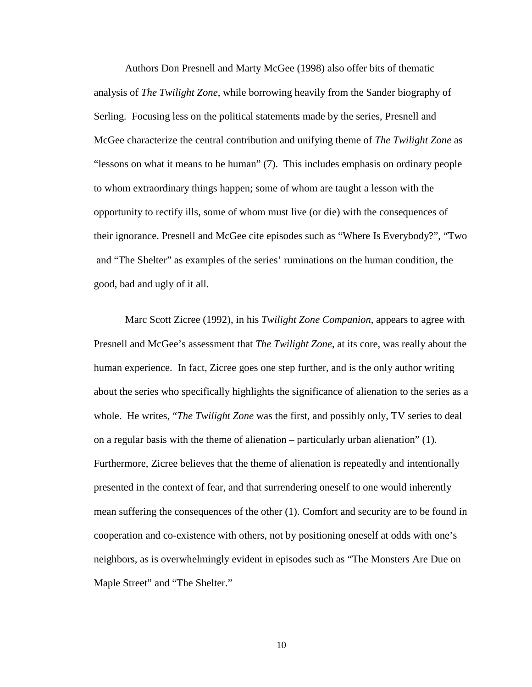Authors Don Presnell and Marty McGee (1998) also offer bits of thematic analysis of *The Twilight Zone*, while borrowing heavily from the Sander biography of Serling. Focusing less on the political statements made by the series, Presnell and McGee characterize the central contribution and unifying theme of *The Twilight Zone* as "lessons on what it means to be human" (7). This includes emphasis on ordinary people to whom extraordinary things happen; some of whom are taught a lesson with the opportunity to rectify ills, some of whom must live (or die) with the consequences of their ignorance. Presnell and McGee cite episodes such as "Where Is Everybody?", "Two and "The Shelter" as examples of the series' ruminations on the human condition, the good, bad and ugly of it all.

 Marc Scott Zicree (1992), in his *Twilight Zone Companion*, appears to agree with Presnell and McGee's assessment that *The Twilight Zone*, at its core, was really about the human experience. In fact, Zicree goes one step further, and is the only author writing about the series who specifically highlights the significance of alienation to the series as a whole. He writes, "*The Twilight Zone* was the first, and possibly only, TV series to deal on a regular basis with the theme of alienation – particularly urban alienation" (1). Furthermore, Zicree believes that the theme of alienation is repeatedly and intentionally presented in the context of fear, and that surrendering oneself to one would inherently mean suffering the consequences of the other (1). Comfort and security are to be found in cooperation and co-existence with others, not by positioning oneself at odds with one's neighbors, as is overwhelmingly evident in episodes such as "The Monsters Are Due on Maple Street" and "The Shelter."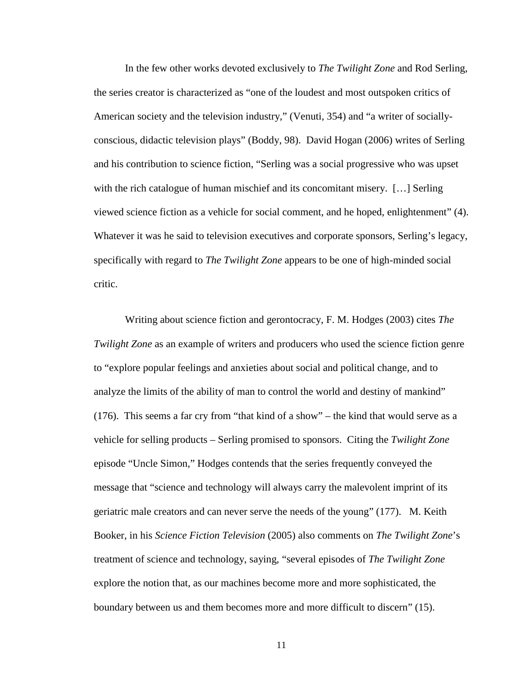In the few other works devoted exclusively to *The Twilight Zone* and Rod Serling, the series creator is characterized as "one of the loudest and most outspoken critics of American society and the television industry," (Venuti, 354) and "a writer of sociallyconscious, didactic television plays" (Boddy, 98). David Hogan (2006) writes of Serling and his contribution to science fiction, "Serling was a social progressive who was upset with the rich catalogue of human mischief and its concomitant misery. [...] Serling viewed science fiction as a vehicle for social comment, and he hoped, enlightenment" (4). Whatever it was he said to television executives and corporate sponsors, Serling's legacy, specifically with regard to *The Twilight Zone* appears to be one of high-minded social critic.

 Writing about science fiction and gerontocracy, F. M. Hodges (2003) cites *The Twilight Zone* as an example of writers and producers who used the science fiction genre to "explore popular feelings and anxieties about social and political change, and to analyze the limits of the ability of man to control the world and destiny of mankind" (176). This seems a far cry from "that kind of a show" – the kind that would serve as a vehicle for selling products – Serling promised to sponsors. Citing the *Twilight Zone* episode "Uncle Simon," Hodges contends that the series frequently conveyed the message that "science and technology will always carry the malevolent imprint of its geriatric male creators and can never serve the needs of the young" (177). M. Keith Booker, in his *Science Fiction Television* (2005) also comments on *The Twilight Zone*'s treatment of science and technology, saying, "several episodes of *The Twilight Zone* explore the notion that, as our machines become more and more sophisticated, the boundary between us and them becomes more and more difficult to discern" (15).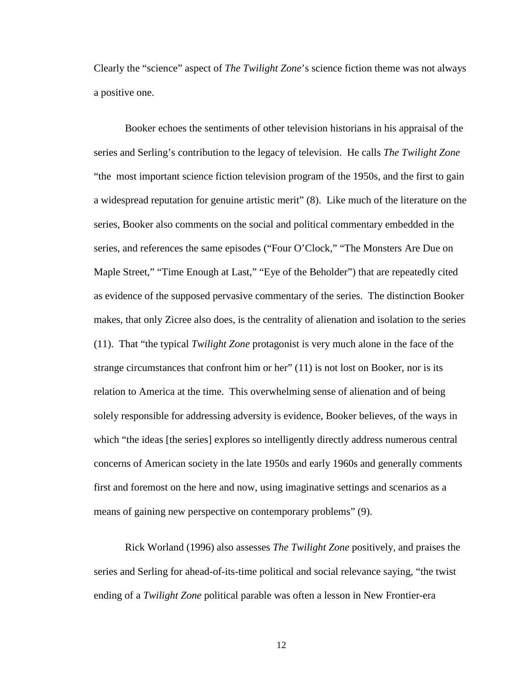Clearly the "science" aspect of *The Twilight Zone*'s science fiction theme was not always a positive one.

Booker echoes the sentiments of other television historians in his appraisal of the series and Serling's contribution to the legacy of television. He calls *The Twilight Zone* "the most important science fiction television program of the 1950s, and the first to gain a widespread reputation for genuine artistic merit" (8). Like much of the literature on the series, Booker also comments on the social and political commentary embedded in the series, and references the same episodes ("Four O'Clock," "The Monsters Are Due on Maple Street," "Time Enough at Last," "Eye of the Beholder") that are repeatedly cited as evidence of the supposed pervasive commentary of the series. The distinction Booker makes, that only Zicree also does, is the centrality of alienation and isolation to the series (11). That "the typical *Twilight Zone* protagonist is very much alone in the face of the strange circumstances that confront him or her" (11) is not lost on Booker, nor is its relation to America at the time. This overwhelming sense of alienation and of being solely responsible for addressing adversity is evidence, Booker believes, of the ways in which "the ideas [the series] explores so intelligently directly address numerous central concerns of American society in the late 1950s and early 1960s and generally comments first and foremost on the here and now, using imaginative settings and scenarios as a means of gaining new perspective on contemporary problems" (9).

 Rick Worland (1996) also assesses *The Twilight Zone* positively, and praises the series and Serling for ahead-of-its-time political and social relevance saying, "the twist ending of a *Twilight Zone* political parable was often a lesson in New Frontier-era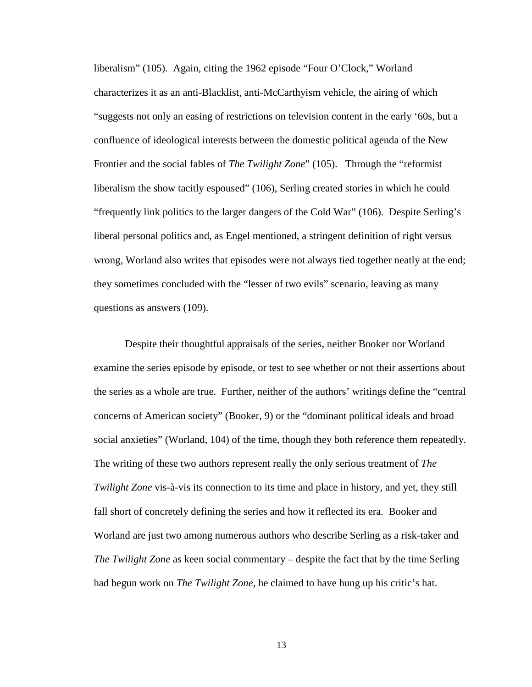liberalism" (105). Again, citing the 1962 episode "Four O'Clock," Worland characterizes it as an anti-Blacklist, anti-McCarthyism vehicle, the airing of which "suggests not only an easing of restrictions on television content in the early '60s, but a confluence of ideological interests between the domestic political agenda of the New Frontier and the social fables of *The Twilight Zone*" (105). Through the "reformist liberalism the show tacitly espoused" (106), Serling created stories in which he could "frequently link politics to the larger dangers of the Cold War" (106). Despite Serling's liberal personal politics and, as Engel mentioned, a stringent definition of right versus wrong, Worland also writes that episodes were not always tied together neatly at the end; they sometimes concluded with the "lesser of two evils" scenario, leaving as many questions as answers (109).

 Despite their thoughtful appraisals of the series, neither Booker nor Worland examine the series episode by episode, or test to see whether or not their assertions about the series as a whole are true. Further, neither of the authors' writings define the "central concerns of American society" (Booker, 9) or the "dominant political ideals and broad social anxieties" (Worland, 104) of the time, though they both reference them repeatedly. The writing of these two authors represent really the only serious treatment of *The Twilight Zone* vis-à-vis its connection to its time and place in history, and yet, they still fall short of concretely defining the series and how it reflected its era. Booker and Worland are just two among numerous authors who describe Serling as a risk-taker and *The Twilight Zone* as keen social commentary – despite the fact that by the time Serling had begun work on *The Twilight Zone*, he claimed to have hung up his critic's hat.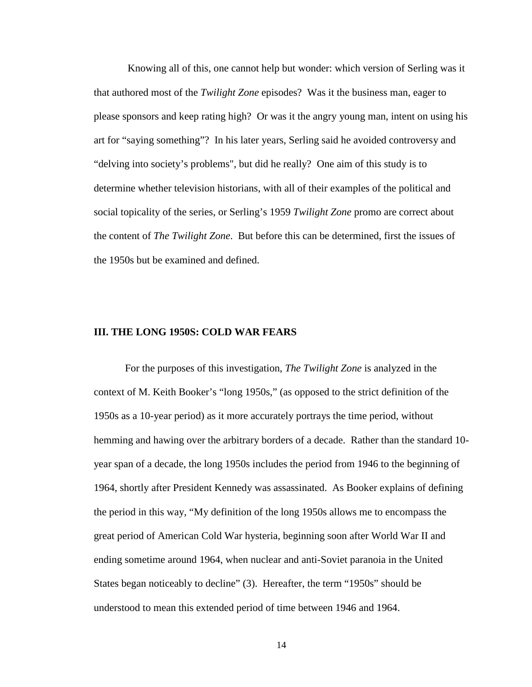Knowing all of this, one cannot help but wonder: which version of Serling was it that authored most of the *Twilight Zone* episodes? Was it the business man, eager to please sponsors and keep rating high? Or was it the angry young man, intent on using his art for "saying something"? In his later years, Serling said he avoided controversy and "delving into society's problems", but did he really? One aim of this study is to determine whether television historians, with all of their examples of the political and social topicality of the series, or Serling's 1959 *Twilight Zone* promo are correct about the content of *The Twilight Zone*. But before this can be determined, first the issues of the 1950s but be examined and defined.

#### **III. THE LONG 1950S: COLD WAR FEARS**

For the purposes of this investigation, *The Twilight Zone* is analyzed in the context of M. Keith Booker's "long 1950s," (as opposed to the strict definition of the 1950s as a 10-year period) as it more accurately portrays the time period, without hemming and hawing over the arbitrary borders of a decade. Rather than the standard 10 year span of a decade, the long 1950s includes the period from 1946 to the beginning of 1964, shortly after President Kennedy was assassinated. As Booker explains of defining the period in this way, "My definition of the long 1950s allows me to encompass the great period of American Cold War hysteria, beginning soon after World War II and ending sometime around 1964, when nuclear and anti-Soviet paranoia in the United States began noticeably to decline" (3). Hereafter, the term "1950s" should be understood to mean this extended period of time between 1946 and 1964.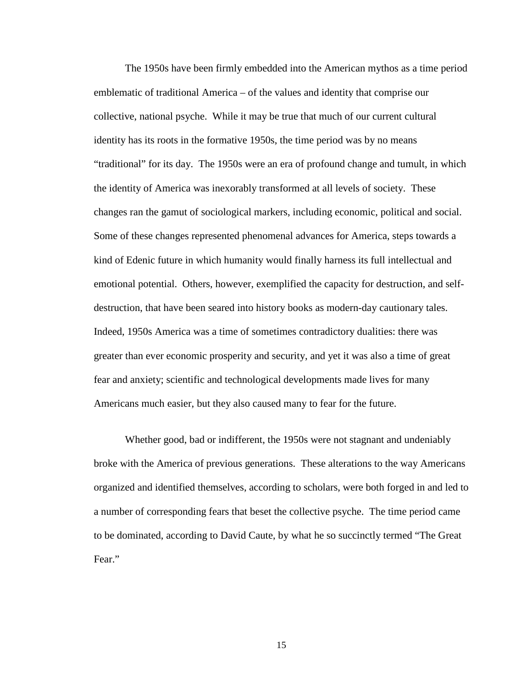The 1950s have been firmly embedded into the American mythos as a time period emblematic of traditional America – of the values and identity that comprise our collective, national psyche. While it may be true that much of our current cultural identity has its roots in the formative 1950s, the time period was by no means "traditional" for its day. The 1950s were an era of profound change and tumult, in which the identity of America was inexorably transformed at all levels of society. These changes ran the gamut of sociological markers, including economic, political and social. Some of these changes represented phenomenal advances for America, steps towards a kind of Edenic future in which humanity would finally harness its full intellectual and emotional potential. Others, however, exemplified the capacity for destruction, and selfdestruction, that have been seared into history books as modern-day cautionary tales. Indeed, 1950s America was a time of sometimes contradictory dualities: there was greater than ever economic prosperity and security, and yet it was also a time of great fear and anxiety; scientific and technological developments made lives for many Americans much easier, but they also caused many to fear for the future.

 Whether good, bad or indifferent, the 1950s were not stagnant and undeniably broke with the America of previous generations. These alterations to the way Americans organized and identified themselves, according to scholars, were both forged in and led to a number of corresponding fears that beset the collective psyche. The time period came to be dominated, according to David Caute, by what he so succinctly termed "The Great Fear."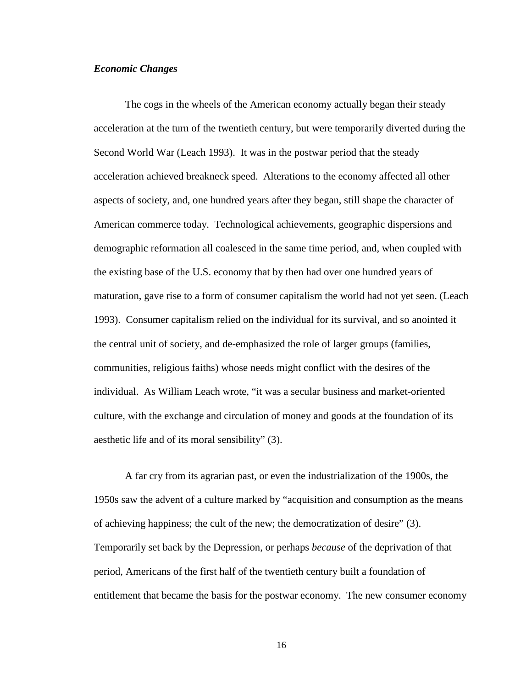#### *Economic Changes*

The cogs in the wheels of the American economy actually began their steady acceleration at the turn of the twentieth century, but were temporarily diverted during the Second World War (Leach 1993). It was in the postwar period that the steady acceleration achieved breakneck speed. Alterations to the economy affected all other aspects of society, and, one hundred years after they began, still shape the character of American commerce today. Technological achievements, geographic dispersions and demographic reformation all coalesced in the same time period, and, when coupled with the existing base of the U.S. economy that by then had over one hundred years of maturation, gave rise to a form of consumer capitalism the world had not yet seen. (Leach 1993). Consumer capitalism relied on the individual for its survival, and so anointed it the central unit of society, and de-emphasized the role of larger groups (families, communities, religious faiths) whose needs might conflict with the desires of the individual. As William Leach wrote, "it was a secular business and market-oriented culture, with the exchange and circulation of money and goods at the foundation of its aesthetic life and of its moral sensibility" (3).

A far cry from its agrarian past, or even the industrialization of the 1900s, the 1950s saw the advent of a culture marked by "acquisition and consumption as the means of achieving happiness; the cult of the new; the democratization of desire" (3). Temporarily set back by the Depression, or perhaps *because* of the deprivation of that period, Americans of the first half of the twentieth century built a foundation of entitlement that became the basis for the postwar economy. The new consumer economy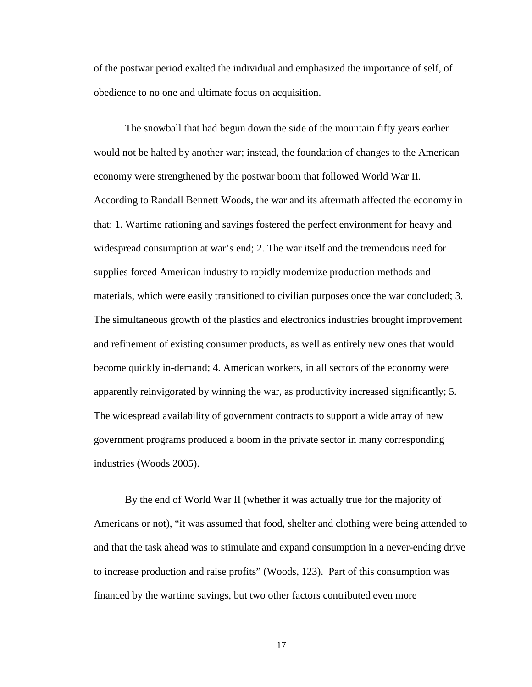of the postwar period exalted the individual and emphasized the importance of self, of obedience to no one and ultimate focus on acquisition.

The snowball that had begun down the side of the mountain fifty years earlier would not be halted by another war; instead, the foundation of changes to the American economy were strengthened by the postwar boom that followed World War II. According to Randall Bennett Woods, the war and its aftermath affected the economy in that: 1. Wartime rationing and savings fostered the perfect environment for heavy and widespread consumption at war's end; 2. The war itself and the tremendous need for supplies forced American industry to rapidly modernize production methods and materials, which were easily transitioned to civilian purposes once the war concluded; 3. The simultaneous growth of the plastics and electronics industries brought improvement and refinement of existing consumer products, as well as entirely new ones that would become quickly in-demand; 4. American workers, in all sectors of the economy were apparently reinvigorated by winning the war, as productivity increased significantly; 5. The widespread availability of government contracts to support a wide array of new government programs produced a boom in the private sector in many corresponding industries (Woods 2005).

By the end of World War II (whether it was actually true for the majority of Americans or not), "it was assumed that food, shelter and clothing were being attended to and that the task ahead was to stimulate and expand consumption in a never-ending drive to increase production and raise profits" (Woods, 123). Part of this consumption was financed by the wartime savings, but two other factors contributed even more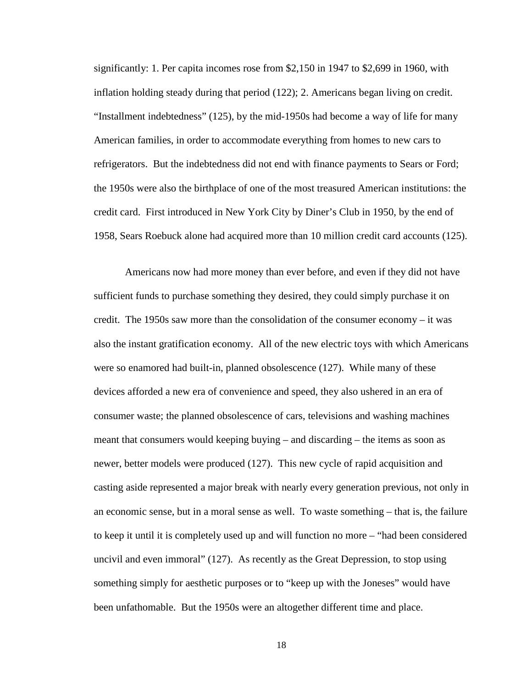significantly: 1. Per capita incomes rose from \$2,150 in 1947 to \$2,699 in 1960, with inflation holding steady during that period (122); 2. Americans began living on credit. "Installment indebtedness" (125), by the mid-1950s had become a way of life for many American families, in order to accommodate everything from homes to new cars to refrigerators. But the indebtedness did not end with finance payments to Sears or Ford; the 1950s were also the birthplace of one of the most treasured American institutions: the credit card. First introduced in New York City by Diner's Club in 1950, by the end of 1958, Sears Roebuck alone had acquired more than 10 million credit card accounts (125).

Americans now had more money than ever before, and even if they did not have sufficient funds to purchase something they desired, they could simply purchase it on credit. The 1950s saw more than the consolidation of the consumer economy – it was also the instant gratification economy. All of the new electric toys with which Americans were so enamored had built-in, planned obsolescence (127). While many of these devices afforded a new era of convenience and speed, they also ushered in an era of consumer waste; the planned obsolescence of cars, televisions and washing machines meant that consumers would keeping buying – and discarding – the items as soon as newer, better models were produced (127). This new cycle of rapid acquisition and casting aside represented a major break with nearly every generation previous, not only in an economic sense, but in a moral sense as well. To waste something – that is, the failure to keep it until it is completely used up and will function no more – "had been considered uncivil and even immoral" (127). As recently as the Great Depression, to stop using something simply for aesthetic purposes or to "keep up with the Joneses" would have been unfathomable. But the 1950s were an altogether different time and place.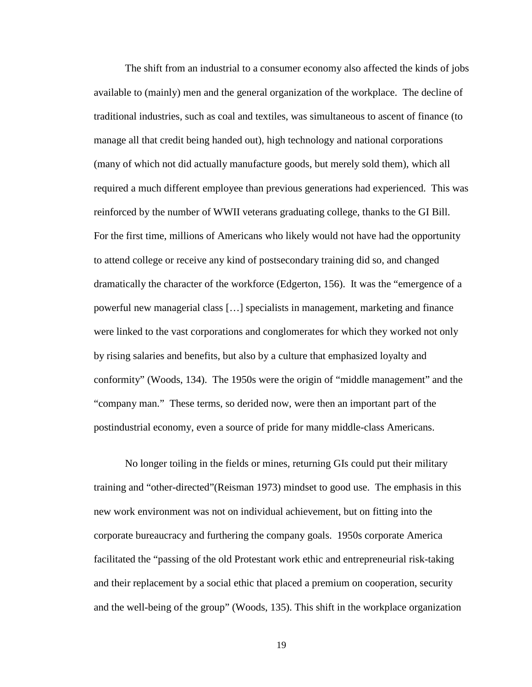The shift from an industrial to a consumer economy also affected the kinds of jobs available to (mainly) men and the general organization of the workplace. The decline of traditional industries, such as coal and textiles, was simultaneous to ascent of finance (to manage all that credit being handed out), high technology and national corporations (many of which not did actually manufacture goods, but merely sold them), which all required a much different employee than previous generations had experienced. This was reinforced by the number of WWII veterans graduating college, thanks to the GI Bill. For the first time, millions of Americans who likely would not have had the opportunity to attend college or receive any kind of postsecondary training did so, and changed dramatically the character of the workforce (Edgerton, 156). It was the "emergence of a powerful new managerial class […] specialists in management, marketing and finance were linked to the vast corporations and conglomerates for which they worked not only by rising salaries and benefits, but also by a culture that emphasized loyalty and conformity" (Woods, 134). The 1950s were the origin of "middle management" and the "company man." These terms, so derided now, were then an important part of the postindustrial economy, even a source of pride for many middle-class Americans.

No longer toiling in the fields or mines, returning GIs could put their military training and "other-directed"(Reisman 1973) mindset to good use. The emphasis in this new work environment was not on individual achievement, but on fitting into the corporate bureaucracy and furthering the company goals. 1950s corporate America facilitated the "passing of the old Protestant work ethic and entrepreneurial risk-taking and their replacement by a social ethic that placed a premium on cooperation, security and the well-being of the group" (Woods, 135). This shift in the workplace organization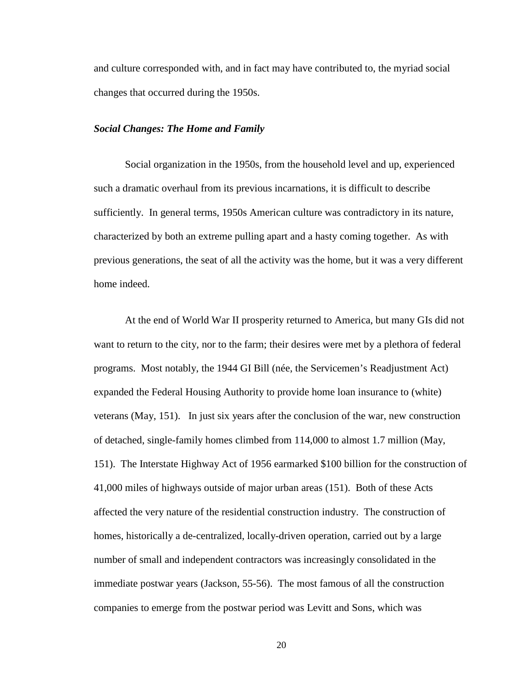and culture corresponded with, and in fact may have contributed to, the myriad social changes that occurred during the 1950s.

#### *Social Changes: The Home and Family*

 Social organization in the 1950s, from the household level and up, experienced such a dramatic overhaul from its previous incarnations, it is difficult to describe sufficiently. In general terms, 1950s American culture was contradictory in its nature, characterized by both an extreme pulling apart and a hasty coming together. As with previous generations, the seat of all the activity was the home, but it was a very different home indeed.

 At the end of World War II prosperity returned to America, but many GIs did not want to return to the city, nor to the farm; their desires were met by a plethora of federal programs. Most notably, the 1944 GI Bill (née, the Servicemen's Readjustment Act) expanded the Federal Housing Authority to provide home loan insurance to (white) veterans (May, 151). In just six years after the conclusion of the war, new construction of detached, single-family homes climbed from 114,000 to almost 1.7 million (May, 151). The Interstate Highway Act of 1956 earmarked \$100 billion for the construction of 41,000 miles of highways outside of major urban areas (151). Both of these Acts affected the very nature of the residential construction industry. The construction of homes, historically a de-centralized, locally-driven operation, carried out by a large number of small and independent contractors was increasingly consolidated in the immediate postwar years (Jackson, 55-56). The most famous of all the construction companies to emerge from the postwar period was Levitt and Sons, which was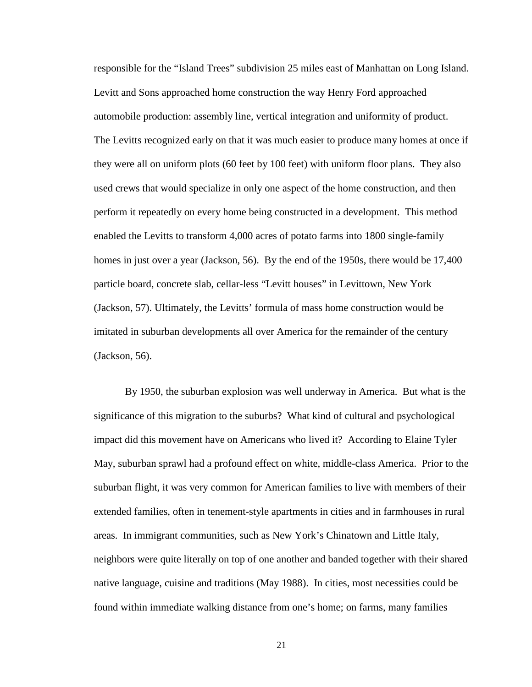responsible for the "Island Trees" subdivision 25 miles east of Manhattan on Long Island. Levitt and Sons approached home construction the way Henry Ford approached automobile production: assembly line, vertical integration and uniformity of product. The Levitts recognized early on that it was much easier to produce many homes at once if they were all on uniform plots (60 feet by 100 feet) with uniform floor plans. They also used crews that would specialize in only one aspect of the home construction, and then perform it repeatedly on every home being constructed in a development. This method enabled the Levitts to transform 4,000 acres of potato farms into 1800 single-family homes in just over a year (Jackson, 56). By the end of the 1950s, there would be 17,400 particle board, concrete slab, cellar-less "Levitt houses" in Levittown, New York (Jackson, 57). Ultimately, the Levitts' formula of mass home construction would be imitated in suburban developments all over America for the remainder of the century (Jackson, 56).

 By 1950, the suburban explosion was well underway in America. But what is the significance of this migration to the suburbs? What kind of cultural and psychological impact did this movement have on Americans who lived it? According to Elaine Tyler May, suburban sprawl had a profound effect on white, middle-class America. Prior to the suburban flight, it was very common for American families to live with members of their extended families, often in tenement-style apartments in cities and in farmhouses in rural areas. In immigrant communities, such as New York's Chinatown and Little Italy, neighbors were quite literally on top of one another and banded together with their shared native language, cuisine and traditions (May 1988). In cities, most necessities could be found within immediate walking distance from one's home; on farms, many families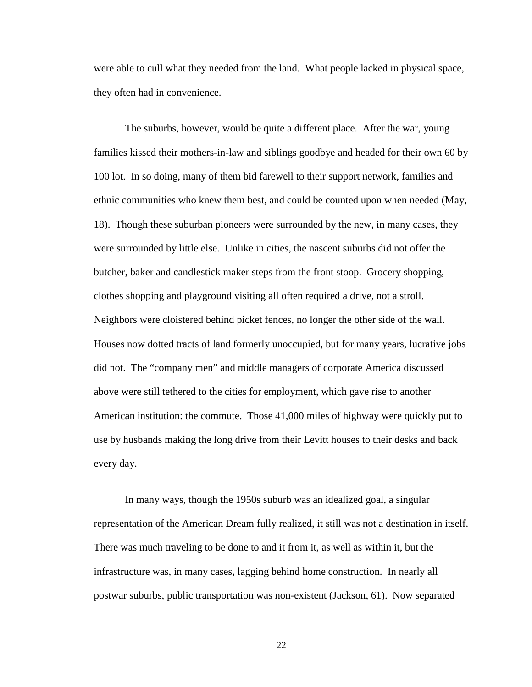were able to cull what they needed from the land. What people lacked in physical space, they often had in convenience.

 The suburbs, however, would be quite a different place. After the war, young families kissed their mothers-in-law and siblings goodbye and headed for their own 60 by 100 lot. In so doing, many of them bid farewell to their support network, families and ethnic communities who knew them best, and could be counted upon when needed (May, 18). Though these suburban pioneers were surrounded by the new, in many cases, they were surrounded by little else. Unlike in cities, the nascent suburbs did not offer the butcher, baker and candlestick maker steps from the front stoop. Grocery shopping, clothes shopping and playground visiting all often required a drive, not a stroll. Neighbors were cloistered behind picket fences, no longer the other side of the wall. Houses now dotted tracts of land formerly unoccupied, but for many years, lucrative jobs did not. The "company men" and middle managers of corporate America discussed above were still tethered to the cities for employment, which gave rise to another American institution: the commute. Those 41,000 miles of highway were quickly put to use by husbands making the long drive from their Levitt houses to their desks and back every day.

 In many ways, though the 1950s suburb was an idealized goal, a singular representation of the American Dream fully realized, it still was not a destination in itself. There was much traveling to be done to and it from it, as well as within it, but the infrastructure was, in many cases, lagging behind home construction. In nearly all postwar suburbs, public transportation was non-existent (Jackson, 61). Now separated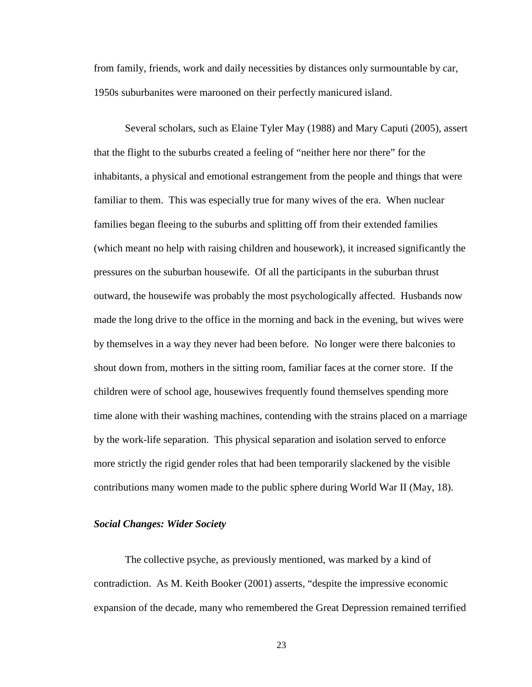from family, friends, work and daily necessities by distances only surmountable by car, 1950s suburbanites were marooned on their perfectly manicured island.

 Several scholars, such as Elaine Tyler May (1988) and Mary Caputi (2005), assert that the flight to the suburbs created a feeling of "neither here nor there" for the inhabitants, a physical and emotional estrangement from the people and things that were familiar to them. This was especially true for many wives of the era. When nuclear families began fleeing to the suburbs and splitting off from their extended families (which meant no help with raising children and housework), it increased significantly the pressures on the suburban housewife. Of all the participants in the suburban thrust outward, the housewife was probably the most psychologically affected. Husbands now made the long drive to the office in the morning and back in the evening, but wives were by themselves in a way they never had been before. No longer were there balconies to shout down from, mothers in the sitting room, familiar faces at the corner store. If the children were of school age, housewives frequently found themselves spending more time alone with their washing machines, contending with the strains placed on a marriage by the work-life separation. This physical separation and isolation served to enforce more strictly the rigid gender roles that had been temporarily slackened by the visible contributions many women made to the public sphere during World War II (May, 18).

### *Social Changes: Wider Society*

The collective psyche, as previously mentioned, was marked by a kind of contradiction. As M. Keith Booker (2001) asserts, "despite the impressive economic expansion of the decade, many who remembered the Great Depression remained terrified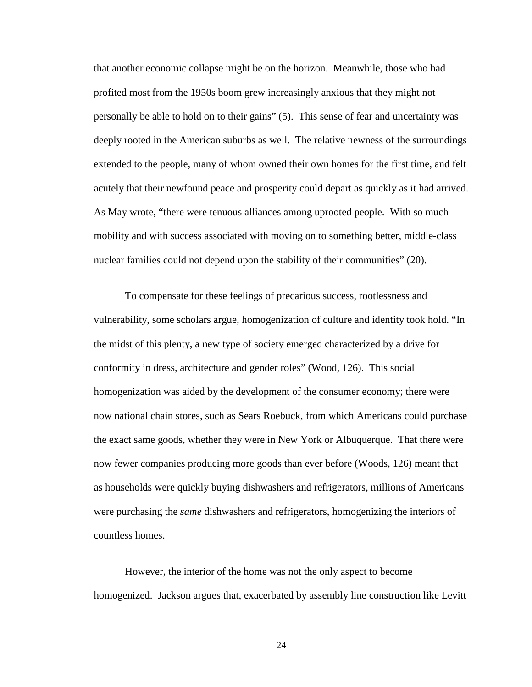that another economic collapse might be on the horizon. Meanwhile, those who had profited most from the 1950s boom grew increasingly anxious that they might not personally be able to hold on to their gains" (5). This sense of fear and uncertainty was deeply rooted in the American suburbs as well. The relative newness of the surroundings extended to the people, many of whom owned their own homes for the first time, and felt acutely that their newfound peace and prosperity could depart as quickly as it had arrived. As May wrote, "there were tenuous alliances among uprooted people. With so much mobility and with success associated with moving on to something better, middle-class nuclear families could not depend upon the stability of their communities" (20).

To compensate for these feelings of precarious success, rootlessness and vulnerability, some scholars argue, homogenization of culture and identity took hold. "In the midst of this plenty, a new type of society emerged characterized by a drive for conformity in dress, architecture and gender roles" (Wood, 126). This social homogenization was aided by the development of the consumer economy; there were now national chain stores, such as Sears Roebuck, from which Americans could purchase the exact same goods, whether they were in New York or Albuquerque. That there were now fewer companies producing more goods than ever before (Woods, 126) meant that as households were quickly buying dishwashers and refrigerators, millions of Americans were purchasing the *same* dishwashers and refrigerators, homogenizing the interiors of countless homes.

However, the interior of the home was not the only aspect to become homogenized. Jackson argues that, exacerbated by assembly line construction like Levitt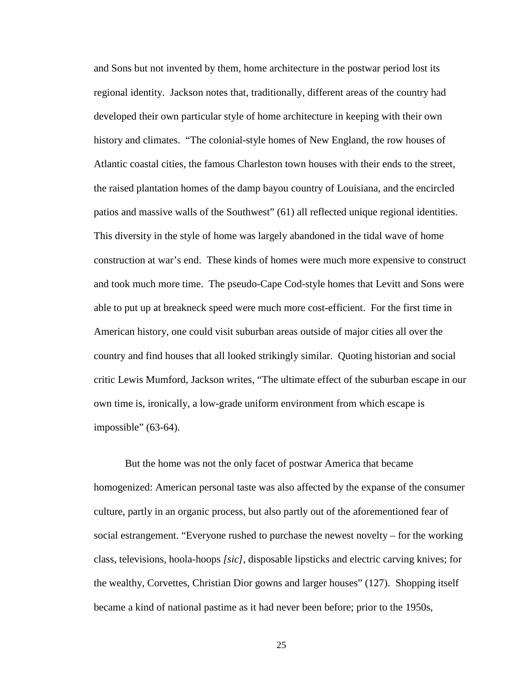and Sons but not invented by them, home architecture in the postwar period lost its regional identity. Jackson notes that, traditionally, different areas of the country had developed their own particular style of home architecture in keeping with their own history and climates. "The colonial-style homes of New England, the row houses of Atlantic coastal cities, the famous Charleston town houses with their ends to the street, the raised plantation homes of the damp bayou country of Louisiana, and the encircled patios and massive walls of the Southwest" (61) all reflected unique regional identities. This diversity in the style of home was largely abandoned in the tidal wave of home construction at war's end. These kinds of homes were much more expensive to construct and took much more time. The pseudo-Cape Cod-style homes that Levitt and Sons were able to put up at breakneck speed were much more cost-efficient. For the first time in American history, one could visit suburban areas outside of major cities all over the country and find houses that all looked strikingly similar. Quoting historian and social critic Lewis Mumford, Jackson writes, "The ultimate effect of the suburban escape in our own time is, ironically, a low-grade uniform environment from which escape is impossible" (63-64).

But the home was not the only facet of postwar America that became homogenized: American personal taste was also affected by the expanse of the consumer culture, partly in an organic process, but also partly out of the aforementioned fear of social estrangement. "Everyone rushed to purchase the newest novelty – for the working class, televisions, hoola-hoops *[sic]*, disposable lipsticks and electric carving knives; for the wealthy, Corvettes, Christian Dior gowns and larger houses" (127). Shopping itself became a kind of national pastime as it had never been before; prior to the 1950s,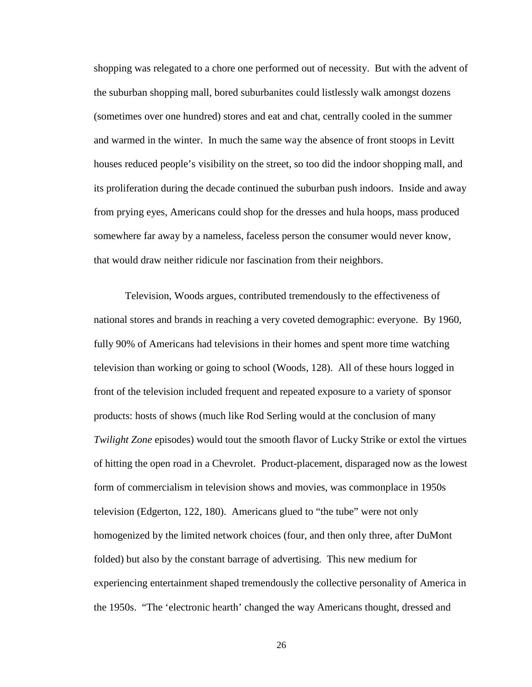shopping was relegated to a chore one performed out of necessity. But with the advent of the suburban shopping mall, bored suburbanites could listlessly walk amongst dozens (sometimes over one hundred) stores and eat and chat, centrally cooled in the summer and warmed in the winter. In much the same way the absence of front stoops in Levitt houses reduced people's visibility on the street, so too did the indoor shopping mall, and its proliferation during the decade continued the suburban push indoors. Inside and away from prying eyes, Americans could shop for the dresses and hula hoops, mass produced somewhere far away by a nameless, faceless person the consumer would never know, that would draw neither ridicule nor fascination from their neighbors.

Television, Woods argues, contributed tremendously to the effectiveness of national stores and brands in reaching a very coveted demographic: everyone. By 1960, fully 90% of Americans had televisions in their homes and spent more time watching television than working or going to school (Woods, 128). All of these hours logged in front of the television included frequent and repeated exposure to a variety of sponsor products: hosts of shows (much like Rod Serling would at the conclusion of many *Twilight Zone* episodes) would tout the smooth flavor of Lucky Strike or extol the virtues of hitting the open road in a Chevrolet. Product-placement, disparaged now as the lowest form of commercialism in television shows and movies, was commonplace in 1950s television (Edgerton, 122, 180). Americans glued to "the tube" were not only homogenized by the limited network choices (four, and then only three, after DuMont folded) but also by the constant barrage of advertising. This new medium for experiencing entertainment shaped tremendously the collective personality of America in the 1950s. "The 'electronic hearth' changed the way Americans thought, dressed and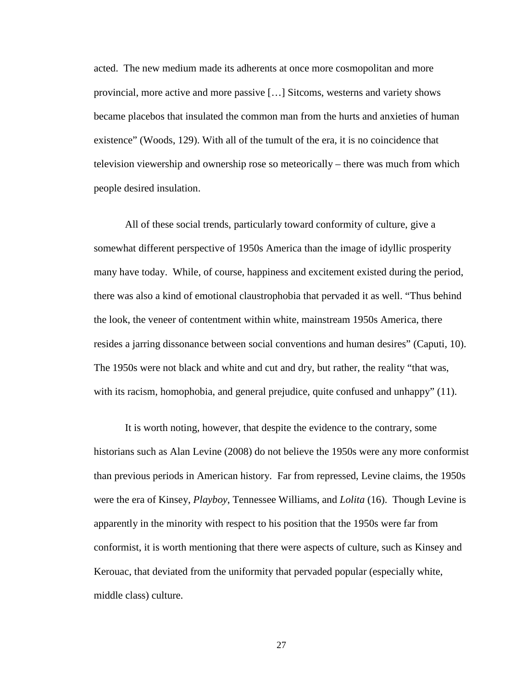acted. The new medium made its adherents at once more cosmopolitan and more provincial, more active and more passive […] Sitcoms, westerns and variety shows became placebos that insulated the common man from the hurts and anxieties of human existence" (Woods, 129). With all of the tumult of the era, it is no coincidence that television viewership and ownership rose so meteorically – there was much from which people desired insulation.

All of these social trends, particularly toward conformity of culture, give a somewhat different perspective of 1950s America than the image of idyllic prosperity many have today. While, of course, happiness and excitement existed during the period, there was also a kind of emotional claustrophobia that pervaded it as well. "Thus behind the look, the veneer of contentment within white, mainstream 1950s America, there resides a jarring dissonance between social conventions and human desires" (Caputi, 10). The 1950s were not black and white and cut and dry, but rather, the reality "that was, with its racism, homophobia, and general prejudice, quite confused and unhappy" (11).

It is worth noting, however, that despite the evidence to the contrary, some historians such as Alan Levine (2008) do not believe the 1950s were any more conformist than previous periods in American history. Far from repressed, Levine claims, the 1950s were the era of Kinsey, *Playboy*, Tennessee Williams, and *Lolita* (16). Though Levine is apparently in the minority with respect to his position that the 1950s were far from conformist, it is worth mentioning that there were aspects of culture, such as Kinsey and Kerouac, that deviated from the uniformity that pervaded popular (especially white, middle class) culture.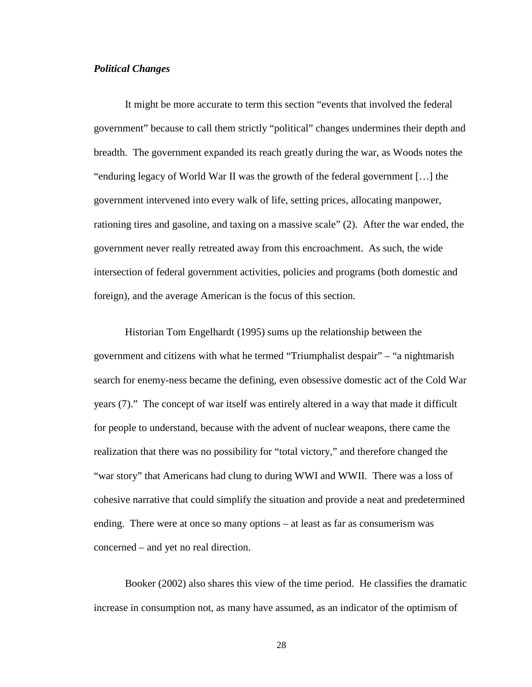#### *Political Changes*

 It might be more accurate to term this section "events that involved the federal government" because to call them strictly "political" changes undermines their depth and breadth. The government expanded its reach greatly during the war, as Woods notes the "enduring legacy of World War II was the growth of the federal government […] the government intervened into every walk of life, setting prices, allocating manpower, rationing tires and gasoline, and taxing on a massive scale" (2). After the war ended, the government never really retreated away from this encroachment. As such, the wide intersection of federal government activities, policies and programs (both domestic and foreign), and the average American is the focus of this section.

 Historian Tom Engelhardt (1995) sums up the relationship between the government and citizens with what he termed "Triumphalist despair" – "a nightmarish search for enemy-ness became the defining, even obsessive domestic act of the Cold War years (7)." The concept of war itself was entirely altered in a way that made it difficult for people to understand, because with the advent of nuclear weapons, there came the realization that there was no possibility for "total victory," and therefore changed the "war story" that Americans had clung to during WWI and WWII. There was a loss of cohesive narrative that could simplify the situation and provide a neat and predetermined ending. There were at once so many options – at least as far as consumerism was concerned – and yet no real direction.

 Booker (2002) also shares this view of the time period. He classifies the dramatic increase in consumption not, as many have assumed, as an indicator of the optimism of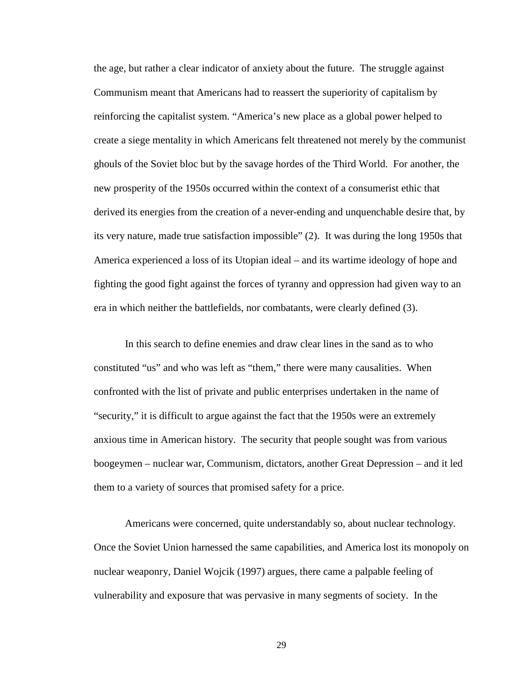the age, but rather a clear indicator of anxiety about the future. The struggle against Communism meant that Americans had to reassert the superiority of capitalism by reinforcing the capitalist system. "America's new place as a global power helped to create a siege mentality in which Americans felt threatened not merely by the communist ghouls of the Soviet bloc but by the savage hordes of the Third World. For another, the new prosperity of the 1950s occurred within the context of a consumerist ethic that derived its energies from the creation of a never-ending and unquenchable desire that, by its very nature, made true satisfaction impossible" (2). It was during the long 1950s that America experienced a loss of its Utopian ideal – and its wartime ideology of hope and fighting the good fight against the forces of tyranny and oppression had given way to an era in which neither the battlefields, nor combatants, were clearly defined (3).

 In this search to define enemies and draw clear lines in the sand as to who constituted "us" and who was left as "them," there were many causalities. When confronted with the list of private and public enterprises undertaken in the name of "security," it is difficult to argue against the fact that the 1950s were an extremely anxious time in American history. The security that people sought was from various boogeymen – nuclear war, Communism, dictators, another Great Depression – and it led them to a variety of sources that promised safety for a price.

 Americans were concerned, quite understandably so, about nuclear technology. Once the Soviet Union harnessed the same capabilities, and America lost its monopoly on nuclear weaponry, Daniel Wojcik (1997) argues, there came a palpable feeling of vulnerability and exposure that was pervasive in many segments of society. In the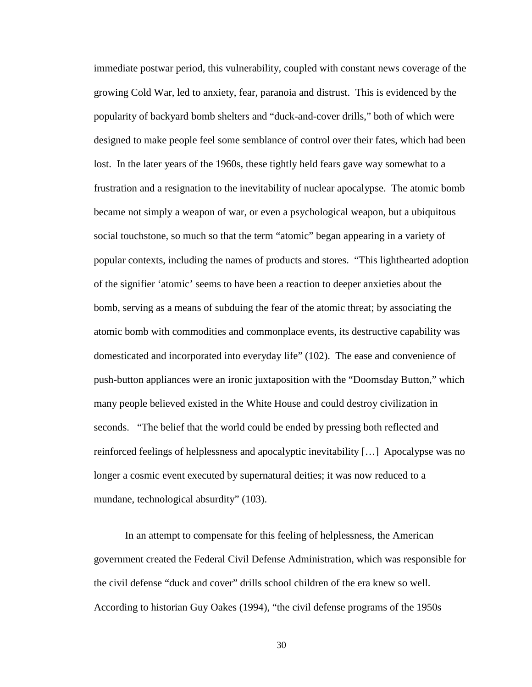immediate postwar period, this vulnerability, coupled with constant news coverage of the growing Cold War, led to anxiety, fear, paranoia and distrust. This is evidenced by the popularity of backyard bomb shelters and "duck-and-cover drills," both of which were designed to make people feel some semblance of control over their fates, which had been lost. In the later years of the 1960s, these tightly held fears gave way somewhat to a frustration and a resignation to the inevitability of nuclear apocalypse. The atomic bomb became not simply a weapon of war, or even a psychological weapon, but a ubiquitous social touchstone, so much so that the term "atomic" began appearing in a variety of popular contexts, including the names of products and stores. "This lighthearted adoption of the signifier 'atomic' seems to have been a reaction to deeper anxieties about the bomb, serving as a means of subduing the fear of the atomic threat; by associating the atomic bomb with commodities and commonplace events, its destructive capability was domesticated and incorporated into everyday life" (102). The ease and convenience of push-button appliances were an ironic juxtaposition with the "Doomsday Button," which many people believed existed in the White House and could destroy civilization in seconds. "The belief that the world could be ended by pressing both reflected and reinforced feelings of helplessness and apocalyptic inevitability […] Apocalypse was no longer a cosmic event executed by supernatural deities; it was now reduced to a mundane, technological absurdity" (103).

 In an attempt to compensate for this feeling of helplessness, the American government created the Federal Civil Defense Administration, which was responsible for the civil defense "duck and cover" drills school children of the era knew so well. According to historian Guy Oakes (1994), "the civil defense programs of the 1950s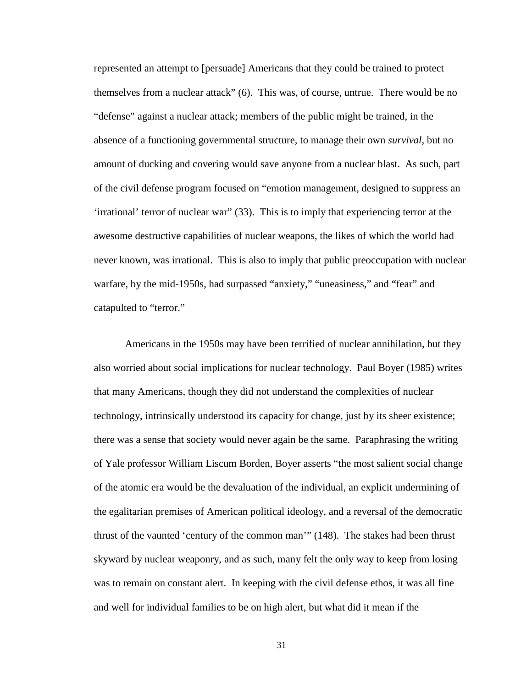represented an attempt to [persuade] Americans that they could be trained to protect themselves from a nuclear attack" (6). This was, of course, untrue. There would be no "defense" against a nuclear attack; members of the public might be trained, in the absence of a functioning governmental structure, to manage their own *survival*, but no amount of ducking and covering would save anyone from a nuclear blast. As such, part of the civil defense program focused on "emotion management, designed to suppress an 'irrational' terror of nuclear war" (33). This is to imply that experiencing terror at the awesome destructive capabilities of nuclear weapons, the likes of which the world had never known, was irrational. This is also to imply that public preoccupation with nuclear warfare, by the mid-1950s, had surpassed "anxiety," "uneasiness," and "fear" and catapulted to "terror."

 Americans in the 1950s may have been terrified of nuclear annihilation, but they also worried about social implications for nuclear technology. Paul Boyer (1985) writes that many Americans, though they did not understand the complexities of nuclear technology, intrinsically understood its capacity for change, just by its sheer existence; there was a sense that society would never again be the same. Paraphrasing the writing of Yale professor William Liscum Borden, Boyer asserts "the most salient social change of the atomic era would be the devaluation of the individual, an explicit undermining of the egalitarian premises of American political ideology, and a reversal of the democratic thrust of the vaunted 'century of the common man'" (148). The stakes had been thrust skyward by nuclear weaponry, and as such, many felt the only way to keep from losing was to remain on constant alert. In keeping with the civil defense ethos, it was all fine and well for individual families to be on high alert, but what did it mean if the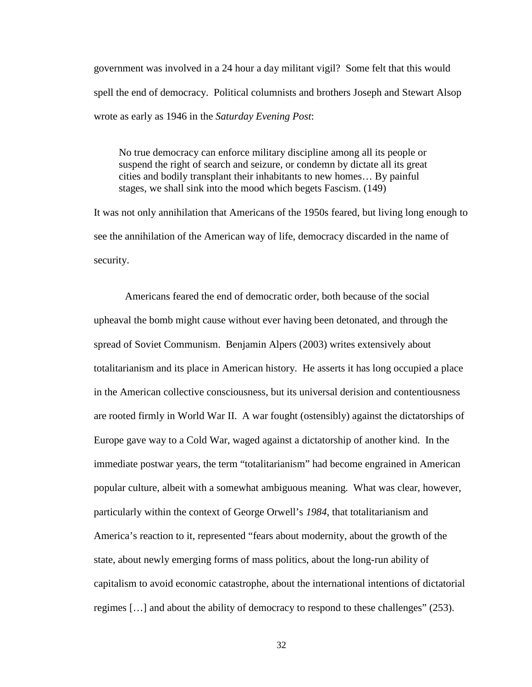government was involved in a 24 hour a day militant vigil? Some felt that this would spell the end of democracy. Political columnists and brothers Joseph and Stewart Alsop wrote as early as 1946 in the *Saturday Evening Post*:

No true democracy can enforce military discipline among all its people or suspend the right of search and seizure, or condemn by dictate all its great cities and bodily transplant their inhabitants to new homes… By painful stages, we shall sink into the mood which begets Fascism. (149)

It was not only annihilation that Americans of the 1950s feared, but living long enough to see the annihilation of the American way of life, democracy discarded in the name of security.

Americans feared the end of democratic order, both because of the social upheaval the bomb might cause without ever having been detonated, and through the spread of Soviet Communism. Benjamin Alpers (2003) writes extensively about totalitarianism and its place in American history. He asserts it has long occupied a place in the American collective consciousness, but its universal derision and contentiousness are rooted firmly in World War II. A war fought (ostensibly) against the dictatorships of Europe gave way to a Cold War, waged against a dictatorship of another kind. In the immediate postwar years, the term "totalitarianism" had become engrained in American popular culture, albeit with a somewhat ambiguous meaning. What was clear, however, particularly within the context of George Orwell's *1984*, that totalitarianism and America's reaction to it, represented "fears about modernity, about the growth of the state, about newly emerging forms of mass politics, about the long-run ability of capitalism to avoid economic catastrophe, about the international intentions of dictatorial regimes […] and about the ability of democracy to respond to these challenges" (253).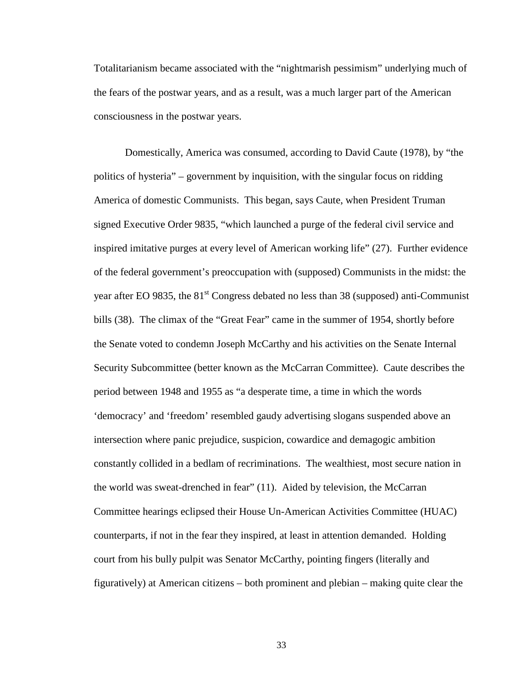Totalitarianism became associated with the "nightmarish pessimism" underlying much of the fears of the postwar years, and as a result, was a much larger part of the American consciousness in the postwar years.

 Domestically, America was consumed, according to David Caute (1978), by "the politics of hysteria" – government by inquisition, with the singular focus on ridding America of domestic Communists. This began, says Caute, when President Truman signed Executive Order 9835, "which launched a purge of the federal civil service and inspired imitative purges at every level of American working life" (27). Further evidence of the federal government's preoccupation with (supposed) Communists in the midst: the year after EO 9835, the  $81<sup>st</sup>$  Congress debated no less than 38 (supposed) anti-Communist bills (38). The climax of the "Great Fear" came in the summer of 1954, shortly before the Senate voted to condemn Joseph McCarthy and his activities on the Senate Internal Security Subcommittee (better known as the McCarran Committee). Caute describes the period between 1948 and 1955 as "a desperate time, a time in which the words 'democracy' and 'freedom' resembled gaudy advertising slogans suspended above an intersection where panic prejudice, suspicion, cowardice and demagogic ambition constantly collided in a bedlam of recriminations. The wealthiest, most secure nation in the world was sweat-drenched in fear" (11). Aided by television, the McCarran Committee hearings eclipsed their House Un-American Activities Committee (HUAC) counterparts, if not in the fear they inspired, at least in attention demanded. Holding court from his bully pulpit was Senator McCarthy, pointing fingers (literally and figuratively) at American citizens – both prominent and plebian – making quite clear the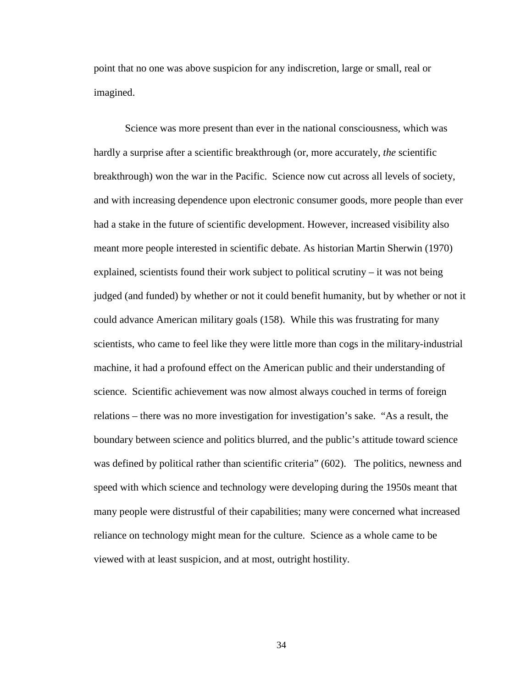point that no one was above suspicion for any indiscretion, large or small, real or imagined.

Science was more present than ever in the national consciousness, which was hardly a surprise after a scientific breakthrough (or, more accurately, *the* scientific breakthrough) won the war in the Pacific. Science now cut across all levels of society, and with increasing dependence upon electronic consumer goods, more people than ever had a stake in the future of scientific development. However, increased visibility also meant more people interested in scientific debate. As historian Martin Sherwin (1970) explained, scientists found their work subject to political scrutiny – it was not being judged (and funded) by whether or not it could benefit humanity, but by whether or not it could advance American military goals (158). While this was frustrating for many scientists, who came to feel like they were little more than cogs in the military-industrial machine, it had a profound effect on the American public and their understanding of science. Scientific achievement was now almost always couched in terms of foreign relations – there was no more investigation for investigation's sake. "As a result, the boundary between science and politics blurred, and the public's attitude toward science was defined by political rather than scientific criteria" (602). The politics, newness and speed with which science and technology were developing during the 1950s meant that many people were distrustful of their capabilities; many were concerned what increased reliance on technology might mean for the culture. Science as a whole came to be viewed with at least suspicion, and at most, outright hostility.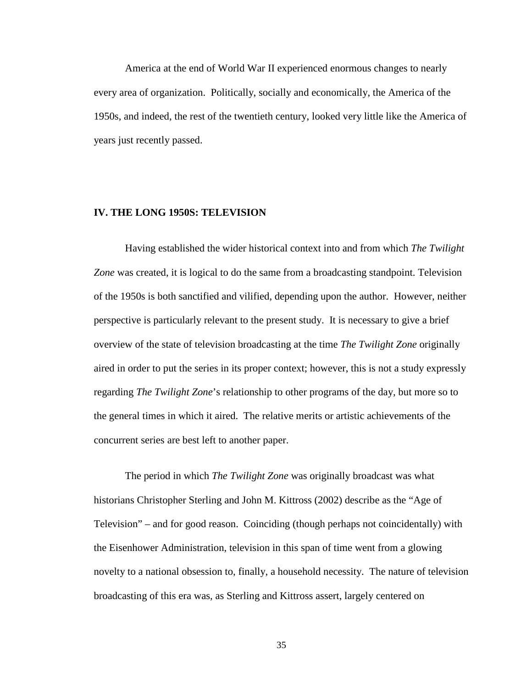America at the end of World War II experienced enormous changes to nearly every area of organization. Politically, socially and economically, the America of the 1950s, and indeed, the rest of the twentieth century, looked very little like the America of years just recently passed.

# **IV. THE LONG 1950S: TELEVISION**

 Having established the wider historical context into and from which *The Twilight Zone* was created, it is logical to do the same from a broadcasting standpoint. Television of the 1950s is both sanctified and vilified, depending upon the author. However, neither perspective is particularly relevant to the present study. It is necessary to give a brief overview of the state of television broadcasting at the time *The Twilight Zone* originally aired in order to put the series in its proper context; however, this is not a study expressly regarding *The Twilight Zone*'s relationship to other programs of the day, but more so to the general times in which it aired. The relative merits or artistic achievements of the concurrent series are best left to another paper.

 The period in which *The Twilight Zone* was originally broadcast was what historians Christopher Sterling and John M. Kittross (2002) describe as the "Age of Television" – and for good reason. Coinciding (though perhaps not coincidentally) with the Eisenhower Administration, television in this span of time went from a glowing novelty to a national obsession to, finally, a household necessity. The nature of television broadcasting of this era was, as Sterling and Kittross assert, largely centered on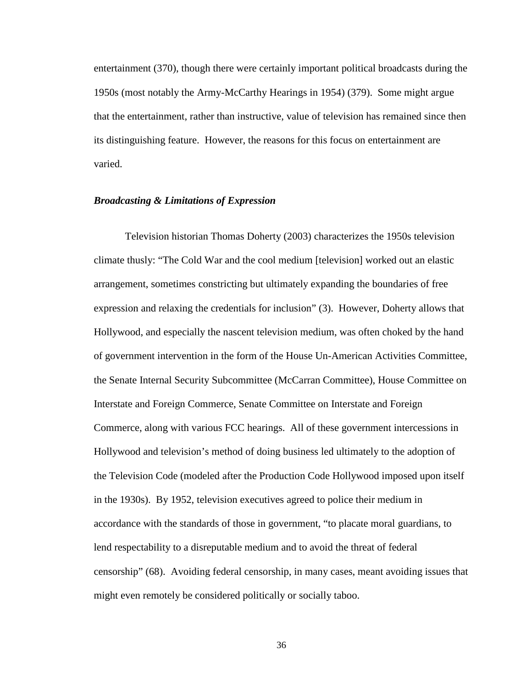entertainment (370), though there were certainly important political broadcasts during the 1950s (most notably the Army-McCarthy Hearings in 1954) (379). Some might argue that the entertainment, rather than instructive, value of television has remained since then its distinguishing feature. However, the reasons for this focus on entertainment are varied.

# *Broadcasting & Limitations of Expression*

 Television historian Thomas Doherty (2003) characterizes the 1950s television climate thusly: "The Cold War and the cool medium [television] worked out an elastic arrangement, sometimes constricting but ultimately expanding the boundaries of free expression and relaxing the credentials for inclusion" (3). However, Doherty allows that Hollywood, and especially the nascent television medium, was often choked by the hand of government intervention in the form of the House Un-American Activities Committee, the Senate Internal Security Subcommittee (McCarran Committee), House Committee on Interstate and Foreign Commerce, Senate Committee on Interstate and Foreign Commerce, along with various FCC hearings. All of these government intercessions in Hollywood and television's method of doing business led ultimately to the adoption of the Television Code (modeled after the Production Code Hollywood imposed upon itself in the 1930s). By 1952, television executives agreed to police their medium in accordance with the standards of those in government, "to placate moral guardians, to lend respectability to a disreputable medium and to avoid the threat of federal censorship" (68). Avoiding federal censorship, in many cases, meant avoiding issues that might even remotely be considered politically or socially taboo.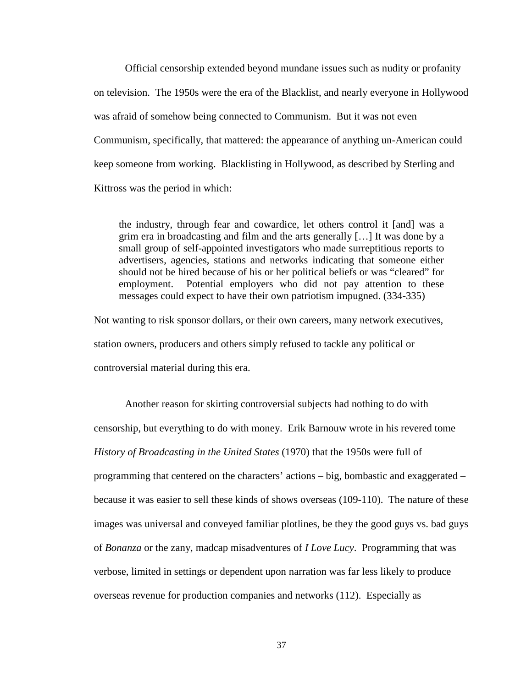Official censorship extended beyond mundane issues such as nudity or profanity on television. The 1950s were the era of the Blacklist, and nearly everyone in Hollywood was afraid of somehow being connected to Communism. But it was not even Communism, specifically, that mattered: the appearance of anything un-American could keep someone from working. Blacklisting in Hollywood, as described by Sterling and Kittross was the period in which:

the industry, through fear and cowardice, let others control it [and] was a grim era in broadcasting and film and the arts generally […] It was done by a small group of self-appointed investigators who made surreptitious reports to advertisers, agencies, stations and networks indicating that someone either should not be hired because of his or her political beliefs or was "cleared" for employment. Potential employers who did not pay attention to these messages could expect to have their own patriotism impugned. (334-335)

Not wanting to risk sponsor dollars, or their own careers, many network executives, station owners, producers and others simply refused to tackle any political or controversial material during this era.

 Another reason for skirting controversial subjects had nothing to do with censorship, but everything to do with money. Erik Barnouw wrote in his revered tome *History of Broadcasting in the United States* (1970) that the 1950s were full of programming that centered on the characters' actions – big, bombastic and exaggerated – because it was easier to sell these kinds of shows overseas (109-110). The nature of these images was universal and conveyed familiar plotlines, be they the good guys vs. bad guys of *Bonanza* or the zany, madcap misadventures of *I Love Lucy*. Programming that was verbose, limited in settings or dependent upon narration was far less likely to produce overseas revenue for production companies and networks (112). Especially as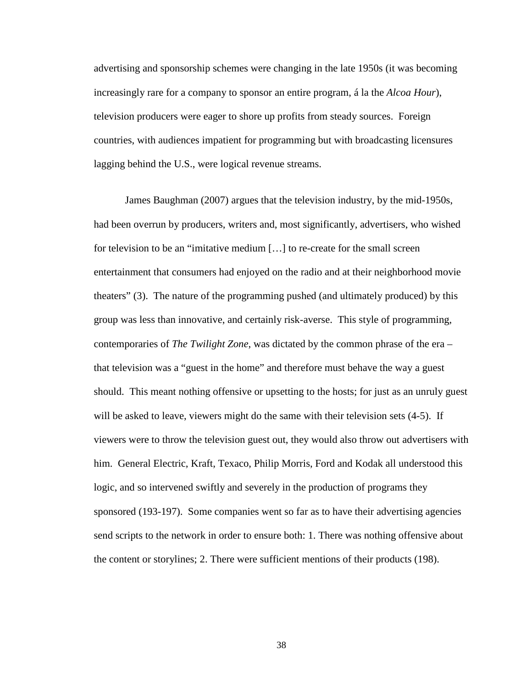advertising and sponsorship schemes were changing in the late 1950s (it was becoming increasingly rare for a company to sponsor an entire program, á la the *Alcoa Hour*), television producers were eager to shore up profits from steady sources. Foreign countries, with audiences impatient for programming but with broadcasting licensures lagging behind the U.S., were logical revenue streams.

 James Baughman (2007) argues that the television industry, by the mid-1950s, had been overrun by producers, writers and, most significantly, advertisers, who wished for television to be an "imitative medium […] to re-create for the small screen entertainment that consumers had enjoyed on the radio and at their neighborhood movie theaters" (3). The nature of the programming pushed (and ultimately produced) by this group was less than innovative, and certainly risk-averse. This style of programming, contemporaries of *The Twilight Zone*, was dictated by the common phrase of the era – that television was a "guest in the home" and therefore must behave the way a guest should. This meant nothing offensive or upsetting to the hosts; for just as an unruly guest will be asked to leave, viewers might do the same with their television sets  $(4-5)$ . If viewers were to throw the television guest out, they would also throw out advertisers with him. General Electric, Kraft, Texaco, Philip Morris, Ford and Kodak all understood this logic, and so intervened swiftly and severely in the production of programs they sponsored (193-197). Some companies went so far as to have their advertising agencies send scripts to the network in order to ensure both: 1. There was nothing offensive about the content or storylines; 2. There were sufficient mentions of their products (198).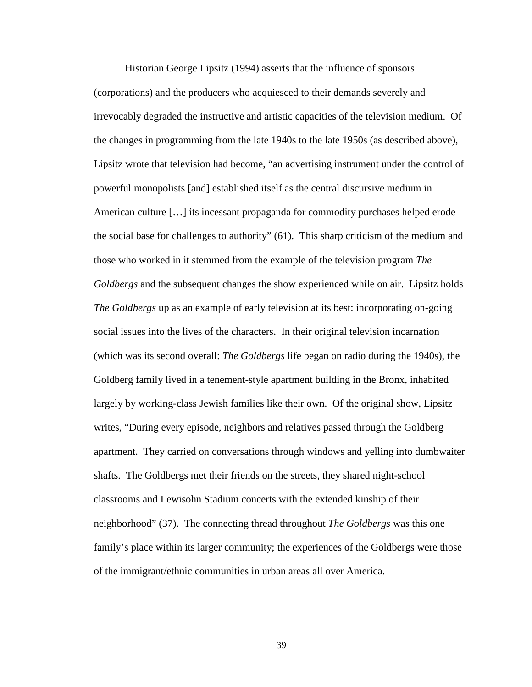Historian George Lipsitz (1994) asserts that the influence of sponsors (corporations) and the producers who acquiesced to their demands severely and irrevocably degraded the instructive and artistic capacities of the television medium. Of the changes in programming from the late 1940s to the late 1950s (as described above), Lipsitz wrote that television had become, "an advertising instrument under the control of powerful monopolists [and] established itself as the central discursive medium in American culture […] its incessant propaganda for commodity purchases helped erode the social base for challenges to authority" (61). This sharp criticism of the medium and those who worked in it stemmed from the example of the television program *The Goldbergs* and the subsequent changes the show experienced while on air. Lipsitz holds *The Goldbergs* up as an example of early television at its best: incorporating on-going social issues into the lives of the characters. In their original television incarnation (which was its second overall: *The Goldbergs* life began on radio during the 1940s), the Goldberg family lived in a tenement-style apartment building in the Bronx, inhabited largely by working-class Jewish families like their own. Of the original show, Lipsitz writes, "During every episode, neighbors and relatives passed through the Goldberg apartment. They carried on conversations through windows and yelling into dumbwaiter shafts. The Goldbergs met their friends on the streets, they shared night-school classrooms and Lewisohn Stadium concerts with the extended kinship of their neighborhood" (37). The connecting thread throughout *The Goldbergs* was this one family's place within its larger community; the experiences of the Goldbergs were those of the immigrant/ethnic communities in urban areas all over America.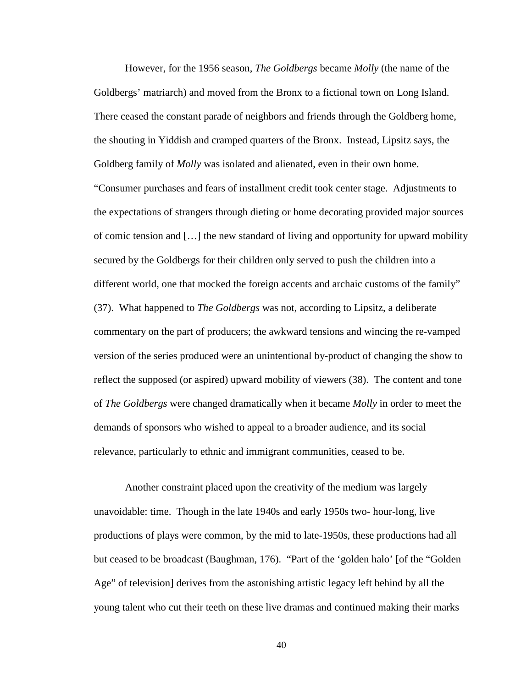However, for the 1956 season, *The Goldbergs* became *Molly* (the name of the Goldbergs' matriarch) and moved from the Bronx to a fictional town on Long Island. There ceased the constant parade of neighbors and friends through the Goldberg home, the shouting in Yiddish and cramped quarters of the Bronx. Instead, Lipsitz says, the Goldberg family of *Molly* was isolated and alienated, even in their own home. "Consumer purchases and fears of installment credit took center stage. Adjustments to the expectations of strangers through dieting or home decorating provided major sources of comic tension and […] the new standard of living and opportunity for upward mobility secured by the Goldbergs for their children only served to push the children into a different world, one that mocked the foreign accents and archaic customs of the family" (37). What happened to *The Goldbergs* was not, according to Lipsitz, a deliberate commentary on the part of producers; the awkward tensions and wincing the re-vamped version of the series produced were an unintentional by-product of changing the show to reflect the supposed (or aspired) upward mobility of viewers (38). The content and tone of *The Goldbergs* were changed dramatically when it became *Molly* in order to meet the demands of sponsors who wished to appeal to a broader audience, and its social relevance, particularly to ethnic and immigrant communities, ceased to be.

 Another constraint placed upon the creativity of the medium was largely unavoidable: time. Though in the late 1940s and early 1950s two- hour-long, live productions of plays were common, by the mid to late-1950s, these productions had all but ceased to be broadcast (Baughman, 176). "Part of the 'golden halo' [of the "Golden Age" of television] derives from the astonishing artistic legacy left behind by all the young talent who cut their teeth on these live dramas and continued making their marks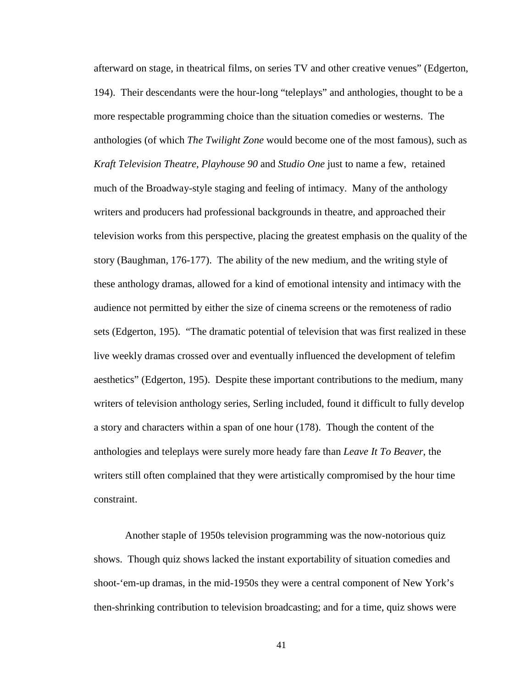afterward on stage, in theatrical films, on series TV and other creative venues" (Edgerton, 194). Their descendants were the hour-long "teleplays" and anthologies, thought to be a more respectable programming choice than the situation comedies or westerns. The anthologies (of which *The Twilight Zone* would become one of the most famous), such as *Kraft Television Theatre, Playhouse 90* and *Studio One* just to name a few, retained much of the Broadway-style staging and feeling of intimacy. Many of the anthology writers and producers had professional backgrounds in theatre, and approached their television works from this perspective, placing the greatest emphasis on the quality of the story (Baughman, 176-177). The ability of the new medium, and the writing style of these anthology dramas, allowed for a kind of emotional intensity and intimacy with the audience not permitted by either the size of cinema screens or the remoteness of radio sets (Edgerton, 195). "The dramatic potential of television that was first realized in these live weekly dramas crossed over and eventually influenced the development of telefim aesthetics" (Edgerton, 195). Despite these important contributions to the medium, many writers of television anthology series, Serling included, found it difficult to fully develop a story and characters within a span of one hour (178). Though the content of the anthologies and teleplays were surely more heady fare than *Leave It To Beaver*, the writers still often complained that they were artistically compromised by the hour time constraint.

 Another staple of 1950s television programming was the now-notorious quiz shows. Though quiz shows lacked the instant exportability of situation comedies and shoot-'em-up dramas, in the mid-1950s they were a central component of New York's then-shrinking contribution to television broadcasting; and for a time, quiz shows were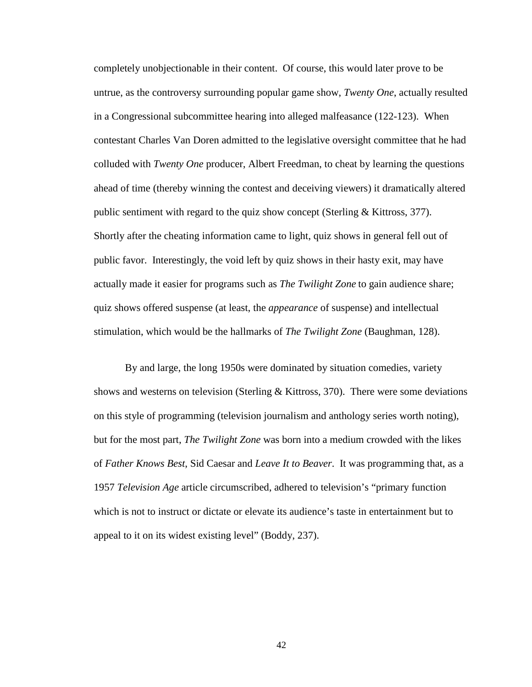completely unobjectionable in their content. Of course, this would later prove to be untrue, as the controversy surrounding popular game show, *Twenty One*, actually resulted in a Congressional subcommittee hearing into alleged malfeasance (122-123). When contestant Charles Van Doren admitted to the legislative oversight committee that he had colluded with *Twenty One* producer, Albert Freedman, to cheat by learning the questions ahead of time (thereby winning the contest and deceiving viewers) it dramatically altered public sentiment with regard to the quiz show concept (Sterling & Kittross, 377). Shortly after the cheating information came to light, quiz shows in general fell out of public favor. Interestingly, the void left by quiz shows in their hasty exit, may have actually made it easier for programs such as *The Twilight Zone* to gain audience share; quiz shows offered suspense (at least, the *appearance* of suspense) and intellectual stimulation, which would be the hallmarks of *The Twilight Zone* (Baughman, 128).

 By and large, the long 1950s were dominated by situation comedies, variety shows and westerns on television (Sterling & Kittross, 370). There were some deviations on this style of programming (television journalism and anthology series worth noting), but for the most part, *The Twilight Zone* was born into a medium crowded with the likes of *Father Knows Best*, Sid Caesar and *Leave It to Beaver*. It was programming that, as a 1957 *Television Age* article circumscribed, adhered to television's "primary function which is not to instruct or dictate or elevate its audience's taste in entertainment but to appeal to it on its widest existing level" (Boddy, 237).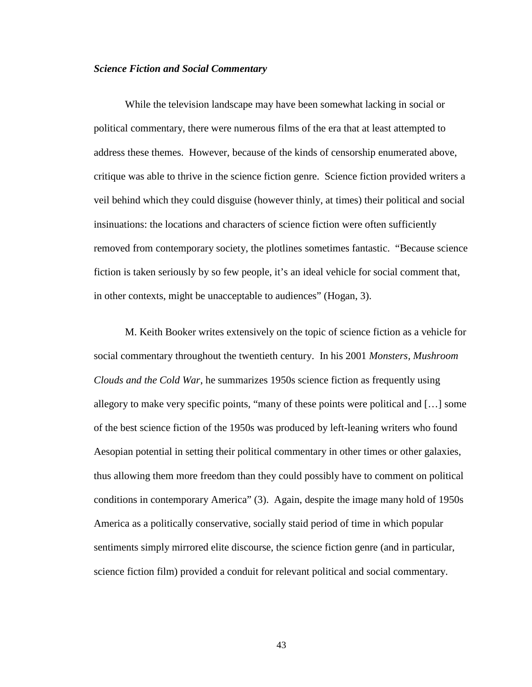### *Science Fiction and Social Commentary*

 While the television landscape may have been somewhat lacking in social or political commentary, there were numerous films of the era that at least attempted to address these themes. However, because of the kinds of censorship enumerated above, critique was able to thrive in the science fiction genre. Science fiction provided writers a veil behind which they could disguise (however thinly, at times) their political and social insinuations: the locations and characters of science fiction were often sufficiently removed from contemporary society, the plotlines sometimes fantastic. "Because science fiction is taken seriously by so few people, it's an ideal vehicle for social comment that, in other contexts, might be unacceptable to audiences" (Hogan, 3).

 M. Keith Booker writes extensively on the topic of science fiction as a vehicle for social commentary throughout the twentieth century. In his 2001 *Monsters, Mushroom Clouds and the Cold War*, he summarizes 1950s science fiction as frequently using allegory to make very specific points, "many of these points were political and […] some of the best science fiction of the 1950s was produced by left-leaning writers who found Aesopian potential in setting their political commentary in other times or other galaxies, thus allowing them more freedom than they could possibly have to comment on political conditions in contemporary America" (3). Again, despite the image many hold of 1950s America as a politically conservative, socially staid period of time in which popular sentiments simply mirrored elite discourse, the science fiction genre (and in particular, science fiction film) provided a conduit for relevant political and social commentary.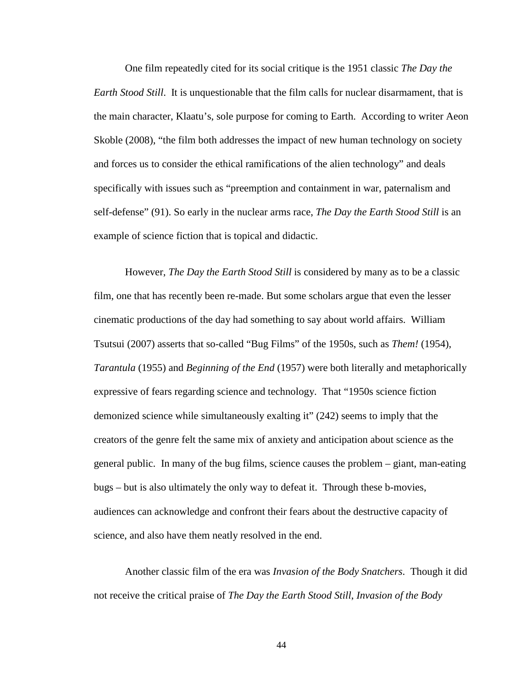One film repeatedly cited for its social critique is the 1951 classic *The Day the Earth Stood Still*. It is unquestionable that the film calls for nuclear disarmament, that is the main character, Klaatu's, sole purpose for coming to Earth. According to writer Aeon Skoble (2008), "the film both addresses the impact of new human technology on society and forces us to consider the ethical ramifications of the alien technology" and deals specifically with issues such as "preemption and containment in war, paternalism and self-defense" (91). So early in the nuclear arms race, *The Day the Earth Stood Still* is an example of science fiction that is topical and didactic.

 However, *The Day the Earth Stood Still* is considered by many as to be a classic film, one that has recently been re-made. But some scholars argue that even the lesser cinematic productions of the day had something to say about world affairs. William Tsutsui (2007) asserts that so-called "Bug Films" of the 1950s, such as *Them!* (1954), *Tarantula* (1955) and *Beginning of the End* (1957) were both literally and metaphorically expressive of fears regarding science and technology. That "1950s science fiction demonized science while simultaneously exalting it" (242) seems to imply that the creators of the genre felt the same mix of anxiety and anticipation about science as the general public. In many of the bug films, science causes the problem – giant, man-eating bugs – but is also ultimately the only way to defeat it. Through these b-movies, audiences can acknowledge and confront their fears about the destructive capacity of science, and also have them neatly resolved in the end.

 Another classic film of the era was *Invasion of the Body Snatchers*. Though it did not receive the critical praise of *The Day the Earth Stood Still*, *Invasion of the Body*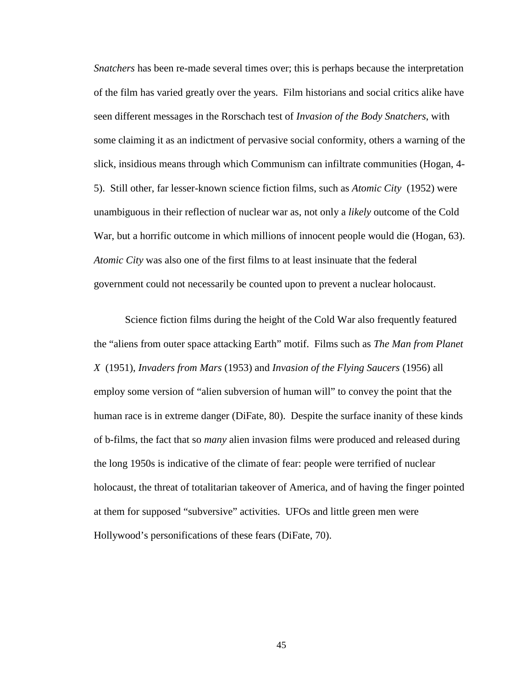*Snatchers* has been re-made several times over; this is perhaps because the interpretation of the film has varied greatly over the years. Film historians and social critics alike have seen different messages in the Rorschach test of *Invasion of the Body Snatchers*, with some claiming it as an indictment of pervasive social conformity, others a warning of the slick, insidious means through which Communism can infiltrate communities (Hogan, 4- 5). Still other, far lesser-known science fiction films, such as *Atomic City* (1952) were unambiguous in their reflection of nuclear war as, not only a *likely* outcome of the Cold War, but a horrific outcome in which millions of innocent people would die (Hogan, 63). *Atomic City* was also one of the first films to at least insinuate that the federal government could not necessarily be counted upon to prevent a nuclear holocaust.

Science fiction films during the height of the Cold War also frequently featured the "aliens from outer space attacking Earth" motif. Films such as *The Man from Planet X* (1951), *Invaders from Mars* (1953) and *Invasion of the Flying Saucers* (1956) all employ some version of "alien subversion of human will" to convey the point that the human race is in extreme danger (DiFate, 80). Despite the surface inanity of these kinds of b-films, the fact that so *many* alien invasion films were produced and released during the long 1950s is indicative of the climate of fear: people were terrified of nuclear holocaust, the threat of totalitarian takeover of America, and of having the finger pointed at them for supposed "subversive" activities. UFOs and little green men were Hollywood's personifications of these fears (DiFate, 70).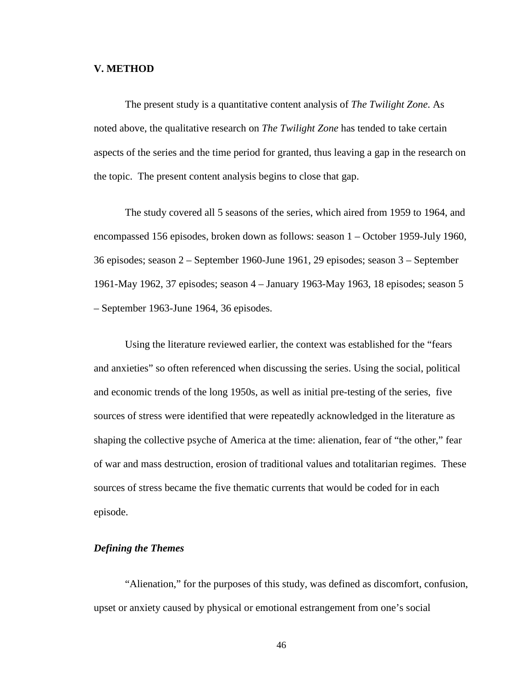## **V. METHOD**

The present study is a quantitative content analysis of *The Twilight Zone*. As noted above, the qualitative research on *The Twilight Zone* has tended to take certain aspects of the series and the time period for granted, thus leaving a gap in the research on the topic. The present content analysis begins to close that gap.

The study covered all 5 seasons of the series, which aired from 1959 to 1964, and encompassed 156 episodes, broken down as follows: season 1 – October 1959-July 1960, 36 episodes; season 2 – September 1960-June 1961, 29 episodes; season 3 – September 1961-May 1962, 37 episodes; season 4 – January 1963-May 1963, 18 episodes; season 5 – September 1963-June 1964, 36 episodes.

Using the literature reviewed earlier, the context was established for the "fears and anxieties" so often referenced when discussing the series. Using the social, political and economic trends of the long 1950s, as well as initial pre-testing of the series, five sources of stress were identified that were repeatedly acknowledged in the literature as shaping the collective psyche of America at the time: alienation, fear of "the other," fear of war and mass destruction, erosion of traditional values and totalitarian regimes. These sources of stress became the five thematic currents that would be coded for in each episode.

# *Defining the Themes*

"Alienation," for the purposes of this study, was defined as discomfort, confusion, upset or anxiety caused by physical or emotional estrangement from one's social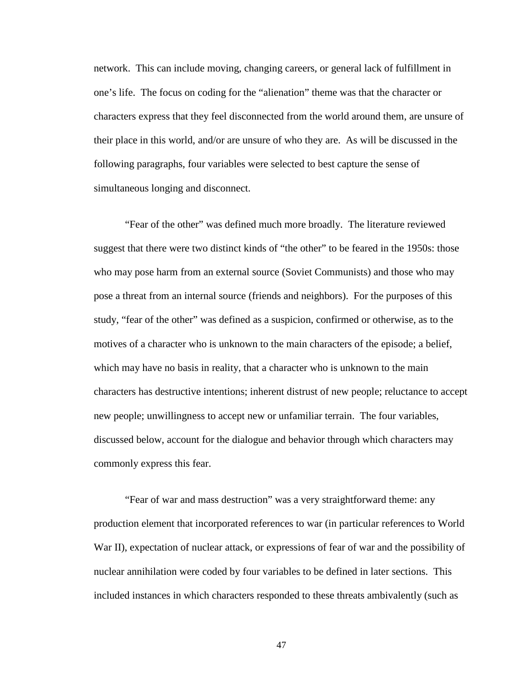network. This can include moving, changing careers, or general lack of fulfillment in one's life. The focus on coding for the "alienation" theme was that the character or characters express that they feel disconnected from the world around them, are unsure of their place in this world, and/or are unsure of who they are. As will be discussed in the following paragraphs, four variables were selected to best capture the sense of simultaneous longing and disconnect.

"Fear of the other" was defined much more broadly. The literature reviewed suggest that there were two distinct kinds of "the other" to be feared in the 1950s: those who may pose harm from an external source (Soviet Communists) and those who may pose a threat from an internal source (friends and neighbors). For the purposes of this study, "fear of the other" was defined as a suspicion, confirmed or otherwise, as to the motives of a character who is unknown to the main characters of the episode; a belief, which may have no basis in reality, that a character who is unknown to the main characters has destructive intentions; inherent distrust of new people; reluctance to accept new people; unwillingness to accept new or unfamiliar terrain. The four variables, discussed below, account for the dialogue and behavior through which characters may commonly express this fear.

"Fear of war and mass destruction" was a very straightforward theme: any production element that incorporated references to war (in particular references to World War II), expectation of nuclear attack, or expressions of fear of war and the possibility of nuclear annihilation were coded by four variables to be defined in later sections. This included instances in which characters responded to these threats ambivalently (such as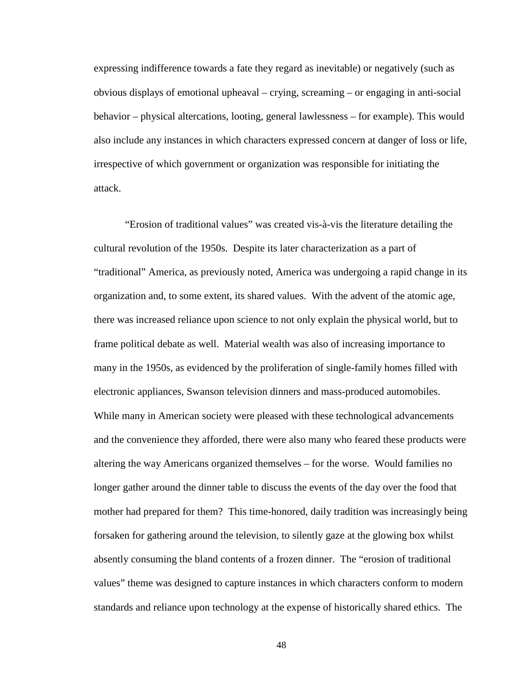expressing indifference towards a fate they regard as inevitable) or negatively (such as obvious displays of emotional upheaval – crying, screaming – or engaging in anti-social behavior – physical altercations, looting, general lawlessness – for example). This would also include any instances in which characters expressed concern at danger of loss or life, irrespective of which government or organization was responsible for initiating the attack.

"Erosion of traditional values" was created vis-à-vis the literature detailing the cultural revolution of the 1950s. Despite its later characterization as a part of "traditional" America, as previously noted, America was undergoing a rapid change in its organization and, to some extent, its shared values. With the advent of the atomic age, there was increased reliance upon science to not only explain the physical world, but to frame political debate as well. Material wealth was also of increasing importance to many in the 1950s, as evidenced by the proliferation of single-family homes filled with electronic appliances, Swanson television dinners and mass-produced automobiles. While many in American society were pleased with these technological advancements and the convenience they afforded, there were also many who feared these products were altering the way Americans organized themselves – for the worse. Would families no longer gather around the dinner table to discuss the events of the day over the food that mother had prepared for them? This time-honored, daily tradition was increasingly being forsaken for gathering around the television, to silently gaze at the glowing box whilst absently consuming the bland contents of a frozen dinner. The "erosion of traditional values" theme was designed to capture instances in which characters conform to modern standards and reliance upon technology at the expense of historically shared ethics. The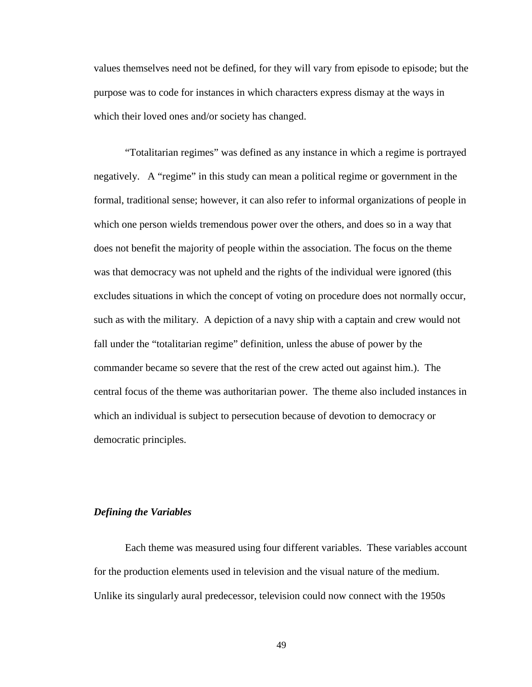values themselves need not be defined, for they will vary from episode to episode; but the purpose was to code for instances in which characters express dismay at the ways in which their loved ones and/or society has changed.

"Totalitarian regimes" was defined as any instance in which a regime is portrayed negatively. A "regime" in this study can mean a political regime or government in the formal, traditional sense; however, it can also refer to informal organizations of people in which one person wields tremendous power over the others, and does so in a way that does not benefit the majority of people within the association. The focus on the theme was that democracy was not upheld and the rights of the individual were ignored (this excludes situations in which the concept of voting on procedure does not normally occur, such as with the military. A depiction of a navy ship with a captain and crew would not fall under the "totalitarian regime" definition, unless the abuse of power by the commander became so severe that the rest of the crew acted out against him.). The central focus of the theme was authoritarian power. The theme also included instances in which an individual is subject to persecution because of devotion to democracy or democratic principles.

# *Defining the Variables*

Each theme was measured using four different variables. These variables account for the production elements used in television and the visual nature of the medium. Unlike its singularly aural predecessor, television could now connect with the 1950s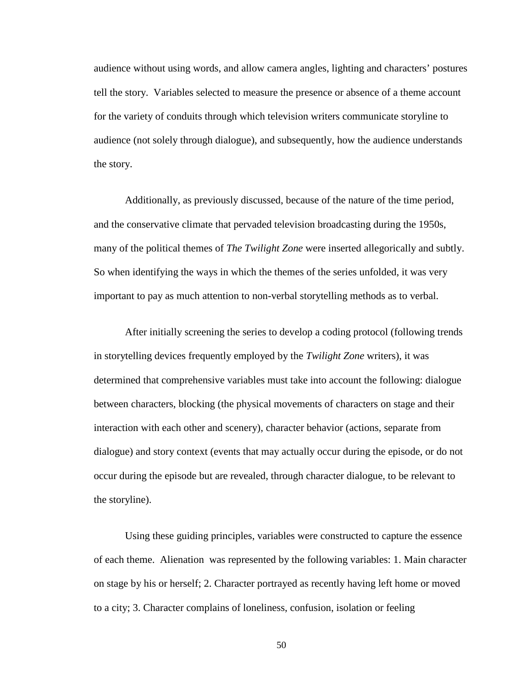audience without using words, and allow camera angles, lighting and characters' postures tell the story. Variables selected to measure the presence or absence of a theme account for the variety of conduits through which television writers communicate storyline to audience (not solely through dialogue), and subsequently, how the audience understands the story.

Additionally, as previously discussed, because of the nature of the time period, and the conservative climate that pervaded television broadcasting during the 1950s, many of the political themes of *The Twilight Zone* were inserted allegorically and subtly. So when identifying the ways in which the themes of the series unfolded, it was very important to pay as much attention to non-verbal storytelling methods as to verbal.

After initially screening the series to develop a coding protocol (following trends in storytelling devices frequently employed by the *Twilight Zone* writers), it was determined that comprehensive variables must take into account the following: dialogue between characters, blocking (the physical movements of characters on stage and their interaction with each other and scenery), character behavior (actions, separate from dialogue) and story context (events that may actually occur during the episode, or do not occur during the episode but are revealed, through character dialogue, to be relevant to the storyline).

Using these guiding principles, variables were constructed to capture the essence of each theme. Alienation was represented by the following variables: 1. Main character on stage by his or herself; 2. Character portrayed as recently having left home or moved to a city; 3. Character complains of loneliness, confusion, isolation or feeling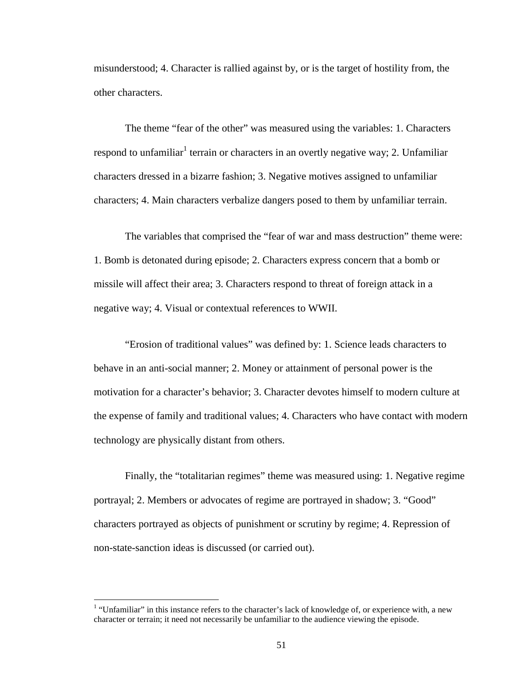misunderstood; 4. Character is rallied against by, or is the target of hostility from, the other characters.

The theme "fear of the other" was measured using the variables: 1. Characters respond to unfamiliar<sup>1</sup> terrain or characters in an overtly negative way; 2. Unfamiliar characters dressed in a bizarre fashion; 3. Negative motives assigned to unfamiliar characters; 4. Main characters verbalize dangers posed to them by unfamiliar terrain.

The variables that comprised the "fear of war and mass destruction" theme were: 1. Bomb is detonated during episode; 2. Characters express concern that a bomb or missile will affect their area; 3. Characters respond to threat of foreign attack in a negative way; 4. Visual or contextual references to WWII.

"Erosion of traditional values" was defined by: 1. Science leads characters to behave in an anti-social manner; 2. Money or attainment of personal power is the motivation for a character's behavior; 3. Character devotes himself to modern culture at the expense of family and traditional values; 4. Characters who have contact with modern technology are physically distant from others.

Finally, the "totalitarian regimes" theme was measured using: 1. Negative regime portrayal; 2. Members or advocates of regime are portrayed in shadow; 3. "Good" characters portrayed as objects of punishment or scrutiny by regime; 4. Repression of non-state-sanction ideas is discussed (or carried out).

l

 $1$  "Unfamiliar" in this instance refers to the character's lack of knowledge of, or experience with, a new character or terrain; it need not necessarily be unfamiliar to the audience viewing the episode.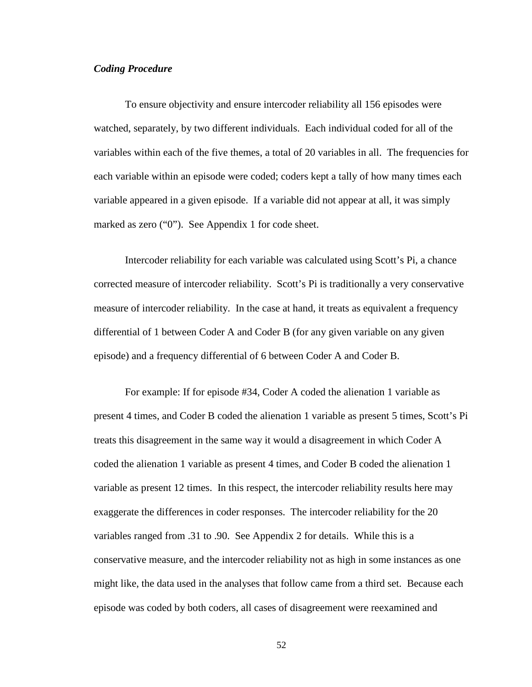# *Coding Procedure*

To ensure objectivity and ensure intercoder reliability all 156 episodes were watched, separately, by two different individuals. Each individual coded for all of the variables within each of the five themes, a total of 20 variables in all. The frequencies for each variable within an episode were coded; coders kept a tally of how many times each variable appeared in a given episode. If a variable did not appear at all, it was simply marked as zero ("0"). See Appendix 1 for code sheet.

Intercoder reliability for each variable was calculated using Scott's Pi, a chance corrected measure of intercoder reliability. Scott's Pi is traditionally a very conservative measure of intercoder reliability. In the case at hand, it treats as equivalent a frequency differential of 1 between Coder A and Coder B (for any given variable on any given episode) and a frequency differential of 6 between Coder A and Coder B.

For example: If for episode #34, Coder A coded the alienation 1 variable as present 4 times, and Coder B coded the alienation 1 variable as present 5 times, Scott's Pi treats this disagreement in the same way it would a disagreement in which Coder A coded the alienation 1 variable as present 4 times, and Coder B coded the alienation 1 variable as present 12 times. In this respect, the intercoder reliability results here may exaggerate the differences in coder responses. The intercoder reliability for the 20 variables ranged from .31 to .90. See Appendix 2 for details. While this is a conservative measure, and the intercoder reliability not as high in some instances as one might like, the data used in the analyses that follow came from a third set. Because each episode was coded by both coders, all cases of disagreement were reexamined and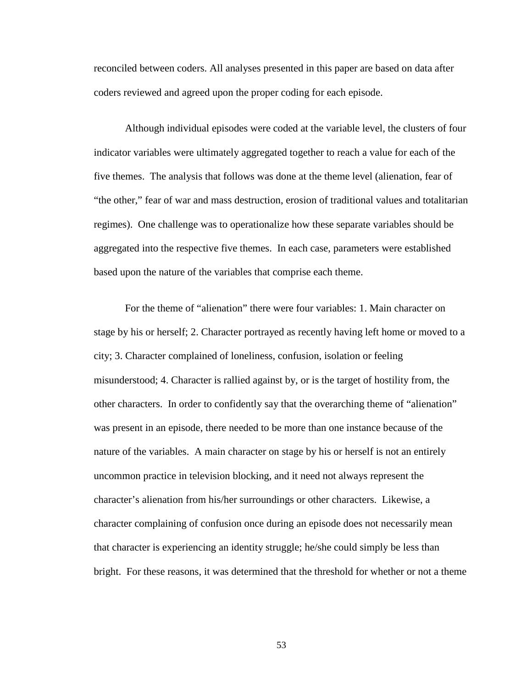reconciled between coders. All analyses presented in this paper are based on data after coders reviewed and agreed upon the proper coding for each episode.

Although individual episodes were coded at the variable level, the clusters of four indicator variables were ultimately aggregated together to reach a value for each of the five themes. The analysis that follows was done at the theme level (alienation, fear of "the other," fear of war and mass destruction, erosion of traditional values and totalitarian regimes). One challenge was to operationalize how these separate variables should be aggregated into the respective five themes. In each case, parameters were established based upon the nature of the variables that comprise each theme.

For the theme of "alienation" there were four variables: 1. Main character on stage by his or herself; 2. Character portrayed as recently having left home or moved to a city; 3. Character complained of loneliness, confusion, isolation or feeling misunderstood; 4. Character is rallied against by, or is the target of hostility from, the other characters. In order to confidently say that the overarching theme of "alienation" was present in an episode, there needed to be more than one instance because of the nature of the variables. A main character on stage by his or herself is not an entirely uncommon practice in television blocking, and it need not always represent the character's alienation from his/her surroundings or other characters. Likewise, a character complaining of confusion once during an episode does not necessarily mean that character is experiencing an identity struggle; he/she could simply be less than bright. For these reasons, it was determined that the threshold for whether or not a theme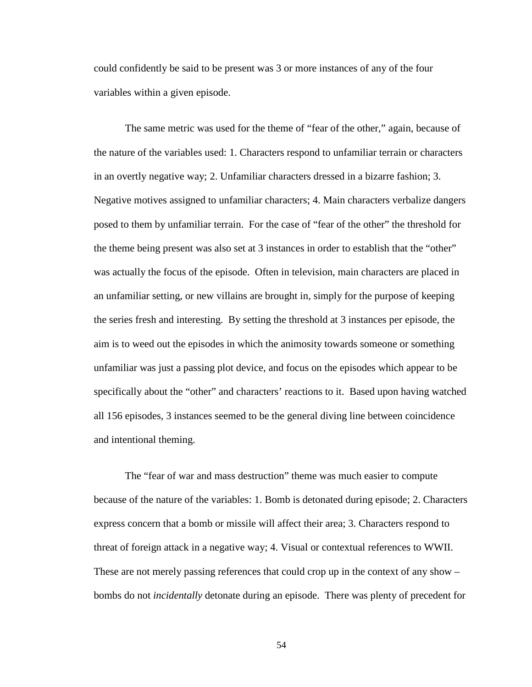could confidently be said to be present was 3 or more instances of any of the four variables within a given episode.

The same metric was used for the theme of "fear of the other," again, because of the nature of the variables used: 1. Characters respond to unfamiliar terrain or characters in an overtly negative way; 2. Unfamiliar characters dressed in a bizarre fashion; 3. Negative motives assigned to unfamiliar characters; 4. Main characters verbalize dangers posed to them by unfamiliar terrain. For the case of "fear of the other" the threshold for the theme being present was also set at 3 instances in order to establish that the "other" was actually the focus of the episode. Often in television, main characters are placed in an unfamiliar setting, or new villains are brought in, simply for the purpose of keeping the series fresh and interesting. By setting the threshold at 3 instances per episode, the aim is to weed out the episodes in which the animosity towards someone or something unfamiliar was just a passing plot device, and focus on the episodes which appear to be specifically about the "other" and characters' reactions to it. Based upon having watched all 156 episodes, 3 instances seemed to be the general diving line between coincidence and intentional theming.

The "fear of war and mass destruction" theme was much easier to compute because of the nature of the variables: 1. Bomb is detonated during episode; 2. Characters express concern that a bomb or missile will affect their area; 3. Characters respond to threat of foreign attack in a negative way; 4. Visual or contextual references to WWII. These are not merely passing references that could crop up in the context of any show – bombs do not *incidentally* detonate during an episode. There was plenty of precedent for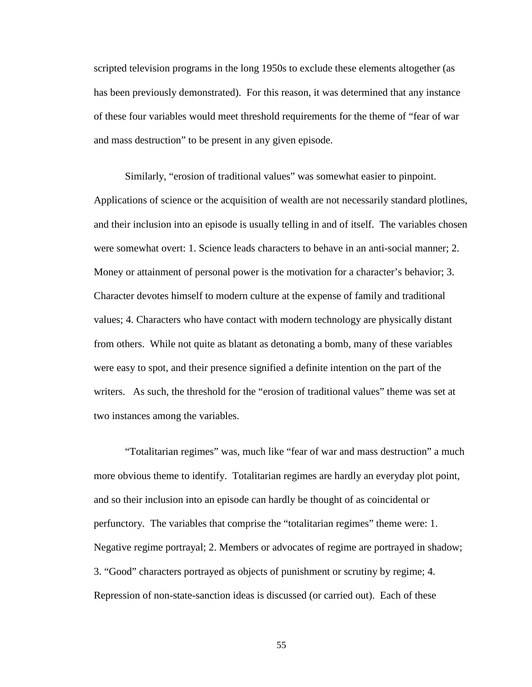scripted television programs in the long 1950s to exclude these elements altogether (as has been previously demonstrated). For this reason, it was determined that any instance of these four variables would meet threshold requirements for the theme of "fear of war and mass destruction" to be present in any given episode.

Similarly, "erosion of traditional values" was somewhat easier to pinpoint. Applications of science or the acquisition of wealth are not necessarily standard plotlines, and their inclusion into an episode is usually telling in and of itself. The variables chosen were somewhat overt: 1. Science leads characters to behave in an anti-social manner; 2. Money or attainment of personal power is the motivation for a character's behavior; 3. Character devotes himself to modern culture at the expense of family and traditional values; 4. Characters who have contact with modern technology are physically distant from others. While not quite as blatant as detonating a bomb, many of these variables were easy to spot, and their presence signified a definite intention on the part of the writers. As such, the threshold for the "erosion of traditional values" theme was set at two instances among the variables.

"Totalitarian regimes" was, much like "fear of war and mass destruction" a much more obvious theme to identify. Totalitarian regimes are hardly an everyday plot point, and so their inclusion into an episode can hardly be thought of as coincidental or perfunctory. The variables that comprise the "totalitarian regimes" theme were: 1. Negative regime portrayal; 2. Members or advocates of regime are portrayed in shadow; 3. "Good" characters portrayed as objects of punishment or scrutiny by regime; 4. Repression of non-state-sanction ideas is discussed (or carried out). Each of these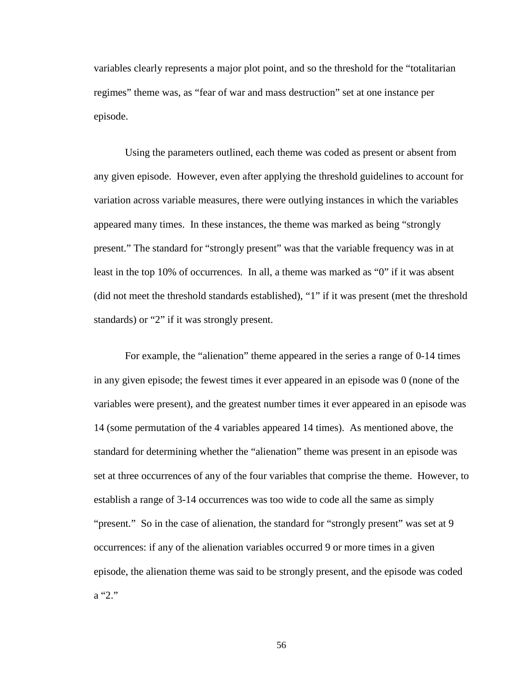variables clearly represents a major plot point, and so the threshold for the "totalitarian regimes" theme was, as "fear of war and mass destruction" set at one instance per episode.

Using the parameters outlined, each theme was coded as present or absent from any given episode. However, even after applying the threshold guidelines to account for variation across variable measures, there were outlying instances in which the variables appeared many times. In these instances, the theme was marked as being "strongly present." The standard for "strongly present" was that the variable frequency was in at least in the top 10% of occurrences. In all, a theme was marked as "0" if it was absent (did not meet the threshold standards established), "1" if it was present (met the threshold standards) or "2" if it was strongly present.

For example, the "alienation" theme appeared in the series a range of 0-14 times in any given episode; the fewest times it ever appeared in an episode was 0 (none of the variables were present), and the greatest number times it ever appeared in an episode was 14 (some permutation of the 4 variables appeared 14 times). As mentioned above, the standard for determining whether the "alienation" theme was present in an episode was set at three occurrences of any of the four variables that comprise the theme. However, to establish a range of 3-14 occurrences was too wide to code all the same as simply "present." So in the case of alienation, the standard for "strongly present" was set at 9 occurrences: if any of the alienation variables occurred 9 or more times in a given episode, the alienation theme was said to be strongly present, and the episode was coded a "2."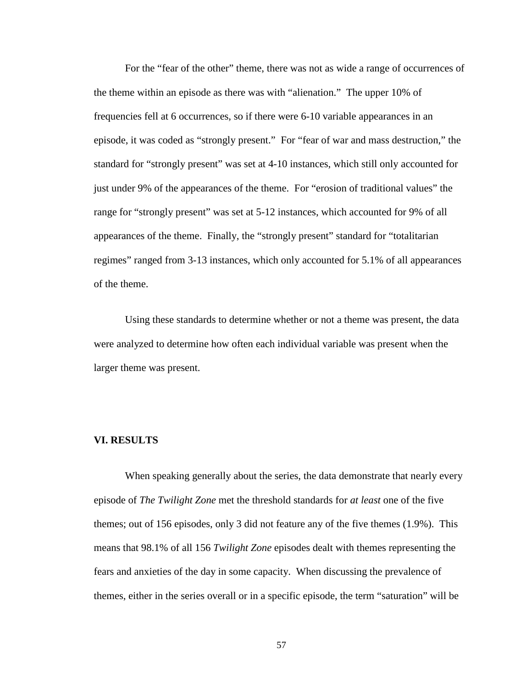For the "fear of the other" theme, there was not as wide a range of occurrences of the theme within an episode as there was with "alienation." The upper 10% of frequencies fell at 6 occurrences, so if there were 6-10 variable appearances in an episode, it was coded as "strongly present." For "fear of war and mass destruction," the standard for "strongly present" was set at 4-10 instances, which still only accounted for just under 9% of the appearances of the theme. For "erosion of traditional values" the range for "strongly present" was set at 5-12 instances, which accounted for 9% of all appearances of the theme. Finally, the "strongly present" standard for "totalitarian regimes" ranged from 3-13 instances, which only accounted for 5.1% of all appearances of the theme.

Using these standards to determine whether or not a theme was present, the data were analyzed to determine how often each individual variable was present when the larger theme was present.

# **VI. RESULTS**

When speaking generally about the series, the data demonstrate that nearly every episode of *The Twilight Zone* met the threshold standards for *at least* one of the five themes; out of 156 episodes, only 3 did not feature any of the five themes (1.9%). This means that 98.1% of all 156 *Twilight Zone* episodes dealt with themes representing the fears and anxieties of the day in some capacity. When discussing the prevalence of themes, either in the series overall or in a specific episode, the term "saturation" will be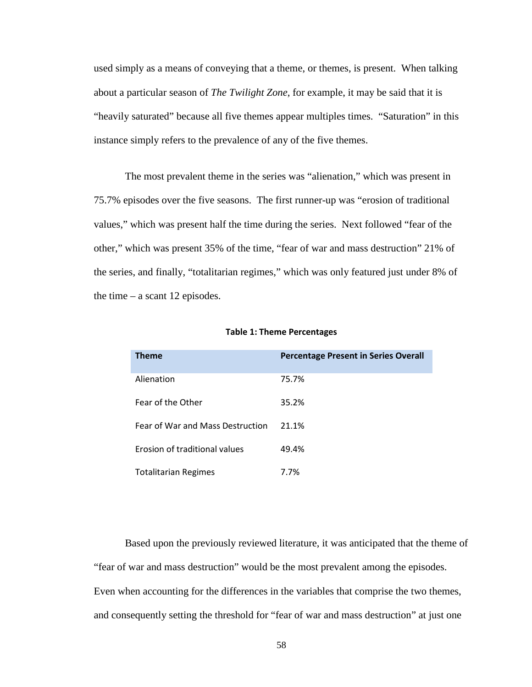used simply as a means of conveying that a theme, or themes, is present. When talking about a particular season of *The Twilight Zone*, for example, it may be said that it is "heavily saturated" because all five themes appear multiples times. "Saturation" in this instance simply refers to the prevalence of any of the five themes.

The most prevalent theme in the series was "alienation," which was present in 75.7% episodes over the five seasons. The first runner-up was "erosion of traditional values," which was present half the time during the series. Next followed "fear of the other," which was present 35% of the time, "fear of war and mass destruction" 21% of the series, and finally, "totalitarian regimes," which was only featured just under 8% of the time – a scant 12 episodes.

| <b>Theme</b>                         | <b>Percentage Present in Series Overall</b> |
|--------------------------------------|---------------------------------------------|
| Alienation                           | 75.7%                                       |
| <b>Fear of the Other</b>             | 35.2%                                       |
| Fear of War and Mass Destruction     | 21.1%                                       |
| <b>Erosion of traditional values</b> | 49.4%                                       |
| <b>Totalitarian Regimes</b>          | 7.7%                                        |

#### Table 1: Theme Percentages

Based upon the previously reviewed literature, it was anticipated that the theme of "fear of war and mass destruction" would be the most prevalent among the episodes. Even when accounting for the differences in the variables that comprise the two themes, and consequently setting the threshold for "fear of war and mass destruction" at just one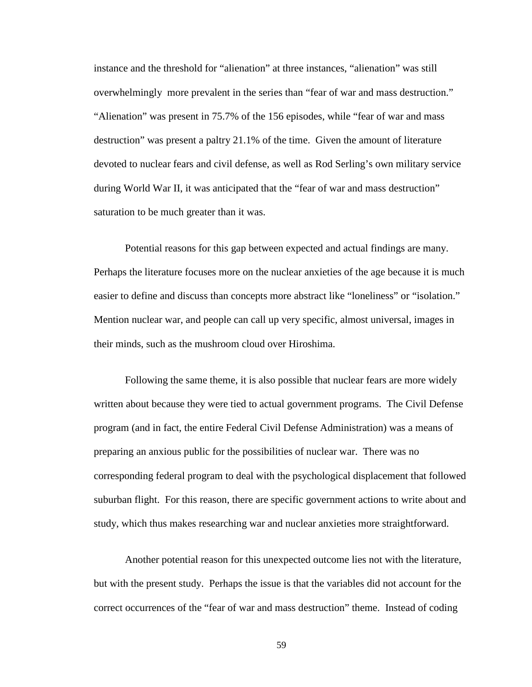instance and the threshold for "alienation" at three instances, "alienation" was still overwhelmingly more prevalent in the series than "fear of war and mass destruction." "Alienation" was present in 75.7% of the 156 episodes, while "fear of war and mass destruction" was present a paltry 21.1% of the time. Given the amount of literature devoted to nuclear fears and civil defense, as well as Rod Serling's own military service during World War II, it was anticipated that the "fear of war and mass destruction" saturation to be much greater than it was.

Potential reasons for this gap between expected and actual findings are many. Perhaps the literature focuses more on the nuclear anxieties of the age because it is much easier to define and discuss than concepts more abstract like "loneliness" or "isolation." Mention nuclear war, and people can call up very specific, almost universal, images in their minds, such as the mushroom cloud over Hiroshima.

Following the same theme, it is also possible that nuclear fears are more widely written about because they were tied to actual government programs. The Civil Defense program (and in fact, the entire Federal Civil Defense Administration) was a means of preparing an anxious public for the possibilities of nuclear war. There was no corresponding federal program to deal with the psychological displacement that followed suburban flight. For this reason, there are specific government actions to write about and study, which thus makes researching war and nuclear anxieties more straightforward.

Another potential reason for this unexpected outcome lies not with the literature, but with the present study. Perhaps the issue is that the variables did not account for the correct occurrences of the "fear of war and mass destruction" theme. Instead of coding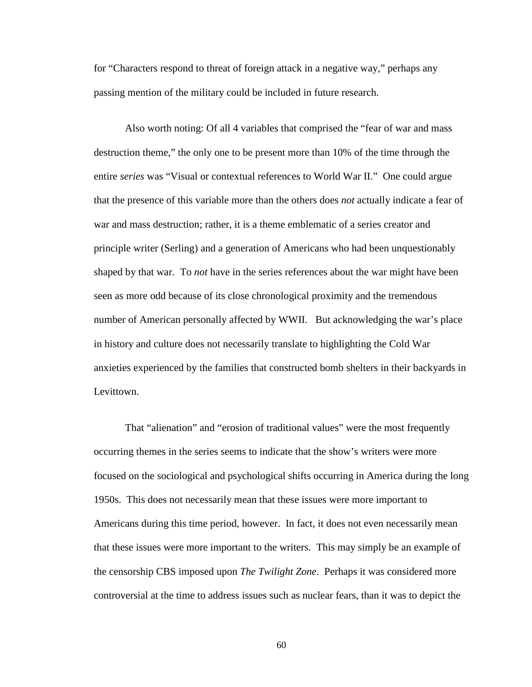for "Characters respond to threat of foreign attack in a negative way," perhaps any passing mention of the military could be included in future research.

Also worth noting: Of all 4 variables that comprised the "fear of war and mass destruction theme," the only one to be present more than 10% of the time through the entire *series* was "Visual or contextual references to World War II." One could argue that the presence of this variable more than the others does *not* actually indicate a fear of war and mass destruction; rather, it is a theme emblematic of a series creator and principle writer (Serling) and a generation of Americans who had been unquestionably shaped by that war. To *not* have in the series references about the war might have been seen as more odd because of its close chronological proximity and the tremendous number of American personally affected by WWII. But acknowledging the war's place in history and culture does not necessarily translate to highlighting the Cold War anxieties experienced by the families that constructed bomb shelters in their backyards in Levittown.

That "alienation" and "erosion of traditional values" were the most frequently occurring themes in the series seems to indicate that the show's writers were more focused on the sociological and psychological shifts occurring in America during the long 1950s. This does not necessarily mean that these issues were more important to Americans during this time period, however. In fact, it does not even necessarily mean that these issues were more important to the writers. This may simply be an example of the censorship CBS imposed upon *The Twilight Zone*. Perhaps it was considered more controversial at the time to address issues such as nuclear fears, than it was to depict the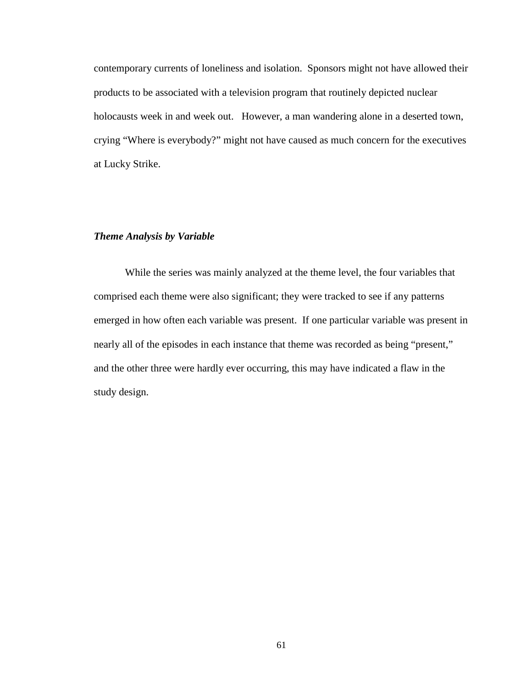contemporary currents of loneliness and isolation. Sponsors might not have allowed their products to be associated with a television program that routinely depicted nuclear holocausts week in and week out. However, a man wandering alone in a deserted town, crying "Where is everybody?" might not have caused as much concern for the executives at Lucky Strike.

# *Theme Analysis by Variable*

 While the series was mainly analyzed at the theme level, the four variables that comprised each theme were also significant; they were tracked to see if any patterns emerged in how often each variable was present. If one particular variable was present in nearly all of the episodes in each instance that theme was recorded as being "present," and the other three were hardly ever occurring, this may have indicated a flaw in the study design.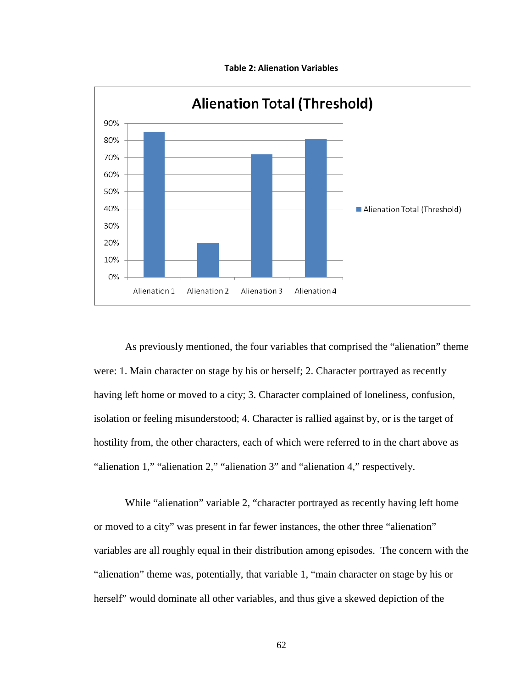

Table 2: Alienation Variables

As previously mentioned, the four variables that comprised the "alienation" theme were: 1. Main character on stage by his or herself; 2. Character portrayed as recently having left home or moved to a city; 3. Character complained of loneliness, confusion, isolation or feeling misunderstood; 4. Character is rallied against by, or is the target of hostility from, the other characters, each of which were referred to in the chart above as "alienation 1," "alienation 2," "alienation 3" and "alienation 4," respectively.

While "alienation" variable 2, "character portrayed as recently having left home or moved to a city" was present in far fewer instances, the other three "alienation" variables are all roughly equal in their distribution among episodes. The concern with the "alienation" theme was, potentially, that variable 1, "main character on stage by his or herself" would dominate all other variables, and thus give a skewed depiction of the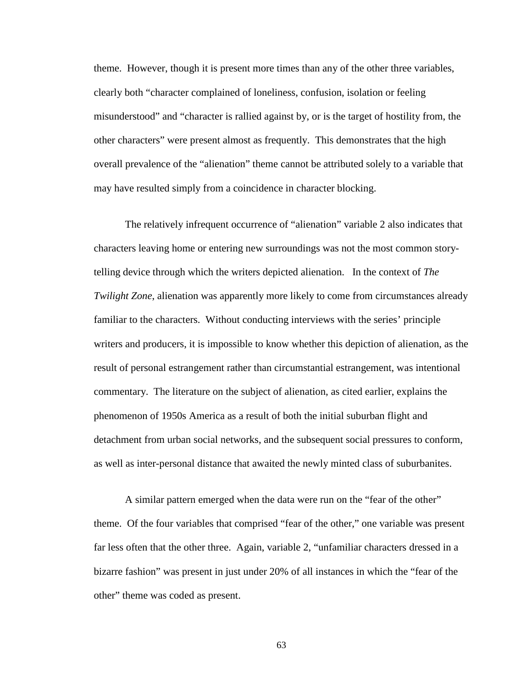theme. However, though it is present more times than any of the other three variables, clearly both "character complained of loneliness, confusion, isolation or feeling misunderstood" and "character is rallied against by, or is the target of hostility from, the other characters" were present almost as frequently. This demonstrates that the high overall prevalence of the "alienation" theme cannot be attributed solely to a variable that may have resulted simply from a coincidence in character blocking.

The relatively infrequent occurrence of "alienation" variable 2 also indicates that characters leaving home or entering new surroundings was not the most common storytelling device through which the writers depicted alienation. In the context of *The Twilight Zone*, alienation was apparently more likely to come from circumstances already familiar to the characters. Without conducting interviews with the series' principle writers and producers, it is impossible to know whether this depiction of alienation, as the result of personal estrangement rather than circumstantial estrangement, was intentional commentary. The literature on the subject of alienation, as cited earlier, explains the phenomenon of 1950s America as a result of both the initial suburban flight and detachment from urban social networks, and the subsequent social pressures to conform, as well as inter-personal distance that awaited the newly minted class of suburbanites.

A similar pattern emerged when the data were run on the "fear of the other" theme. Of the four variables that comprised "fear of the other," one variable was present far less often that the other three. Again, variable 2, "unfamiliar characters dressed in a bizarre fashion" was present in just under 20% of all instances in which the "fear of the other" theme was coded as present.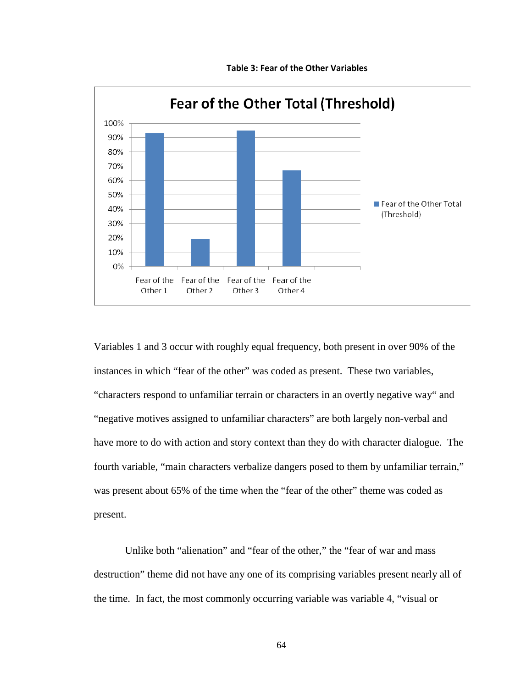

Table 3: Fear of the Other Variables

Variables 1 and 3 occur with roughly equal frequency, both present in over 90% of the instances in which "fear of the other" was coded as present. These two variables, "characters respond to unfamiliar terrain or characters in an overtly negative way" and "negative motives assigned to unfamiliar characters" are both largely non-verbal and have more to do with action and story context than they do with character dialogue. The fourth variable, "main characters verbalize dangers posed to them by unfamiliar terrain," was present about 65% of the time when the "fear of the other" theme was coded as present.

 Unlike both "alienation" and "fear of the other," the "fear of war and mass destruction" theme did not have any one of its comprising variables present nearly all of the time. In fact, the most commonly occurring variable was variable 4, "visual or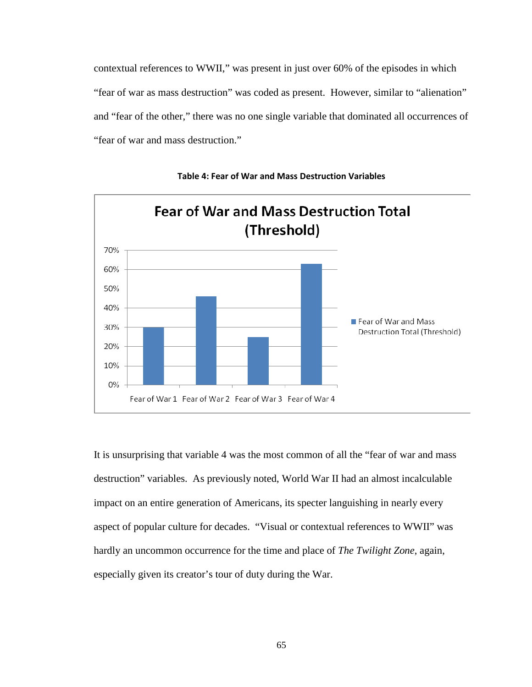contextual references to WWII," was present in just over 60% of the episodes in which "fear of war as mass destruction" was coded as present. However, similar to "alienation" and "fear of the other," there was no one single variable that dominated all occurrences of "fear of war and mass destruction."





It is unsurprising that variable 4 was the most common of all the "fear of war and mass destruction" variables. As previously noted, World War II had an almost incalculable impact on an entire generation of Americans, its specter languishing in nearly every aspect of popular culture for decades. "Visual or contextual references to WWII" was hardly an uncommon occurrence for the time and place of *The Twilight Zone*, again, especially given its creator's tour of duty during the War.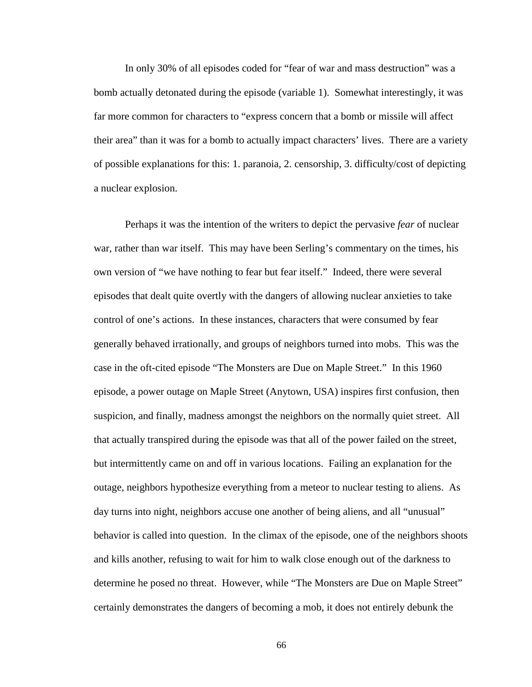In only 30% of all episodes coded for "fear of war and mass destruction" was a bomb actually detonated during the episode (variable 1). Somewhat interestingly, it was far more common for characters to "express concern that a bomb or missile will affect their area" than it was for a bomb to actually impact characters' lives. There are a variety of possible explanations for this: 1. paranoia, 2. censorship, 3. difficulty/cost of depicting a nuclear explosion.

Perhaps it was the intention of the writers to depict the pervasive *fear* of nuclear war, rather than war itself. This may have been Serling's commentary on the times, his own version of "we have nothing to fear but fear itself." Indeed, there were several episodes that dealt quite overtly with the dangers of allowing nuclear anxieties to take control of one's actions. In these instances, characters that were consumed by fear generally behaved irrationally, and groups of neighbors turned into mobs. This was the case in the oft-cited episode "The Monsters are Due on Maple Street." In this 1960 episode, a power outage on Maple Street (Anytown, USA) inspires first confusion, then suspicion, and finally, madness amongst the neighbors on the normally quiet street. All that actually transpired during the episode was that all of the power failed on the street, but intermittently came on and off in various locations. Failing an explanation for the outage, neighbors hypothesize everything from a meteor to nuclear testing to aliens. As day turns into night, neighbors accuse one another of being aliens, and all "unusual" behavior is called into question. In the climax of the episode, one of the neighbors shoots and kills another, refusing to wait for him to walk close enough out of the darkness to determine he posed no threat. However, while "The Monsters are Due on Maple Street" certainly demonstrates the dangers of becoming a mob, it does not entirely debunk the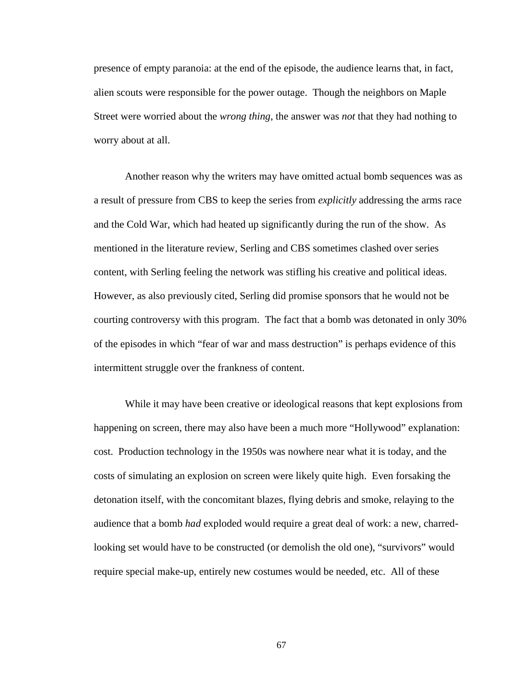presence of empty paranoia: at the end of the episode, the audience learns that, in fact, alien scouts were responsible for the power outage. Though the neighbors on Maple Street were worried about the *wrong thing*, the answer was *not* that they had nothing to worry about at all.

Another reason why the writers may have omitted actual bomb sequences was as a result of pressure from CBS to keep the series from *explicitly* addressing the arms race and the Cold War, which had heated up significantly during the run of the show. As mentioned in the literature review, Serling and CBS sometimes clashed over series content, with Serling feeling the network was stifling his creative and political ideas. However, as also previously cited, Serling did promise sponsors that he would not be courting controversy with this program. The fact that a bomb was detonated in only 30% of the episodes in which "fear of war and mass destruction" is perhaps evidence of this intermittent struggle over the frankness of content.

While it may have been creative or ideological reasons that kept explosions from happening on screen, there may also have been a much more "Hollywood" explanation: cost. Production technology in the 1950s was nowhere near what it is today, and the costs of simulating an explosion on screen were likely quite high. Even forsaking the detonation itself, with the concomitant blazes, flying debris and smoke, relaying to the audience that a bomb *had* exploded would require a great deal of work: a new, charredlooking set would have to be constructed (or demolish the old one), "survivors" would require special make-up, entirely new costumes would be needed, etc. All of these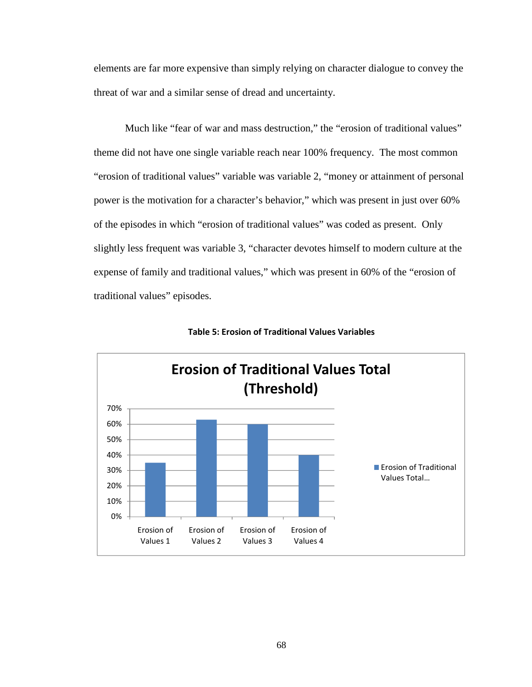elements are far more expensive than simply relying on character dialogue to convey the threat of war and a similar sense of dread and uncertainty.

Much like "fear of war and mass destruction," the "erosion of traditional values" theme did not have one single variable reach near 100% frequency. The most common "erosion of traditional values" variable was variable 2, "money or attainment of personal power is the motivation for a character's behavior," which was present in just over 60% of the episodes in which "erosion of traditional values" was coded as present. Only slightly less frequent was variable 3, "character devotes himself to modern culture at the expense of family and traditional values," which was present in 60% of the "erosion of traditional values" episodes.



Table 5: Erosion of Traditional Values Variables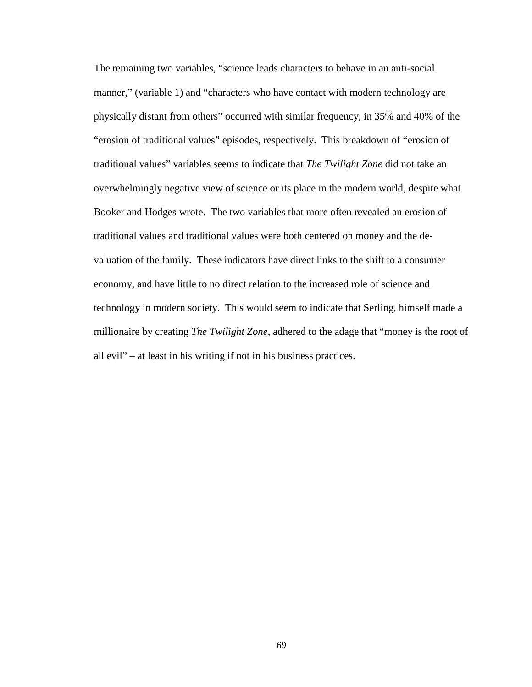The remaining two variables, "science leads characters to behave in an anti-social manner," (variable 1) and "characters who have contact with modern technology are physically distant from others" occurred with similar frequency, in 35% and 40% of the "erosion of traditional values" episodes, respectively. This breakdown of "erosion of traditional values" variables seems to indicate that *The Twilight Zone* did not take an overwhelmingly negative view of science or its place in the modern world, despite what Booker and Hodges wrote. The two variables that more often revealed an erosion of traditional values and traditional values were both centered on money and the devaluation of the family. These indicators have direct links to the shift to a consumer economy, and have little to no direct relation to the increased role of science and technology in modern society. This would seem to indicate that Serling, himself made a millionaire by creating *The Twilight Zone*, adhered to the adage that "money is the root of all evil" – at least in his writing if not in his business practices.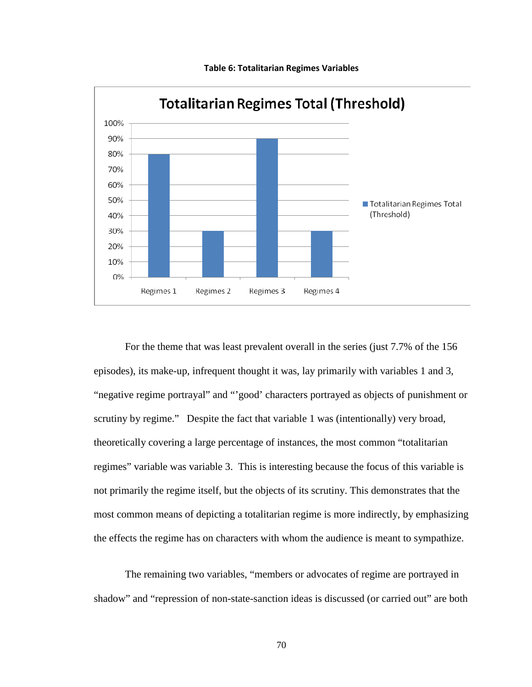

Table 6: Totalitarian Regimes Variables

For the theme that was least prevalent overall in the series (just 7.7% of the 156 episodes), its make-up, infrequent thought it was, lay primarily with variables 1 and 3, "negative regime portrayal" and "'good' characters portrayed as objects of punishment or scrutiny by regime." Despite the fact that variable 1 was (intentionally) very broad, theoretically covering a large percentage of instances, the most common "totalitarian regimes" variable was variable 3. This is interesting because the focus of this variable is not primarily the regime itself, but the objects of its scrutiny. This demonstrates that the most common means of depicting a totalitarian regime is more indirectly, by emphasizing the effects the regime has on characters with whom the audience is meant to sympathize.

 The remaining two variables, "members or advocates of regime are portrayed in shadow" and "repression of non-state-sanction ideas is discussed (or carried out" are both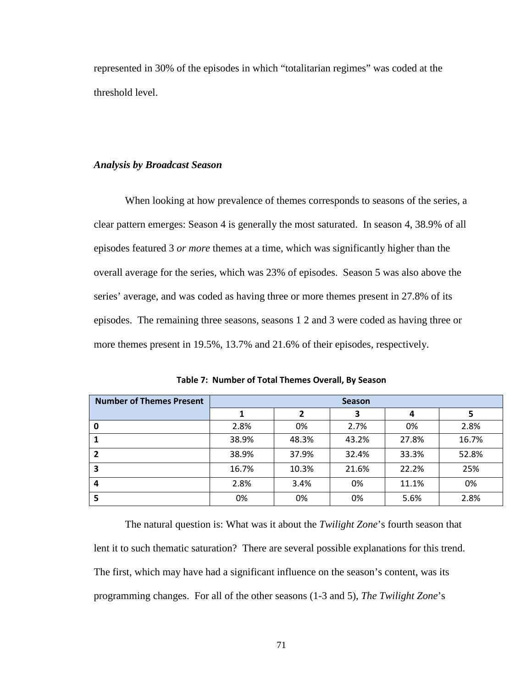represented in 30% of the episodes in which "totalitarian regimes" was coded at the threshold level.

### *Analysis by Broadcast Season*

When looking at how prevalence of themes corresponds to seasons of the series, a clear pattern emerges: Season 4 is generally the most saturated. In season 4, 38.9% of all episodes featured 3 *or more* themes at a time, which was significantly higher than the overall average for the series, which was 23% of episodes. Season 5 was also above the series' average, and was coded as having three or more themes present in 27.8% of its episodes. The remaining three seasons, seasons 1 2 and 3 were coded as having three or more themes present in 19.5%, 13.7% and 21.6% of their episodes, respectively.

| <b>Number of Themes Present</b> | <b>Season</b> |       |       |       |       |
|---------------------------------|---------------|-------|-------|-------|-------|
|                                 |               | 2     | 3     | 4     |       |
|                                 | 2.8%          | 0%    | 2.7%  | 0%    | 2.8%  |
|                                 | 38.9%         | 48.3% | 43.2% | 27.8% | 16.7% |
|                                 | 38.9%         | 37.9% | 32.4% | 33.3% | 52.8% |
| 3                               | 16.7%         | 10.3% | 21.6% | 22.2% | 25%   |
| 4                               | 2.8%          | 3.4%  | 0%    | 11.1% | 0%    |
| 5                               | 0%            | 0%    | 0%    | 5.6%  | 2.8%  |

Table 7: Number of Total Themes Overall, By Season

The natural question is: What was it about the *Twilight Zone*'s fourth season that lent it to such thematic saturation? There are several possible explanations for this trend. The first, which may have had a significant influence on the season's content, was its programming changes. For all of the other seasons (1-3 and 5), *The Twilight Zone*'s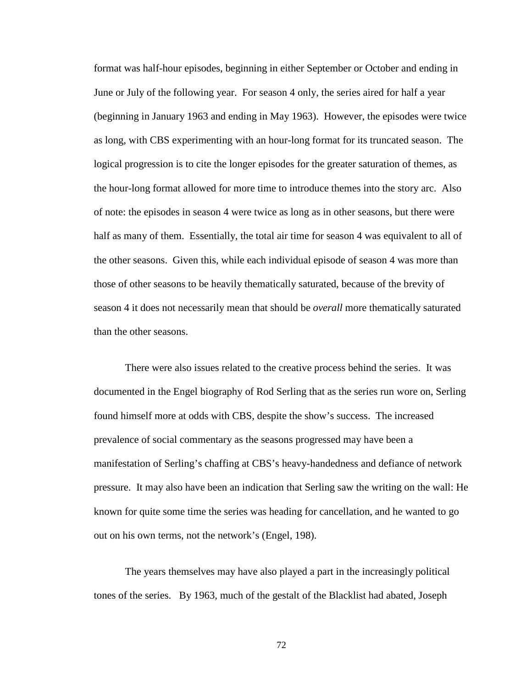format was half-hour episodes, beginning in either September or October and ending in June or July of the following year. For season 4 only, the series aired for half a year (beginning in January 1963 and ending in May 1963). However, the episodes were twice as long, with CBS experimenting with an hour-long format for its truncated season. The logical progression is to cite the longer episodes for the greater saturation of themes, as the hour-long format allowed for more time to introduce themes into the story arc. Also of note: the episodes in season 4 were twice as long as in other seasons, but there were half as many of them. Essentially, the total air time for season 4 was equivalent to all of the other seasons. Given this, while each individual episode of season 4 was more than those of other seasons to be heavily thematically saturated, because of the brevity of season 4 it does not necessarily mean that should be *overall* more thematically saturated than the other seasons.

There were also issues related to the creative process behind the series. It was documented in the Engel biography of Rod Serling that as the series run wore on, Serling found himself more at odds with CBS, despite the show's success. The increased prevalence of social commentary as the seasons progressed may have been a manifestation of Serling's chaffing at CBS's heavy-handedness and defiance of network pressure. It may also have been an indication that Serling saw the writing on the wall: He known for quite some time the series was heading for cancellation, and he wanted to go out on his own terms, not the network's (Engel, 198).

The years themselves may have also played a part in the increasingly political tones of the series. By 1963, much of the gestalt of the Blacklist had abated, Joseph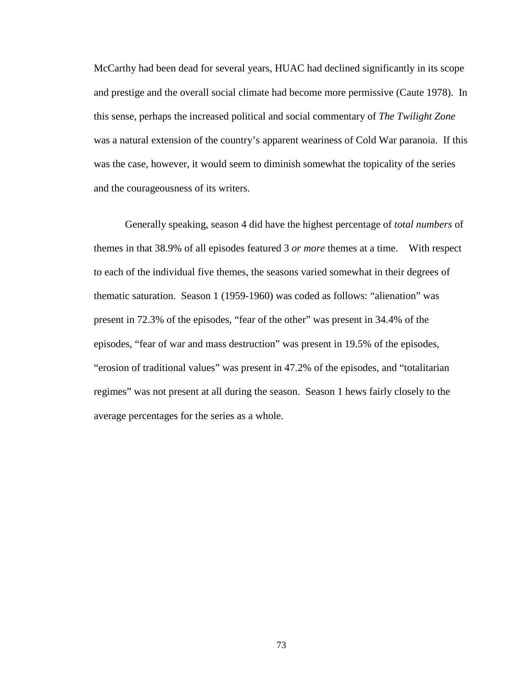McCarthy had been dead for several years, HUAC had declined significantly in its scope and prestige and the overall social climate had become more permissive (Caute 1978). In this sense, perhaps the increased political and social commentary of *The Twilight Zone*  was a natural extension of the country's apparent weariness of Cold War paranoia. If this was the case, however, it would seem to diminish somewhat the topicality of the series and the courageousness of its writers.

Generally speaking, season 4 did have the highest percentage of *total numbers* of themes in that 38.9% of all episodes featured 3 *or more* themes at a time. With respect to each of the individual five themes, the seasons varied somewhat in their degrees of thematic saturation. Season 1 (1959-1960) was coded as follows: "alienation" was present in 72.3% of the episodes, "fear of the other" was present in 34.4% of the episodes, "fear of war and mass destruction" was present in 19.5% of the episodes, "erosion of traditional values" was present in 47.2% of the episodes, and "totalitarian regimes" was not present at all during the season. Season 1 hews fairly closely to the average percentages for the series as a whole.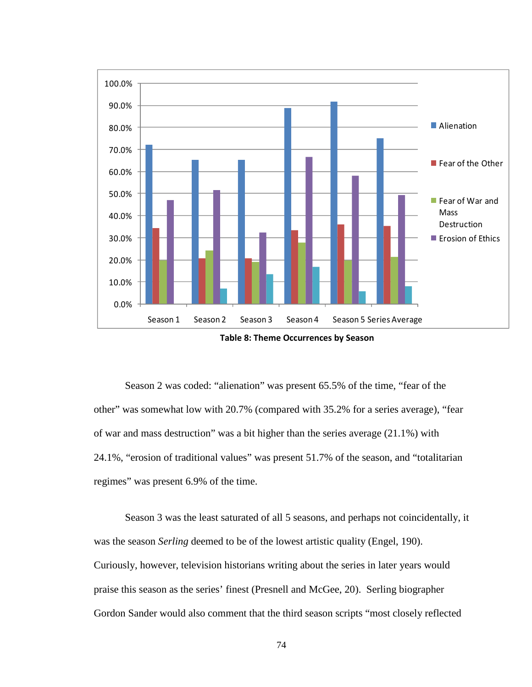

Table 8: Theme Occurrences by Season

Season 2 was coded: "alienation" was present 65.5% of the time, "fear of the other" was somewhat low with 20.7% (compared with 35.2% for a series average), "fear of war and mass destruction" was a bit higher than the series average (21.1%) with 24.1%, "erosion of traditional values" was present 51.7% of the season, and "totalitarian regimes" was present 6.9% of the time.

Season 3 was the least saturated of all 5 seasons, and perhaps not coincidentally, it was the season *Serling* deemed to be of the lowest artistic quality (Engel, 190). Curiously, however, television historians writing about the series in later years would praise this season as the series' finest (Presnell and McGee, 20). Serling biographer Gordon Sander would also comment that the third season scripts "most closely reflected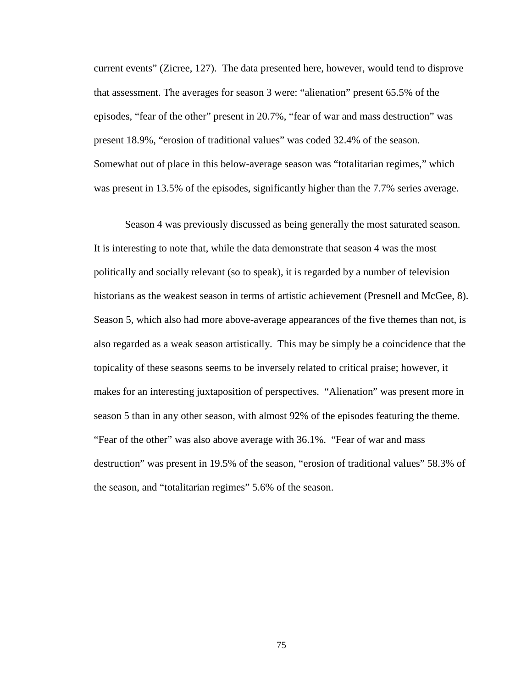current events" (Zicree, 127). The data presented here, however, would tend to disprove that assessment. The averages for season 3 were: "alienation" present 65.5% of the episodes, "fear of the other" present in 20.7%, "fear of war and mass destruction" was present 18.9%, "erosion of traditional values" was coded 32.4% of the season. Somewhat out of place in this below-average season was "totalitarian regimes," which was present in 13.5% of the episodes, significantly higher than the 7.7% series average.

Season 4 was previously discussed as being generally the most saturated season. It is interesting to note that, while the data demonstrate that season 4 was the most politically and socially relevant (so to speak), it is regarded by a number of television historians as the weakest season in terms of artistic achievement (Presnell and McGee, 8). Season 5, which also had more above-average appearances of the five themes than not, is also regarded as a weak season artistically. This may be simply be a coincidence that the topicality of these seasons seems to be inversely related to critical praise; however, it makes for an interesting juxtaposition of perspectives. "Alienation" was present more in season 5 than in any other season, with almost 92% of the episodes featuring the theme. "Fear of the other" was also above average with 36.1%. "Fear of war and mass destruction" was present in 19.5% of the season, "erosion of traditional values" 58.3% of the season, and "totalitarian regimes" 5.6% of the season.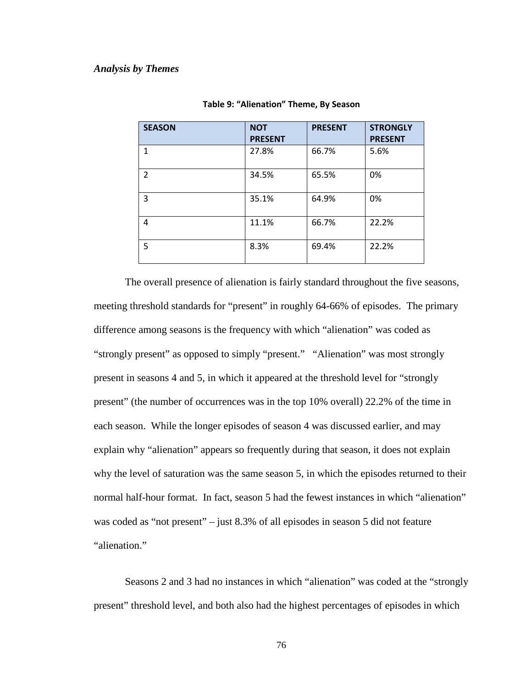| <b>SEASON</b>  | <b>NOT</b><br><b>PRESENT</b> | <b>PRESENT</b> | <b>STRONGLY</b><br><b>PRESENT</b> |
|----------------|------------------------------|----------------|-----------------------------------|
| 1              | 27.8%                        | 66.7%          | 5.6%                              |
| $\overline{2}$ | 34.5%                        | 65.5%          | 0%                                |
| 3              | 35.1%                        | 64.9%          | 0%                                |
| 4              | 11.1%                        | 66.7%          | 22.2%                             |
| 5              | 8.3%                         | 69.4%          | 22.2%                             |

The overall presence of alienation is fairly standard throughout the five seasons, meeting threshold standards for "present" in roughly 64-66% of episodes. The primary difference among seasons is the frequency with which "alienation" was coded as "strongly present" as opposed to simply "present." "Alienation" was most strongly present in seasons 4 and 5, in which it appeared at the threshold level for "strongly present" (the number of occurrences was in the top 10% overall) 22.2% of the time in each season. While the longer episodes of season 4 was discussed earlier, and may explain why "alienation" appears so frequently during that season, it does not explain why the level of saturation was the same season 5, in which the episodes returned to their normal half-hour format. In fact, season 5 had the fewest instances in which "alienation" was coded as "not present" – just 8.3% of all episodes in season 5 did not feature "alienation."

 Seasons 2 and 3 had no instances in which "alienation" was coded at the "strongly present" threshold level, and both also had the highest percentages of episodes in which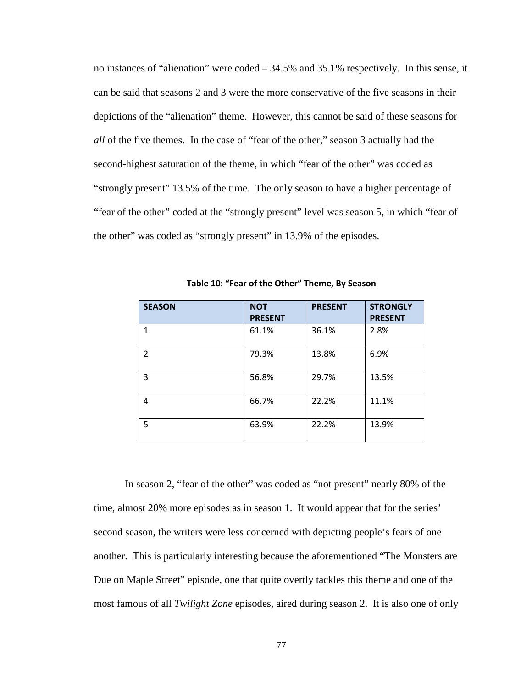no instances of "alienation" were coded – 34.5% and 35.1% respectively. In this sense, it can be said that seasons 2 and 3 were the more conservative of the five seasons in their depictions of the "alienation" theme. However, this cannot be said of these seasons for *all* of the five themes. In the case of "fear of the other," season 3 actually had the second-highest saturation of the theme, in which "fear of the other" was coded as "strongly present" 13.5% of the time. The only season to have a higher percentage of "fear of the other" coded at the "strongly present" level was season 5, in which "fear of the other" was coded as "strongly present" in 13.9% of the episodes.

| <b>SEASON</b>  | <b>NOT</b><br><b>PRESENT</b> | <b>PRESENT</b> | <b>STRONGLY</b><br><b>PRESENT</b> |
|----------------|------------------------------|----------------|-----------------------------------|
| $\mathbf{1}$   | 61.1%                        | 36.1%          | 2.8%                              |
| $\overline{2}$ | 79.3%                        | 13.8%          | 6.9%                              |
| 3              | 56.8%                        | 29.7%          | 13.5%                             |
| 4              | 66.7%                        | 22.2%          | 11.1%                             |
| 5              | 63.9%                        | 22.2%          | 13.9%                             |

Table 10: "Fear of the Other" Theme, By Season

In season 2, "fear of the other" was coded as "not present" nearly 80% of the time, almost 20% more episodes as in season 1. It would appear that for the series' second season, the writers were less concerned with depicting people's fears of one another. This is particularly interesting because the aforementioned "The Monsters are Due on Maple Street" episode, one that quite overtly tackles this theme and one of the most famous of all *Twilight Zone* episodes, aired during season 2. It is also one of only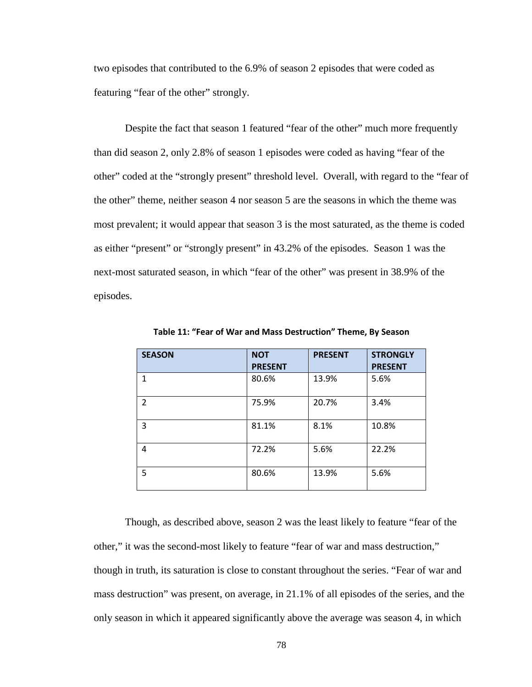two episodes that contributed to the 6.9% of season 2 episodes that were coded as featuring "fear of the other" strongly.

Despite the fact that season 1 featured "fear of the other" much more frequently than did season 2, only 2.8% of season 1 episodes were coded as having "fear of the other" coded at the "strongly present" threshold level. Overall, with regard to the "fear of the other" theme, neither season 4 nor season 5 are the seasons in which the theme was most prevalent; it would appear that season 3 is the most saturated, as the theme is coded as either "present" or "strongly present" in 43.2% of the episodes. Season 1 was the next-most saturated season, in which "fear of the other" was present in 38.9% of the episodes.

| <b>SEASON</b>  | <b>NOT</b><br><b>PRESENT</b> | <b>PRESENT</b> | <b>STRONGLY</b><br><b>PRESENT</b> |
|----------------|------------------------------|----------------|-----------------------------------|
| 1              | 80.6%                        | 13.9%          | 5.6%                              |
| $\overline{2}$ | 75.9%                        | 20.7%          | 3.4%                              |
| 3              | 81.1%                        | 8.1%           | 10.8%                             |
| 4              | 72.2%                        | 5.6%           | 22.2%                             |
| 5              | 80.6%                        | 13.9%          | 5.6%                              |

Table 11: "Fear of War and Mass Destruction" Theme, By Season

Though, as described above, season 2 was the least likely to feature "fear of the other," it was the second-most likely to feature "fear of war and mass destruction," though in truth, its saturation is close to constant throughout the series. "Fear of war and mass destruction" was present, on average, in 21.1% of all episodes of the series, and the only season in which it appeared significantly above the average was season 4, in which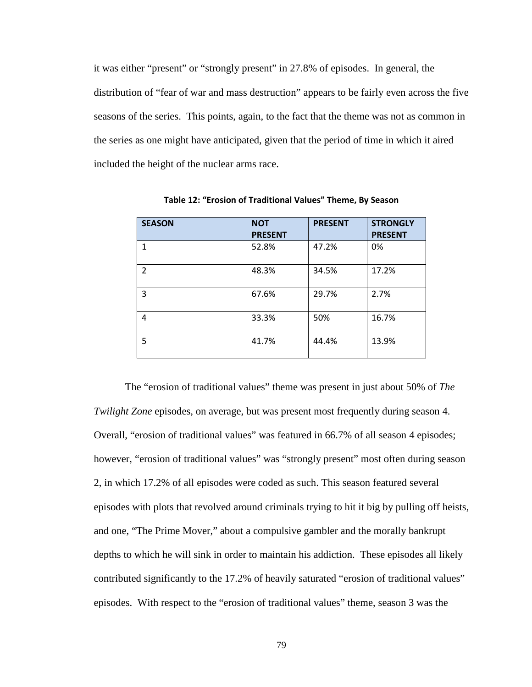it was either "present" or "strongly present" in 27.8% of episodes. In general, the distribution of "fear of war and mass destruction" appears to be fairly even across the five seasons of the series. This points, again, to the fact that the theme was not as common in the series as one might have anticipated, given that the period of time in which it aired included the height of the nuclear arms race.

| <b>SEASON</b>  | <b>NOT</b><br><b>PRESENT</b> | <b>PRESENT</b> | <b>STRONGLY</b><br><b>PRESENT</b> |
|----------------|------------------------------|----------------|-----------------------------------|
| $\mathbf{1}$   | 52.8%                        | 47.2%          | 0%                                |
| $\overline{2}$ | 48.3%                        | 34.5%          | 17.2%                             |
| 3              | 67.6%                        | 29.7%          | 2.7%                              |
| 4              | 33.3%                        | 50%            | 16.7%                             |
| 5              | 41.7%                        | 44.4%          | 13.9%                             |

Table 12: "Erosion of Traditional Values" Theme, By Season

The "erosion of traditional values" theme was present in just about 50% of *The Twilight Zone* episodes, on average, but was present most frequently during season 4. Overall, "erosion of traditional values" was featured in 66.7% of all season 4 episodes; however, "erosion of traditional values" was "strongly present" most often during season 2, in which 17.2% of all episodes were coded as such. This season featured several episodes with plots that revolved around criminals trying to hit it big by pulling off heists, and one, "The Prime Mover," about a compulsive gambler and the morally bankrupt depths to which he will sink in order to maintain his addiction. These episodes all likely contributed significantly to the 17.2% of heavily saturated "erosion of traditional values" episodes. With respect to the "erosion of traditional values" theme, season 3 was the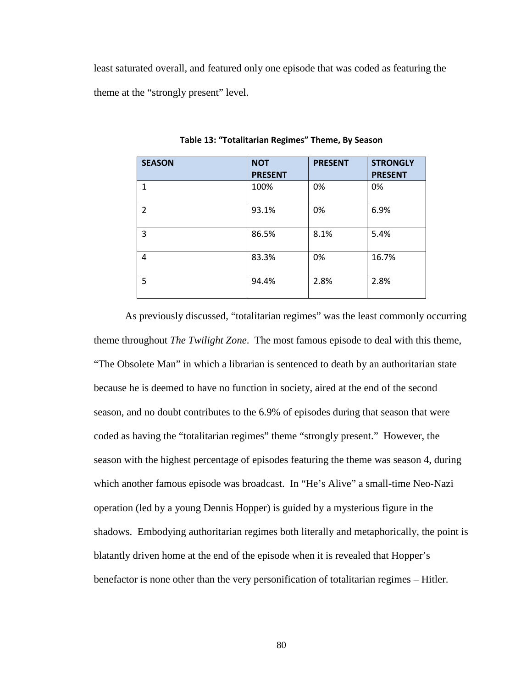least saturated overall, and featured only one episode that was coded as featuring the theme at the "strongly present" level.

| <b>SEASON</b>  | <b>NOT</b><br><b>PRESENT</b> | <b>PRESENT</b> | <b>STRONGLY</b><br><b>PRESENT</b> |
|----------------|------------------------------|----------------|-----------------------------------|
| 1              | 100%                         | 0%             | 0%                                |
| $\overline{2}$ | 93.1%                        | 0%             | 6.9%                              |
| 3              | 86.5%                        | 8.1%           | 5.4%                              |
| 4              | 83.3%                        | 0%             | 16.7%                             |
| 5              | 94.4%                        | 2.8%           | 2.8%                              |

Table 13: "Totalitarian Regimes" Theme, By Season

As previously discussed, "totalitarian regimes" was the least commonly occurring theme throughout *The Twilight Zone*. The most famous episode to deal with this theme, "The Obsolete Man" in which a librarian is sentenced to death by an authoritarian state because he is deemed to have no function in society, aired at the end of the second season, and no doubt contributes to the 6.9% of episodes during that season that were coded as having the "totalitarian regimes" theme "strongly present." However, the season with the highest percentage of episodes featuring the theme was season 4, during which another famous episode was broadcast. In "He's Alive" a small-time Neo-Nazi operation (led by a young Dennis Hopper) is guided by a mysterious figure in the shadows. Embodying authoritarian regimes both literally and metaphorically, the point is blatantly driven home at the end of the episode when it is revealed that Hopper's benefactor is none other than the very personification of totalitarian regimes – Hitler.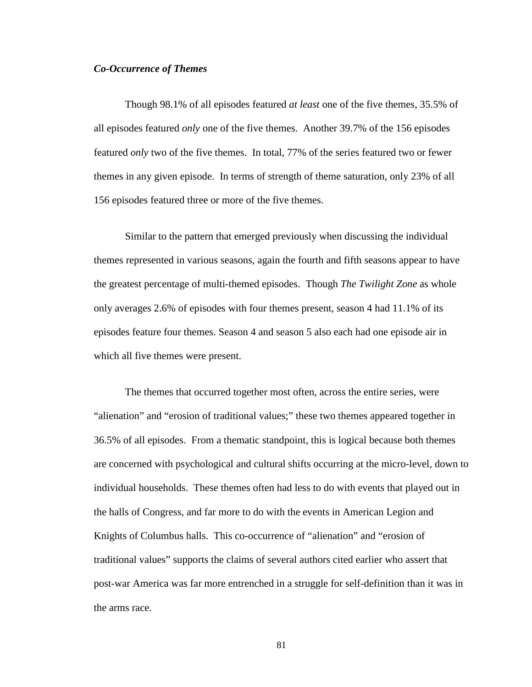### *Co-Occurrence of Themes*

Though 98.1% of all episodes featured *at least* one of the five themes, 35.5% of all episodes featured *only* one of the five themes. Another 39.7% of the 156 episodes featured *only* two of the five themes. In total, 77% of the series featured two or fewer themes in any given episode. In terms of strength of theme saturation, only 23% of all 156 episodes featured three or more of the five themes.

Similar to the pattern that emerged previously when discussing the individual themes represented in various seasons, again the fourth and fifth seasons appear to have the greatest percentage of multi-themed episodes. Though *The Twilight Zone* as whole only averages 2.6% of episodes with four themes present, season 4 had 11.1% of its episodes feature four themes. Season 4 and season 5 also each had one episode air in which all five themes were present.

The themes that occurred together most often, across the entire series, were "alienation" and "erosion of traditional values;" these two themes appeared together in 36.5% of all episodes. From a thematic standpoint, this is logical because both themes are concerned with psychological and cultural shifts occurring at the micro-level, down to individual households. These themes often had less to do with events that played out in the halls of Congress, and far more to do with the events in American Legion and Knights of Columbus halls. This co-occurrence of "alienation" and "erosion of traditional values" supports the claims of several authors cited earlier who assert that post-war America was far more entrenched in a struggle for self-definition than it was in the arms race.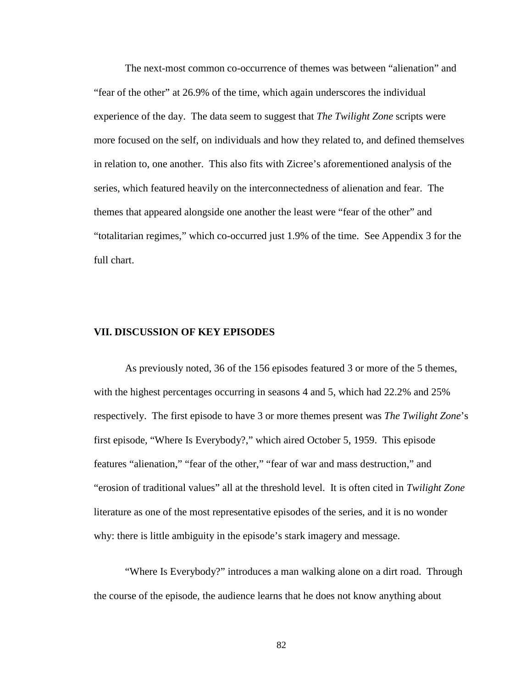The next-most common co-occurrence of themes was between "alienation" and "fear of the other" at 26.9% of the time, which again underscores the individual experience of the day. The data seem to suggest that *The Twilight Zone* scripts were more focused on the self, on individuals and how they related to, and defined themselves in relation to, one another. This also fits with Zicree's aforementioned analysis of the series, which featured heavily on the interconnectedness of alienation and fear. The themes that appeared alongside one another the least were "fear of the other" and "totalitarian regimes," which co-occurred just 1.9% of the time. See Appendix 3 for the full chart.

### **VII. DISCUSSION OF KEY EPISODES**

As previously noted, 36 of the 156 episodes featured 3 or more of the 5 themes, with the highest percentages occurring in seasons 4 and 5, which had 22.2% and 25% respectively. The first episode to have 3 or more themes present was *The Twilight Zone*'s first episode, "Where Is Everybody?," which aired October 5, 1959. This episode features "alienation," "fear of the other," "fear of war and mass destruction," and "erosion of traditional values" all at the threshold level. It is often cited in *Twilight Zone* literature as one of the most representative episodes of the series, and it is no wonder why: there is little ambiguity in the episode's stark imagery and message.

"Where Is Everybody?" introduces a man walking alone on a dirt road. Through the course of the episode, the audience learns that he does not know anything about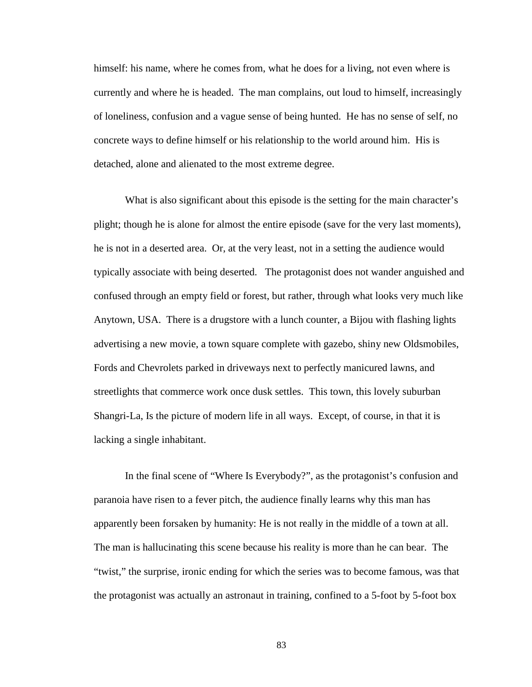himself: his name, where he comes from, what he does for a living, not even where is currently and where he is headed. The man complains, out loud to himself, increasingly of loneliness, confusion and a vague sense of being hunted. He has no sense of self, no concrete ways to define himself or his relationship to the world around him. His is detached, alone and alienated to the most extreme degree.

What is also significant about this episode is the setting for the main character's plight; though he is alone for almost the entire episode (save for the very last moments), he is not in a deserted area. Or, at the very least, not in a setting the audience would typically associate with being deserted. The protagonist does not wander anguished and confused through an empty field or forest, but rather, through what looks very much like Anytown, USA. There is a drugstore with a lunch counter, a Bijou with flashing lights advertising a new movie, a town square complete with gazebo, shiny new Oldsmobiles, Fords and Chevrolets parked in driveways next to perfectly manicured lawns, and streetlights that commerce work once dusk settles. This town, this lovely suburban Shangri-La, Is the picture of modern life in all ways. Except, of course, in that it is lacking a single inhabitant.

In the final scene of "Where Is Everybody?", as the protagonist's confusion and paranoia have risen to a fever pitch, the audience finally learns why this man has apparently been forsaken by humanity: He is not really in the middle of a town at all. The man is hallucinating this scene because his reality is more than he can bear. The "twist," the surprise, ironic ending for which the series was to become famous, was that the protagonist was actually an astronaut in training, confined to a 5-foot by 5-foot box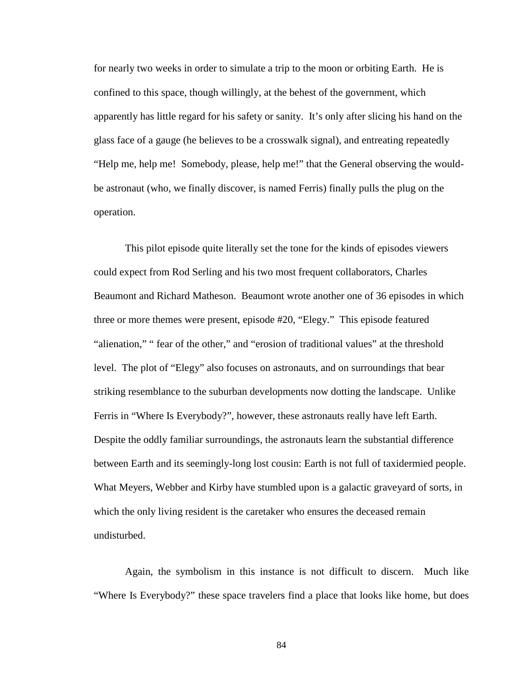for nearly two weeks in order to simulate a trip to the moon or orbiting Earth. He is confined to this space, though willingly, at the behest of the government, which apparently has little regard for his safety or sanity. It's only after slicing his hand on the glass face of a gauge (he believes to be a crosswalk signal), and entreating repeatedly "Help me, help me! Somebody, please, help me!" that the General observing the wouldbe astronaut (who, we finally discover, is named Ferris) finally pulls the plug on the operation.

 This pilot episode quite literally set the tone for the kinds of episodes viewers could expect from Rod Serling and his two most frequent collaborators, Charles Beaumont and Richard Matheson. Beaumont wrote another one of 36 episodes in which three or more themes were present, episode #20, "Elegy." This episode featured "alienation," " fear of the other," and "erosion of traditional values" at the threshold level. The plot of "Elegy" also focuses on astronauts, and on surroundings that bear striking resemblance to the suburban developments now dotting the landscape. Unlike Ferris in "Where Is Everybody?", however, these astronauts really have left Earth. Despite the oddly familiar surroundings, the astronauts learn the substantial difference between Earth and its seemingly-long lost cousin: Earth is not full of taxidermied people. What Meyers, Webber and Kirby have stumbled upon is a galactic graveyard of sorts, in which the only living resident is the caretaker who ensures the deceased remain undisturbed.

 Again, the symbolism in this instance is not difficult to discern. Much like "Where Is Everybody?" these space travelers find a place that looks like home, but does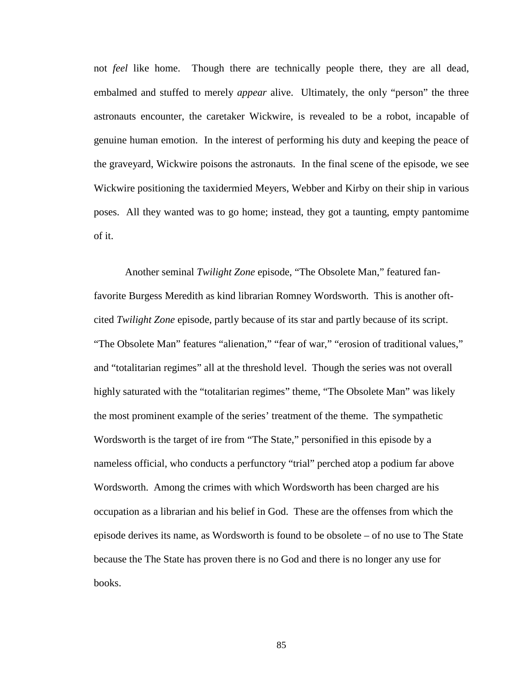not *feel* like home. Though there are technically people there, they are all dead, embalmed and stuffed to merely *appear* alive. Ultimately, the only "person" the three astronauts encounter, the caretaker Wickwire, is revealed to be a robot, incapable of genuine human emotion. In the interest of performing his duty and keeping the peace of the graveyard, Wickwire poisons the astronauts. In the final scene of the episode, we see Wickwire positioning the taxidermied Meyers, Webber and Kirby on their ship in various poses. All they wanted was to go home; instead, they got a taunting, empty pantomime of it.

 Another seminal *Twilight Zone* episode, "The Obsolete Man," featured fanfavorite Burgess Meredith as kind librarian Romney Wordsworth. This is another oftcited *Twilight Zone* episode, partly because of its star and partly because of its script. "The Obsolete Man" features "alienation," "fear of war," "erosion of traditional values," and "totalitarian regimes" all at the threshold level. Though the series was not overall highly saturated with the "totalitarian regimes" theme, "The Obsolete Man" was likely the most prominent example of the series' treatment of the theme. The sympathetic Wordsworth is the target of ire from "The State," personified in this episode by a nameless official, who conducts a perfunctory "trial" perched atop a podium far above Wordsworth. Among the crimes with which Wordsworth has been charged are his occupation as a librarian and his belief in God. These are the offenses from which the episode derives its name, as Wordsworth is found to be obsolete – of no use to The State because the The State has proven there is no God and there is no longer any use for books.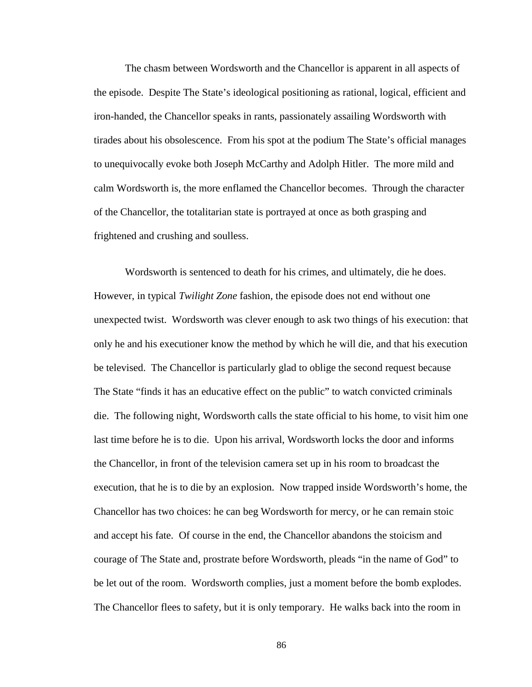The chasm between Wordsworth and the Chancellor is apparent in all aspects of the episode. Despite The State's ideological positioning as rational, logical, efficient and iron-handed, the Chancellor speaks in rants, passionately assailing Wordsworth with tirades about his obsolescence. From his spot at the podium The State's official manages to unequivocally evoke both Joseph McCarthy and Adolph Hitler. The more mild and calm Wordsworth is, the more enflamed the Chancellor becomes. Through the character of the Chancellor, the totalitarian state is portrayed at once as both grasping and frightened and crushing and soulless.

 Wordsworth is sentenced to death for his crimes, and ultimately, die he does. However, in typical *Twilight Zone* fashion, the episode does not end without one unexpected twist. Wordsworth was clever enough to ask two things of his execution: that only he and his executioner know the method by which he will die, and that his execution be televised. The Chancellor is particularly glad to oblige the second request because The State "finds it has an educative effect on the public" to watch convicted criminals die. The following night, Wordsworth calls the state official to his home, to visit him one last time before he is to die. Upon his arrival, Wordsworth locks the door and informs the Chancellor, in front of the television camera set up in his room to broadcast the execution, that he is to die by an explosion. Now trapped inside Wordsworth's home, the Chancellor has two choices: he can beg Wordsworth for mercy, or he can remain stoic and accept his fate. Of course in the end, the Chancellor abandons the stoicism and courage of The State and, prostrate before Wordsworth, pleads "in the name of God" to be let out of the room. Wordsworth complies, just a moment before the bomb explodes. The Chancellor flees to safety, but it is only temporary. He walks back into the room in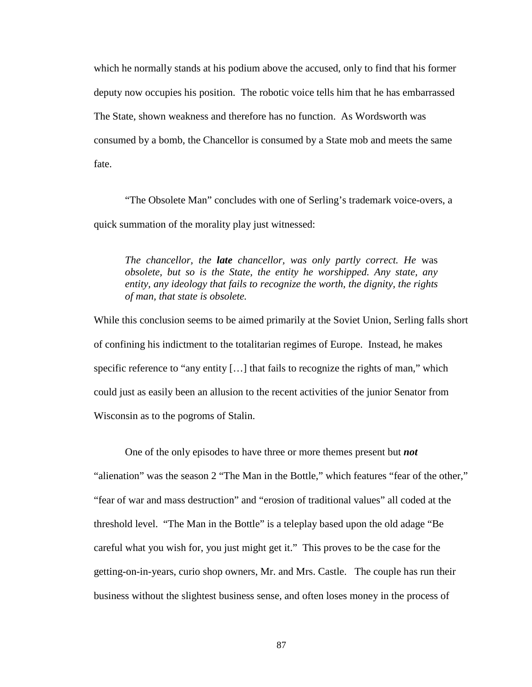which he normally stands at his podium above the accused, only to find that his former deputy now occupies his position. The robotic voice tells him that he has embarrassed The State, shown weakness and therefore has no function. As Wordsworth was consumed by a bomb, the Chancellor is consumed by a State mob and meets the same fate.

 "The Obsolete Man" concludes with one of Serling's trademark voice-overs, a quick summation of the morality play just witnessed:

*The chancellor, the late chancellor, was only partly correct. He* was *obsolete, but so is the State, the entity he worshipped. Any state, any entity, any ideology that fails to recognize the worth, the dignity, the rights of man, that state is obsolete.*

While this conclusion seems to be aimed primarily at the Soviet Union, Serling falls short of confining his indictment to the totalitarian regimes of Europe. Instead, he makes specific reference to "any entity [...] that fails to recognize the rights of man," which could just as easily been an allusion to the recent activities of the junior Senator from Wisconsin as to the pogroms of Stalin.

 One of the only episodes to have three or more themes present but *not* "alienation" was the season 2 "The Man in the Bottle," which features "fear of the other," "fear of war and mass destruction" and "erosion of traditional values" all coded at the threshold level. "The Man in the Bottle" is a teleplay based upon the old adage "Be careful what you wish for, you just might get it." This proves to be the case for the getting-on-in-years, curio shop owners, Mr. and Mrs. Castle. The couple has run their business without the slightest business sense, and often loses money in the process of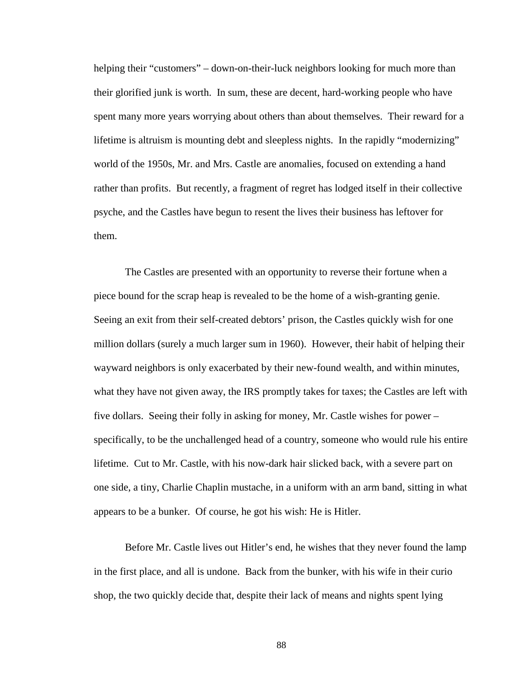helping their "customers" – down-on-their-luck neighbors looking for much more than their glorified junk is worth. In sum, these are decent, hard-working people who have spent many more years worrying about others than about themselves. Their reward for a lifetime is altruism is mounting debt and sleepless nights. In the rapidly "modernizing" world of the 1950s, Mr. and Mrs. Castle are anomalies, focused on extending a hand rather than profits. But recently, a fragment of regret has lodged itself in their collective psyche, and the Castles have begun to resent the lives their business has leftover for them.

The Castles are presented with an opportunity to reverse their fortune when a piece bound for the scrap heap is revealed to be the home of a wish-granting genie. Seeing an exit from their self-created debtors' prison, the Castles quickly wish for one million dollars (surely a much larger sum in 1960). However, their habit of helping their wayward neighbors is only exacerbated by their new-found wealth, and within minutes, what they have not given away, the IRS promptly takes for taxes; the Castles are left with five dollars. Seeing their folly in asking for money, Mr. Castle wishes for power – specifically, to be the unchallenged head of a country, someone who would rule his entire lifetime. Cut to Mr. Castle, with his now-dark hair slicked back, with a severe part on one side, a tiny, Charlie Chaplin mustache, in a uniform with an arm band, sitting in what appears to be a bunker. Of course, he got his wish: He is Hitler.

Before Mr. Castle lives out Hitler's end, he wishes that they never found the lamp in the first place, and all is undone. Back from the bunker, with his wife in their curio shop, the two quickly decide that, despite their lack of means and nights spent lying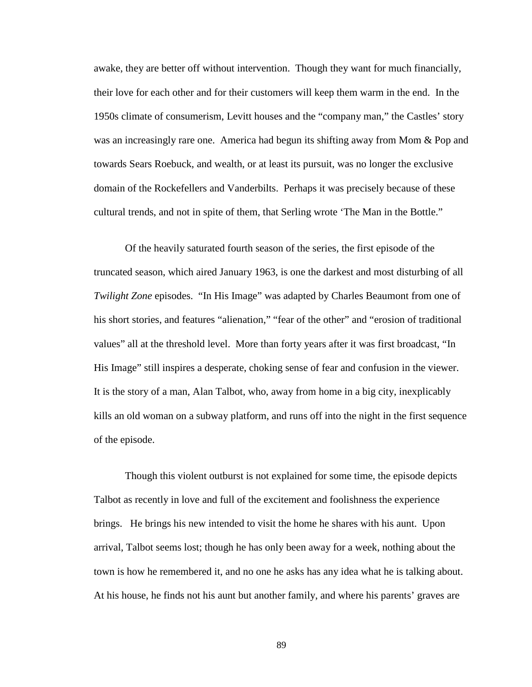awake, they are better off without intervention. Though they want for much financially, their love for each other and for their customers will keep them warm in the end. In the 1950s climate of consumerism, Levitt houses and the "company man," the Castles' story was an increasingly rare one. America had begun its shifting away from Mom & Pop and towards Sears Roebuck, and wealth, or at least its pursuit, was no longer the exclusive domain of the Rockefellers and Vanderbilts. Perhaps it was precisely because of these cultural trends, and not in spite of them, that Serling wrote 'The Man in the Bottle."

Of the heavily saturated fourth season of the series, the first episode of the truncated season, which aired January 1963, is one the darkest and most disturbing of all *Twilight Zone* episodes. "In His Image" was adapted by Charles Beaumont from one of his short stories, and features "alienation," "fear of the other" and "erosion of traditional values" all at the threshold level. More than forty years after it was first broadcast, "In His Image" still inspires a desperate, choking sense of fear and confusion in the viewer. It is the story of a man, Alan Talbot, who, away from home in a big city, inexplicably kills an old woman on a subway platform, and runs off into the night in the first sequence of the episode.

Though this violent outburst is not explained for some time, the episode depicts Talbot as recently in love and full of the excitement and foolishness the experience brings. He brings his new intended to visit the home he shares with his aunt. Upon arrival, Talbot seems lost; though he has only been away for a week, nothing about the town is how he remembered it, and no one he asks has any idea what he is talking about. At his house, he finds not his aunt but another family, and where his parents' graves are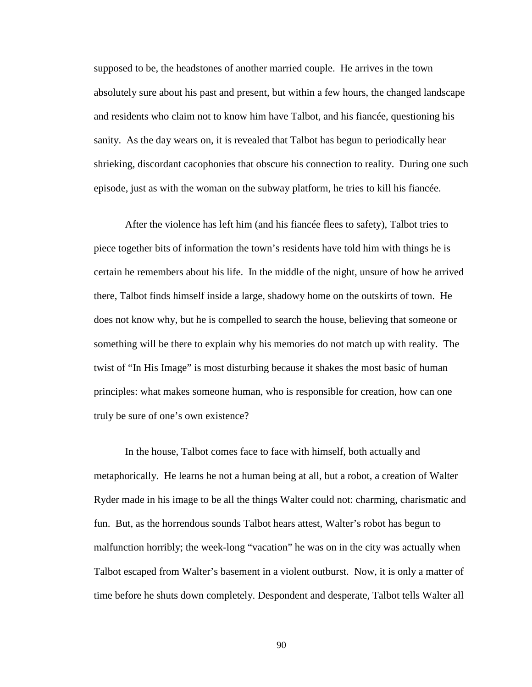supposed to be, the headstones of another married couple. He arrives in the town absolutely sure about his past and present, but within a few hours, the changed landscape and residents who claim not to know him have Talbot, and his fiancée, questioning his sanity. As the day wears on, it is revealed that Talbot has begun to periodically hear shrieking, discordant cacophonies that obscure his connection to reality. During one such episode, just as with the woman on the subway platform, he tries to kill his fiancée.

After the violence has left him (and his fiancée flees to safety), Talbot tries to piece together bits of information the town's residents have told him with things he is certain he remembers about his life. In the middle of the night, unsure of how he arrived there, Talbot finds himself inside a large, shadowy home on the outskirts of town. He does not know why, but he is compelled to search the house, believing that someone or something will be there to explain why his memories do not match up with reality. The twist of "In His Image" is most disturbing because it shakes the most basic of human principles: what makes someone human, who is responsible for creation, how can one truly be sure of one's own existence?

 In the house, Talbot comes face to face with himself, both actually and metaphorically. He learns he not a human being at all, but a robot, a creation of Walter Ryder made in his image to be all the things Walter could not: charming, charismatic and fun. But, as the horrendous sounds Talbot hears attest, Walter's robot has begun to malfunction horribly; the week-long "vacation" he was on in the city was actually when Talbot escaped from Walter's basement in a violent outburst. Now, it is only a matter of time before he shuts down completely. Despondent and desperate, Talbot tells Walter all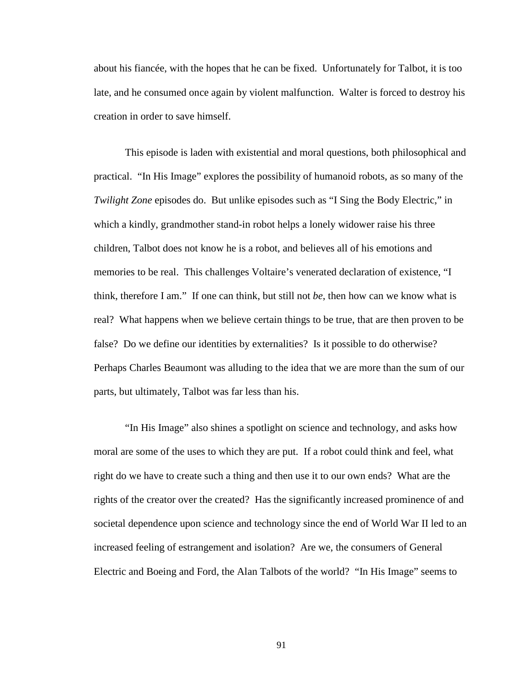about his fiancée, with the hopes that he can be fixed. Unfortunately for Talbot, it is too late, and he consumed once again by violent malfunction. Walter is forced to destroy his creation in order to save himself.

 This episode is laden with existential and moral questions, both philosophical and practical. "In His Image" explores the possibility of humanoid robots, as so many of the *Twilight Zone* episodes do. But unlike episodes such as "I Sing the Body Electric," in which a kindly, grandmother stand-in robot helps a lonely widower raise his three children, Talbot does not know he is a robot, and believes all of his emotions and memories to be real. This challenges Voltaire's venerated declaration of existence, "I think, therefore I am." If one can think, but still not *be*, then how can we know what is real? What happens when we believe certain things to be true, that are then proven to be false? Do we define our identities by externalities? Is it possible to do otherwise? Perhaps Charles Beaumont was alluding to the idea that we are more than the sum of our parts, but ultimately, Talbot was far less than his.

 "In His Image" also shines a spotlight on science and technology, and asks how moral are some of the uses to which they are put. If a robot could think and feel, what right do we have to create such a thing and then use it to our own ends? What are the rights of the creator over the created? Has the significantly increased prominence of and societal dependence upon science and technology since the end of World War II led to an increased feeling of estrangement and isolation? Are we, the consumers of General Electric and Boeing and Ford, the Alan Talbots of the world? "In His Image" seems to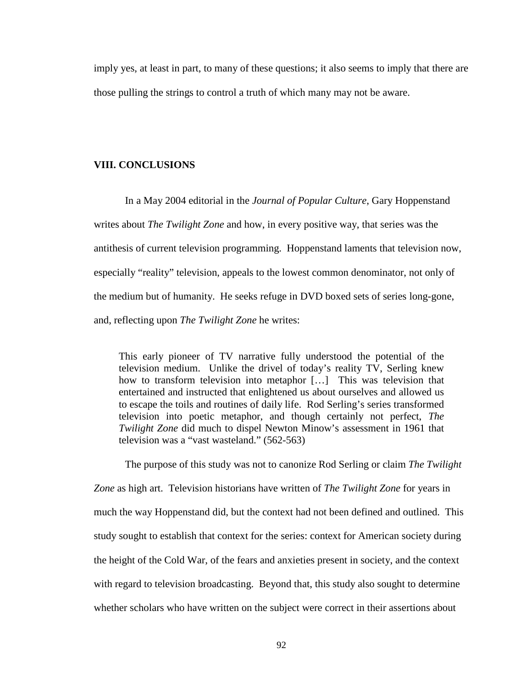imply yes, at least in part, to many of these questions; it also seems to imply that there are those pulling the strings to control a truth of which many may not be aware.

### **VIII. CONCLUSIONS**

 In a May 2004 editorial in the *Journal of Popular Culture*, Gary Hoppenstand writes about *The Twilight Zone* and how, in every positive way, that series was the antithesis of current television programming. Hoppenstand laments that television now, especially "reality" television, appeals to the lowest common denominator, not only of the medium but of humanity. He seeks refuge in DVD boxed sets of series long-gone, and, reflecting upon *The Twilight Zone* he writes:

This early pioneer of TV narrative fully understood the potential of the television medium. Unlike the drivel of today's reality TV, Serling knew how to transform television into metaphor […] This was television that entertained and instructed that enlightened us about ourselves and allowed us to escape the toils and routines of daily life. Rod Serling's series transformed television into poetic metaphor, and though certainly not perfect, *The Twilight Zone* did much to dispel Newton Minow's assessment in 1961 that television was a "vast wasteland." (562-563)

 The purpose of this study was not to canonize Rod Serling or claim *The Twilight Zone* as high art. Television historians have written of *The Twilight Zone* for years in much the way Hoppenstand did, but the context had not been defined and outlined. This study sought to establish that context for the series: context for American society during the height of the Cold War, of the fears and anxieties present in society, and the context with regard to television broadcasting. Beyond that, this study also sought to determine whether scholars who have written on the subject were correct in their assertions about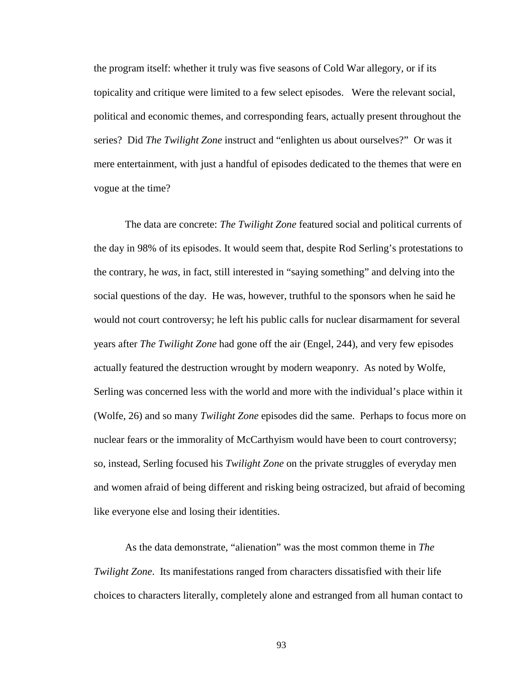the program itself: whether it truly was five seasons of Cold War allegory, or if its topicality and critique were limited to a few select episodes. Were the relevant social, political and economic themes, and corresponding fears, actually present throughout the series? Did *The Twilight Zone* instruct and "enlighten us about ourselves?" Or was it mere entertainment, with just a handful of episodes dedicated to the themes that were en vogue at the time?

 The data are concrete: *The Twilight Zone* featured social and political currents of the day in 98% of its episodes. It would seem that, despite Rod Serling's protestations to the contrary, he *was*, in fact, still interested in "saying something" and delving into the social questions of the day. He was, however, truthful to the sponsors when he said he would not court controversy; he left his public calls for nuclear disarmament for several years after *The Twilight Zone* had gone off the air (Engel, 244), and very few episodes actually featured the destruction wrought by modern weaponry. As noted by Wolfe, Serling was concerned less with the world and more with the individual's place within it (Wolfe, 26) and so many *Twilight Zone* episodes did the same. Perhaps to focus more on nuclear fears or the immorality of McCarthyism would have been to court controversy; so, instead, Serling focused his *Twilight Zone* on the private struggles of everyday men and women afraid of being different and risking being ostracized, but afraid of becoming like everyone else and losing their identities.

 As the data demonstrate, "alienation" was the most common theme in *The Twilight Zone*. Its manifestations ranged from characters dissatisfied with their life choices to characters literally, completely alone and estranged from all human contact to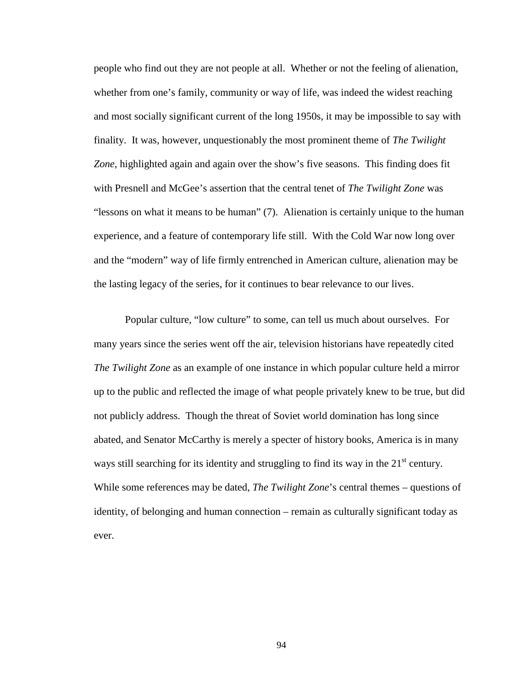people who find out they are not people at all. Whether or not the feeling of alienation, whether from one's family, community or way of life, was indeed the widest reaching and most socially significant current of the long 1950s, it may be impossible to say with finality. It was, however, unquestionably the most prominent theme of *The Twilight Zone*, highlighted again and again over the show's five seasons. This finding does fit with Presnell and McGee's assertion that the central tenet of *The Twilight Zone* was "lessons on what it means to be human" (7). Alienation is certainly unique to the human experience, and a feature of contemporary life still. With the Cold War now long over and the "modern" way of life firmly entrenched in American culture, alienation may be the lasting legacy of the series, for it continues to bear relevance to our lives.

Popular culture, "low culture" to some, can tell us much about ourselves. For many years since the series went off the air, television historians have repeatedly cited *The Twilight Zone* as an example of one instance in which popular culture held a mirror up to the public and reflected the image of what people privately knew to be true, but did not publicly address. Though the threat of Soviet world domination has long since abated, and Senator McCarthy is merely a specter of history books, America is in many ways still searching for its identity and struggling to find its way in the  $21<sup>st</sup>$  century. While some references may be dated, *The Twilight Zone*'s central themes – questions of identity, of belonging and human connection – remain as culturally significant today as ever.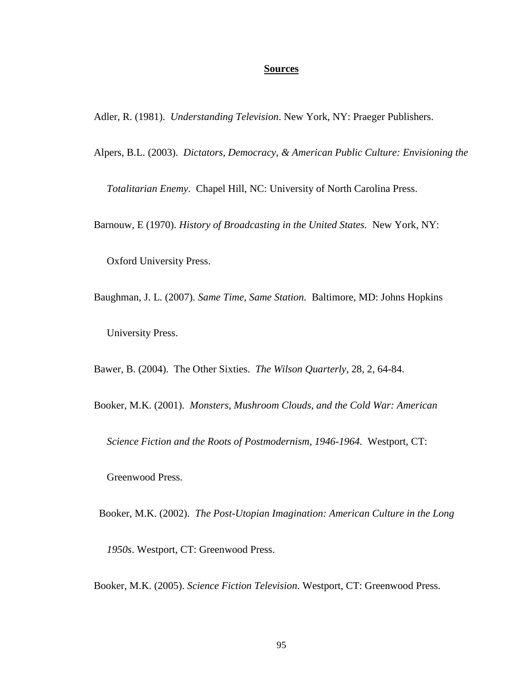### **Sources**

Adler, R. (1981). *Understanding Television*. New York, NY: Praeger Publishers.

Alpers, B.L. (2003). *Dictators, Democracy, & American Public Culture: Envisioning the* 

 *Totalitarian Enemy*. Chapel Hill, NC: University of North Carolina Press.

Barnouw, E (1970). *History of Broadcasting in the United States.* New York, NY:

Oxford University Press.

Baughman, J. L. (2007). *Same Time, Same Station.* Baltimore, MD: Johns Hopkins University Press.

Bawer, B. (2004). The Other Sixties. *The Wilson Quarterly*, 28, 2, 64-84.

Booker, M.K. (2001). *Monsters, Mushroom Clouds, and the Cold War: American* 

 *Science Fiction and the Roots of Postmodernism, 1946-1964.* Westport, CT:

Greenwood Press.

 Booker, M.K. (2002). *The Post-Utopian Imagination: American Culture in the Long 1950s*. Westport, CT: Greenwood Press.

Booker, M.K. (2005). *Science Fiction Television*. Westport, CT: Greenwood Press.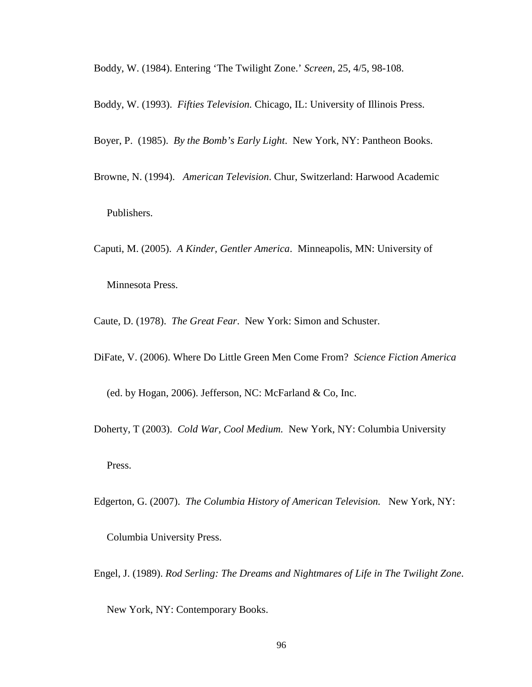Boddy, W. (1984). Entering 'The Twilight Zone.' *Screen*, 25, 4/5, 98-108.

Boddy, W. (1993). *Fifties Television.* Chicago, IL: University of Illinois Press.

Boyer, P. (1985). *By the Bomb's Early Light*. New York, NY: Pantheon Books.

Browne, N. (1994). *American Television*. Chur, Switzerland: Harwood Academic Publishers.

Caputi, M. (2005). *A Kinder, Gentler America*. Minneapolis, MN: University of

Minnesota Press.

Caute, D. (1978). *The Great Fear*. New York: Simon and Schuster.

DiFate, V. (2006). Where Do Little Green Men Come From? *Science Fiction America*

(ed. by Hogan, 2006). Jefferson, NC: McFarland & Co, Inc.

Doherty, T (2003). *Cold War, Cool Medium.* New York, NY: Columbia University

Press.

Edgerton, G. (2007). *The Columbia History of American Television.* New York, NY:

Columbia University Press.

Engel, J. (1989). *Rod Serling: The Dreams and Nightmares of Life in The Twilight Zone*.

New York, NY: Contemporary Books.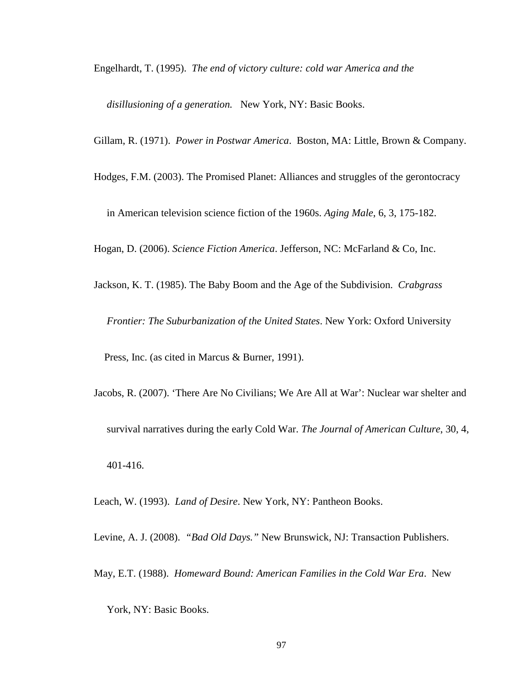Engelhardt, T. (1995). *The end of victory culture: cold war America and the* 

 *disillusioning of a generation.* New York, NY: Basic Books.

Gillam, R. (1971). *Power in Postwar America*. Boston, MA: Little, Brown & Company.

Hodges, F.M. (2003). The Promised Planet: Alliances and struggles of the gerontocracy

in American television science fiction of the 1960s. *Aging Male*, 6, 3, 175-182.

Hogan, D. (2006). *Science Fiction America*. Jefferson, NC: McFarland & Co, Inc.

Jackson, K. T. (1985). The Baby Boom and the Age of the Subdivision. *Crabgrass* 

 *Frontier: The Suburbanization of the United States*. New York: Oxford University

Press, Inc. (as cited in Marcus & Burner, 1991).

Jacobs, R. (2007). 'There Are No Civilians; We Are All at War': Nuclear war shelter and survival narratives during the early Cold War. *The Journal of American Culture*, 30, 4, 401-416.

Leach, W. (1993). *Land of Desire*. New York, NY: Pantheon Books.

Levine, A. J. (2008). *"Bad Old Days."* New Brunswick, NJ: Transaction Publishers.

May, E.T. (1988). *Homeward Bound: American Families in the Cold War Era*. New

York, NY: Basic Books.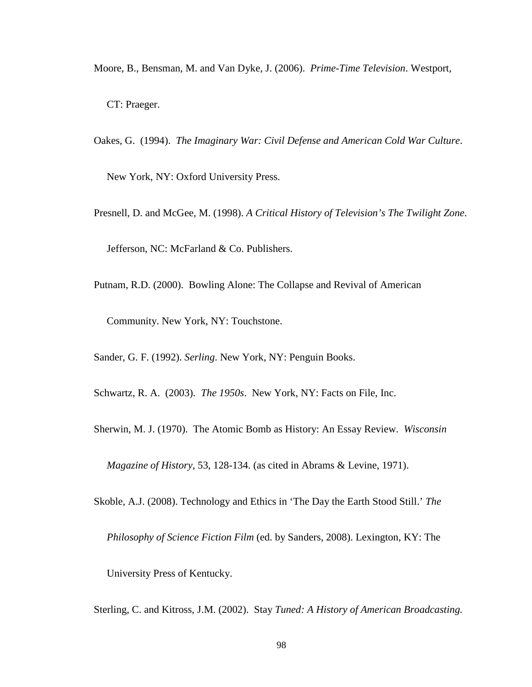- Moore, B., Bensman, M. and Van Dyke, J. (2006). *Prime-Time Television*. Westport, CT: Praeger.
- Oakes, G. (1994). *The Imaginary War: Civil Defense and American Cold War Culture*.

New York, NY: Oxford University Press.

- Presnell, D. and McGee, M. (1998). *A Critical History of Television's The Twilight Zone*. Jefferson, NC: McFarland & Co. Publishers.
- Putnam, R.D. (2000). Bowling Alone: The Collapse and Revival of American

Community. New York, NY: Touchstone.

Sander, G. F. (1992). *Serling*. New York, NY: Penguin Books.

Schwartz, R. A. (2003). *The 1950s*. New York, NY: Facts on File, Inc.

Sherwin, M. J. (1970). The Atomic Bomb as History: An Essay Review. *Wisconsin* 

 *Magazine of History*, 53, 128-134. (as cited in Abrams & Levine, 1971).

Skoble, A.J. (2008). Technology and Ethics in 'The Day the Earth Stood Still.' *The* 

 *Philosophy of Science Fiction Film* (ed. by Sanders, 2008). Lexington, KY: The

University Press of Kentucky.

Sterling, C. and Kitross, J.M. (2002). Stay *Tuned: A History of American Broadcasting.*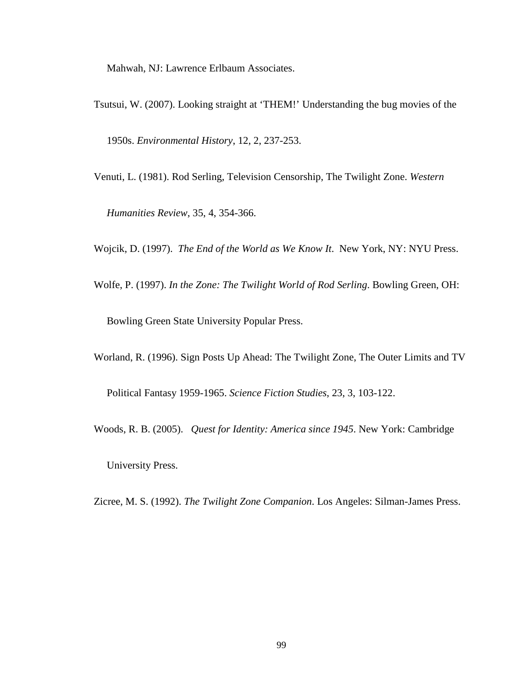Mahwah, NJ: Lawrence Erlbaum Associates.

- Tsutsui, W. (2007). Looking straight at 'THEM!' Understanding the bug movies of the 1950s. *Environmental History*, 12, 2, 237-253.
- Venuti, L. (1981). Rod Serling, Television Censorship, The Twilight Zone. *Western*

 *Humanities Review*, 35, 4, 354-366.

Wojcik, D. (1997). *The End of the World as We Know It*. New York, NY: NYU Press.

Wolfe, P. (1997). *In the Zone: The Twilight World of Rod Serling*. Bowling Green, OH:

Bowling Green State University Popular Press.

Worland, R. (1996). Sign Posts Up Ahead: The Twilight Zone, The Outer Limits and TV

Political Fantasy 1959-1965. *Science Fiction Studies*, 23, 3, 103-122.

Woods, R. B. (2005). *Quest for Identity: America since 1945*. New York: Cambridge

University Press.

Zicree, M. S. (1992). *The Twilight Zone Companion*. Los Angeles: Silman-James Press.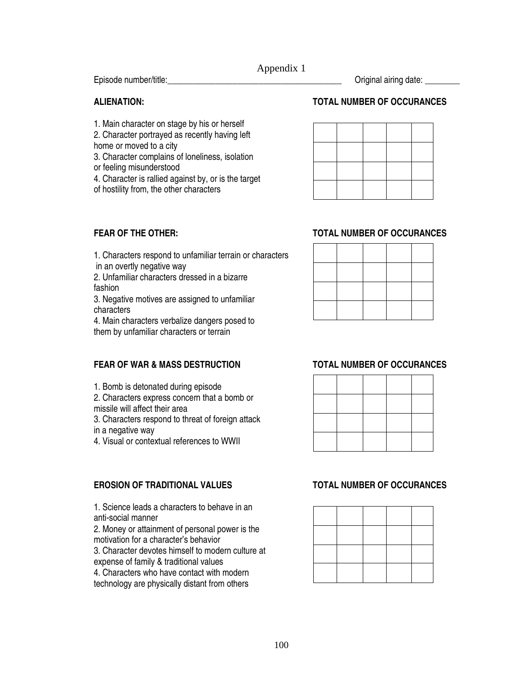Appendix 1

Episode number/title:\_\_\_\_\_\_\_\_\_\_\_\_\_\_\_\_\_\_\_\_\_\_\_\_\_\_\_\_\_\_\_\_\_\_\_\_\_\_\_\_ Original airing date: \_\_\_\_\_\_\_\_

1. Main character on stage by his or herself

2. Character portrayed as recently having left home or moved to a city

- 3. Character complains of loneliness, isolation
- or feeling misunderstood
- 4. Character is rallied against by, or is the target

of hostility from, the other characters

# **ALIENATION: TOTAL NUMBER OF OCCURANCES**

# **FEAR OF THE OTHER: TOTAL NUMBER OF OCCURANCES**

1. Characters respond to unfamiliar terrain or characters

in an overtly negative way

2. Unfamiliar characters dressed in a bizarre fashion

3. Negative motives are assigned to unfamiliar characters

4. Main characters verbalize dangers posed to them by unfamiliar characters or terrain

# **FEAR OF WAR & MASS DESTRUCTION TOTAL NUMBER OF OCCURANCES**

1. Bomb is detonated during episode

2. Characters express concern that a bomb or missile will affect their area

3. Characters respond to threat of foreign attack in a negative way

4. Visual or contextual references to WWII

# **EROSION OF TRADITIONAL VALUES TOTAL NUMBER OF OCCURANCES**

1. Science leads a characters to behave in an anti-social manner

2. Money or attainment of personal power is the motivation for a character's behavior

3. Character devotes himself to modern culture at expense of family & traditional values

4. Characters who have contact with modern technology are physically distant from others

### $\overline{\phantom{0}}$  $\overline{\phantom{a}}$  $\overline{\phantom{0}}$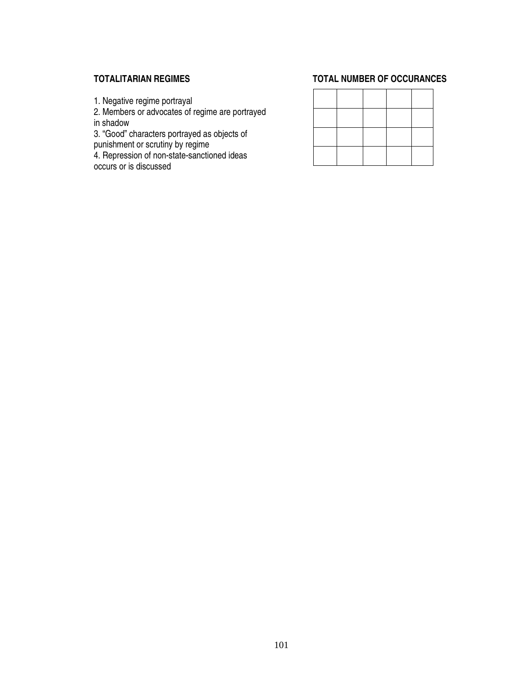1. Negative regime portrayal

2. Members or advocates of regime are portrayed in shadow

3. "Good" characters portrayed as objects of punishment or scrutiny by regime

4. Repression of non-state-sanctioned ideas occurs or is discussed

# **TOTALITARIAN REGIMES TOTAL NUMBER OF OCCURANCES**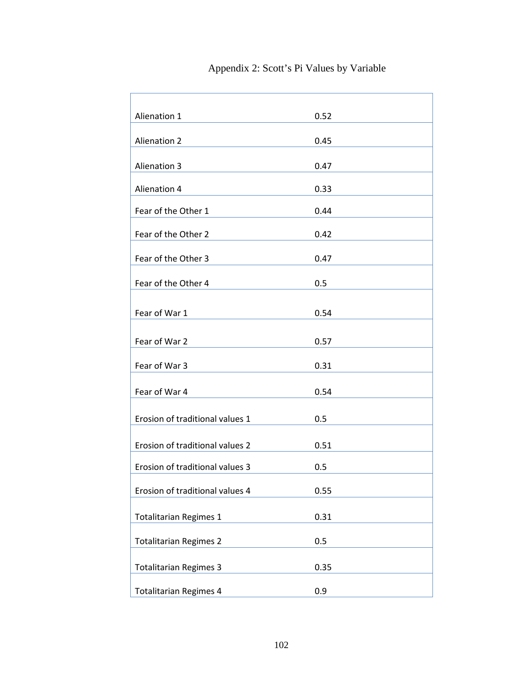| Alienation 1                    | 0.52 |
|---------------------------------|------|
| <b>Alienation 2</b>             | 0.45 |
| <b>Alienation 3</b>             | 0.47 |
| Alienation 4                    | 0.33 |
| Fear of the Other 1             | 0.44 |
| Fear of the Other 2             | 0.42 |
| Fear of the Other 3             | 0.47 |
| Fear of the Other 4             | 0.5  |
| Fear of War 1                   | 0.54 |
|                                 |      |
| Fear of War 2                   | 0.57 |
| Fear of War 3                   | 0.31 |
| Fear of War 4                   | 0.54 |
| Erosion of traditional values 1 | 0.5  |
| Erosion of traditional values 2 | 0.51 |
| Erosion of traditional values 3 | 0.5  |
| Erosion of traditional values 4 | 0.55 |
| <b>Totalitarian Regimes 1</b>   | 0.31 |
|                                 |      |
| <b>Totalitarian Regimes 2</b>   | 0.5  |
| <b>Totalitarian Regimes 3</b>   | 0.35 |
| <b>Totalitarian Regimes 4</b>   | 0.9  |

Appendix 2: Scott's Pi Values by Variable